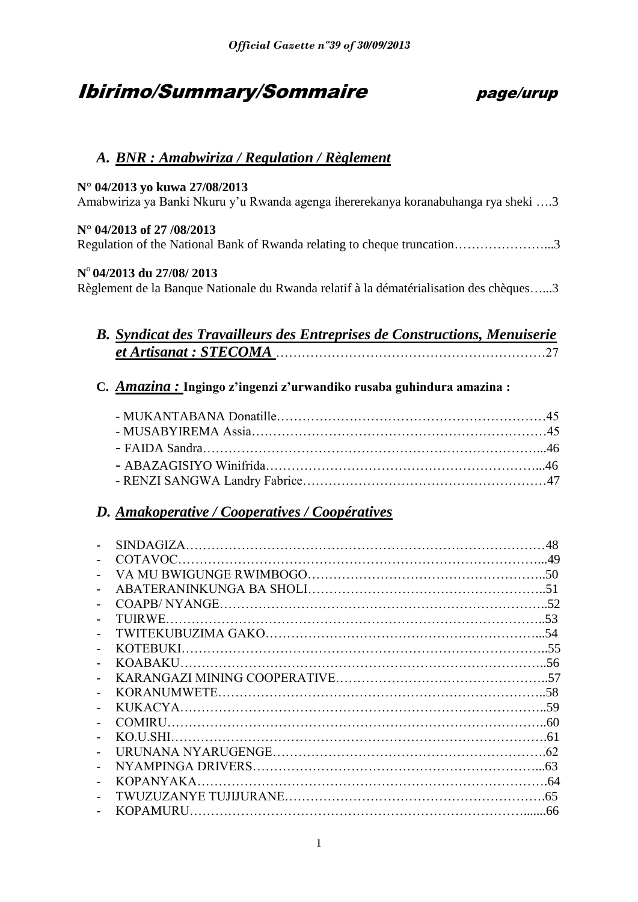# Ibirimo/Summary/Sommaire page/urup

# *A. BNR : Amabwiriza / Regulation / Règlement*

# **N° 04/2013 yo kuwa 27/08/2013**

Amabwiriza ya Banki Nkuru y'u Rwanda agenga ihererekanya koranabuhanga rya sheki ….3

# **N° 04/2013 of 27 /08/2013**

Regulation of the National Bank of Rwanda relating to cheque truncation…………………...3

# **N** o **04/2013 du 27/08/ 2013**

Règlement de la Banque Nationale du Rwanda relatif à la dématérialisation des chèques…...3

# *B. Syndicat des Travailleurs des Entreprises de Constructions, Menuiserie et Artisanat : STECOMA* ………………………………………………………27

# **C.** *Amazina :* **Ingingo z'ingenzi z'urwandiko rusaba guhindura amazina :**

# *D. Amakoperative / Cooperatives / Coopératives*

|                  | 48  |
|------------------|-----|
| COTAVOC.         |     |
|                  |     |
|                  |     |
|                  |     |
|                  |     |
|                  |     |
|                  |     |
|                  |     |
|                  |     |
|                  |     |
|                  |     |
| <b>COMIRU</b>    |     |
|                  |     |
|                  |     |
|                  |     |
| <b>KOPANYAKA</b> | .64 |
|                  | .65 |
| <b>KOPAMURU</b>  |     |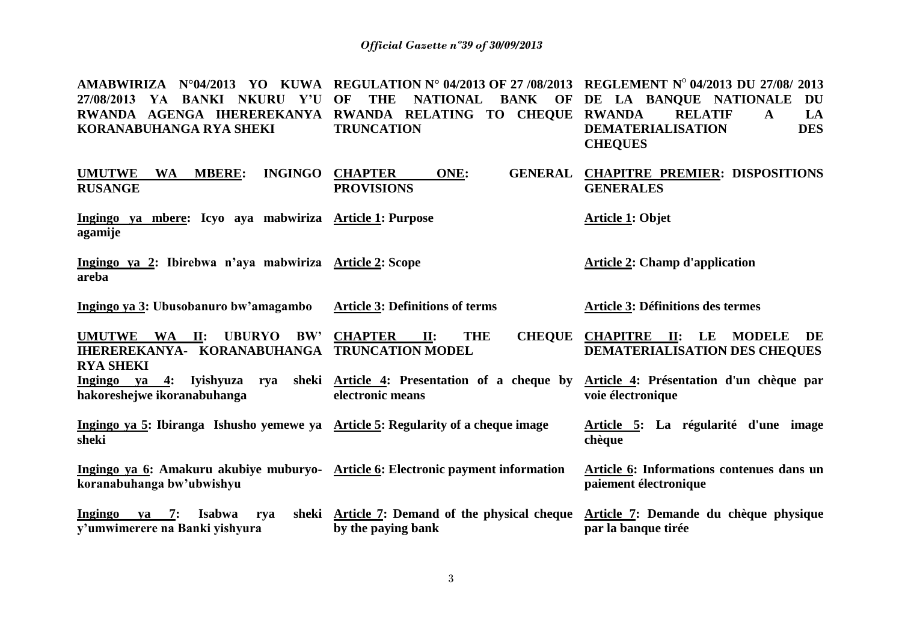**AMABWIRIZA N°04/2013 YO KUWA REGULATION N° 04/2013 OF 27 /08/2013 REGLEMENT N**<sup>o</sup> **04/2013 DU 27/08/ 2013 27/08/2013 YA BANKI NKURU Y'U OF THE NATIONAL BANK OF DE LA BANQUE NATIONALE DU RWANDA AGENGA IHEREREKANYA RWANDA RELATING TO CHEQUE RWANDA RELATIF A LA KORANABUHANGA RYA SHEKI TRUNCATION DEMATERIALISATION DES CHEQUES**

| <b>INGINGO</b><br><b>UMUTWE</b><br><b>MBERE:</b><br><b>WA</b><br><b>RUSANGE</b>                                            | <b>CHAPTER</b><br>ONE:<br><b>GENERAL</b><br><b>PROVISIONS</b>        | <b>CHAPITRE PREMIER: DISPOSITIONS</b><br><b>GENERALES</b>                                        |
|----------------------------------------------------------------------------------------------------------------------------|----------------------------------------------------------------------|--------------------------------------------------------------------------------------------------|
| Ingingo ya mbere: Icyo aya mabwiriza Article 1: Purpose<br>agamije                                                         |                                                                      | <b>Article 1: Objet</b>                                                                          |
| Ingingo ya 2: Ibirebwa n'aya mabwiriza Article 2: Scope<br>areba                                                           |                                                                      | <b>Article 2: Champ d'application</b>                                                            |
| Ingingo ya 3: Ubusobanuro bw'amagambo                                                                                      | <b>Article 3: Definitions of terms</b>                               | <b>Article 3: Définitions des termes</b>                                                         |
| <b>UMUTWE</b><br>WA II:<br><b>UBURYO</b><br>BW'<br><b>IHEREREKANYA- KORANABUHANGA TRUNCATION MODEL</b><br><b>RYA SHEKI</b> | <b>CHAPTER</b><br><b>THE</b><br><b>CHEQUE</b><br>II:                 | <b>CHAPITRE</b><br>$\mathbf{II}$ :<br>LE<br><b>MODELE</b><br>DE<br>DEMATERIALISATION DES CHEQUES |
| <u>Ingingo ya 4:</u> Iyishyuza rya<br>hakoreshejwe ikoranabuhanga                                                          | sheki Article 4: Presentation of a cheque by<br>electronic means     | Article 4: Présentation d'un chèque par<br>voie électronique                                     |
| Ingingo ya 5: Ibiranga Ishusho yemewe ya Article 5: Regularity of a cheque image<br>sheki                                  |                                                                      | Article 5: La régularité d'une image<br>chèque                                                   |
| Ingingo ya 6: Amakuru akubiye muburyo- Article 6: Electronic payment information<br>koranabuhanga bw'ubwishyu              |                                                                      | Article 6: Informations contenues dans un<br>paiement électronique                               |
| Ingingo<br>ya 7: Isabwa<br>rva<br>y'umwimerere na Banki yishyura                                                           | sheki Article 7: Demand of the physical cheque<br>by the paying bank | Article 7: Demande du chèque physique<br>par la banque tirée                                     |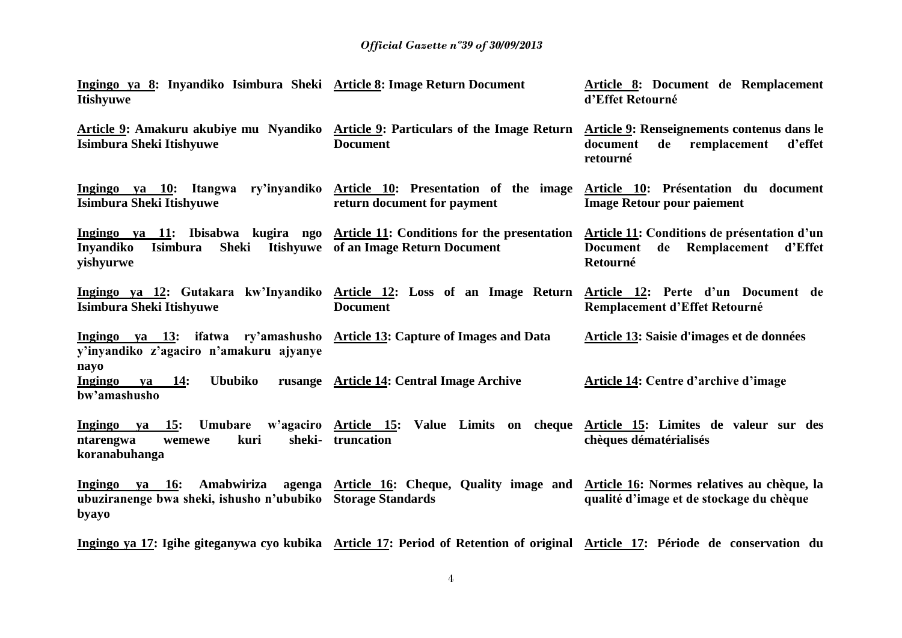| Ingingo ya 8: Inyandiko Isimbura Sheki Article 8: Image Return Document<br><b>Itishyuwe</b>                                                                     |                                                                                                                     | Article 8: Document de Remplacement<br>d'Effet Retourné                                                     |
|-----------------------------------------------------------------------------------------------------------------------------------------------------------------|---------------------------------------------------------------------------------------------------------------------|-------------------------------------------------------------------------------------------------------------|
| Article 9: Amakuru akubiye mu Nyandiko Article 9: Particulars of the Image Return Article 9: Renseignements contenus dans le<br><b>Isimbura Sheki Itishyuwe</b> | <b>Document</b>                                                                                                     | document<br>remplacement<br>de<br>d'effet<br>retourné                                                       |
| Ingingo ya 10: Itangwa ry'inyandiko Article 10: Presentation of the image Article 10: Présentation du document<br><b>Isimbura Sheki Itishyuwe</b>               | return document for payment                                                                                         | <b>Image Retour pour paiement</b>                                                                           |
| Ingingo ya 11: Ibisabwa kugira ngo Article 11: Conditions for the presentation<br><b>Inyandiko</b><br><b>Sheki</b><br><b>Isimbura</b><br>yishyurwe              | <b>Itishyuwe</b> of an Image Return Document                                                                        | Article 11: Conditions de présentation d'un<br>Remplacement<br>d'Effet<br><b>Document</b><br>de<br>Retourné |
| <u>Ingingo ya 12</u> : Gutakara kw'Inyandiko <u>Article 12</u> : Loss of an Image Return Article 12: Perte d'un Document de<br><b>Isimbura Sheki Itishyuwe</b>  | <b>Document</b>                                                                                                     | Remplacement d'Effet Retourné                                                                               |
| Ingingo ya 13: ifatwa ry'amashusho Article 13: Capture of Images and Data<br>y'inyandiko z'agaciro n'amakuru ajyanye<br>nayo                                    |                                                                                                                     | Article 13: Saisie d'images et de données                                                                   |
| <b>Ububiko</b><br>ya 14:<br>Ingingo<br>bw'amashusho                                                                                                             | rusange Article 14: Central Image Archive                                                                           | <b>Article 14: Centre d'archive d'image</b>                                                                 |
| Ingingo ya 15:<br>sheki-<br>ntarengwa<br>kuri<br>wemewe<br>koranabuhanga                                                                                        | Umubare w'agaciro Article 15: Value Limits on cheque Article 15: Limites de valeur sur des<br>truncation            | chèques dématérialisés                                                                                      |
| Ingingo<br>va 16:<br>Amabwiriza<br>ubuziranenge bwa sheki, ishusho n'ububiko<br>byayo                                                                           | agenga Article 16: Cheque, Quality image and Article 16: Normes relatives au chèque, la<br><b>Storage Standards</b> | qualité d'image et de stockage du chèque                                                                    |

**Ingingo ya 17: Igihe giteganywa cyo kubika Article 17: Period of Retention of original Article 17: Période de conservation du**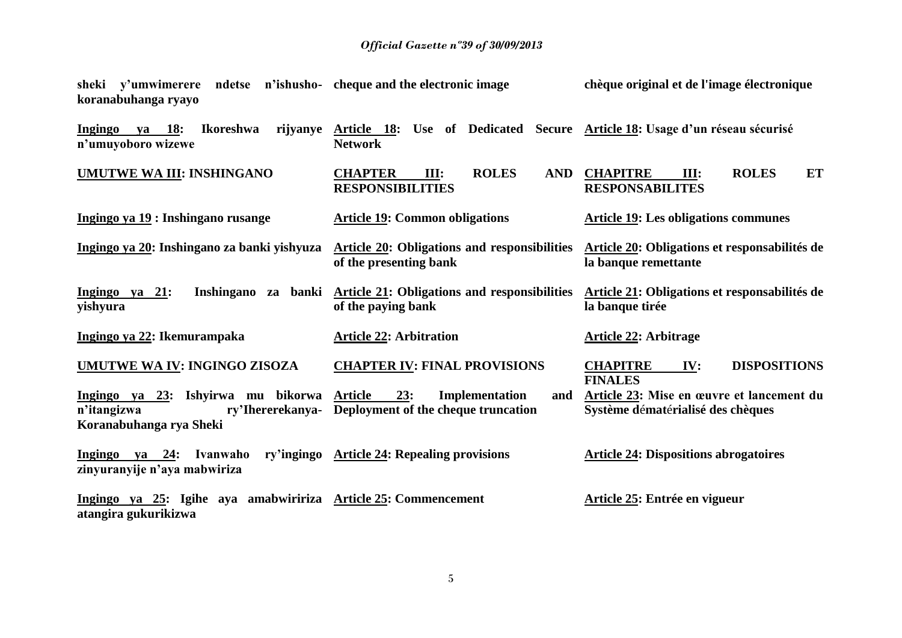#### *Official Gazette nº39 of 30/09/2013*

**sheki y'umwimerere ndetse n'ishushokoranabuhanga ryayo cheque and the electronic image chèque original et de l'image électronique**

**Ingingo ya 18: Ikoreshwa n'umuyoboro wizewe Article 18: Use of Dedicated Secure Article 18: Usage d'un réseau sécurisé Network UMUTWE WA III: INSHINGANO CHAPTER III: ROLES AND RESPONSIBILITIES CHAPITRE III: ROLES ET RESPONSABILITES Ingingo ya 19 : Inshingano rusange Article 19: Common obligations Article 19: Les obligations communes Ingingo ya 20: Inshingano za banki yishyuza of the presenting bank Article 20: Obligations et responsabilités de la banque remettante Ingingo ya 21: Inshingano za banki yishyura Article 21: Obligations and responsibilities of the paying bank Article 21: Obligations et responsabilités de la banque tirée Ingingo ya 22: Ikemurampaka Article 22: Arbitration Article 22: Arbitrage UMUTWE WA IV: INGINGO ZISOZA CHAPTER IV: FINAL PROVISIONS CHAPITRE IV: DISPOSITIONS FINALES Ingingo ya 23: Ishyirwa mu bikorwa n'itangizwa ry'Ihererekanya-Deployment of the cheque truncation Koranabuhanga rya Sheki** 23: Implementation and **Article 23: Mise en œuvre et lancement du Système d**é**mat**é**rialisé des chèques Ingingo ya 24: Ivanwaho ry'ingingo zinyuranyije n'aya mabwiriza Article 24: Dispositions abrogatoires Ingingo ya 25: Igihe aya amabwiririza atangira gukurikizwa Article 25: Commencement Article 25: Entrée en vigueur**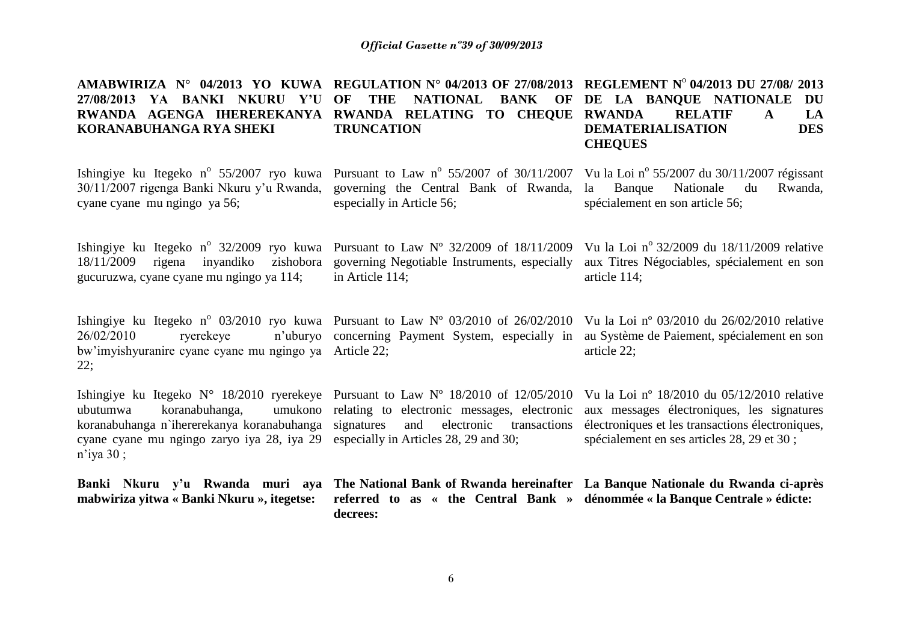**AMABWIRIZA N° 04/2013 YO KUWA REGULATION N° 04/2013 OF 27/08/2013 REGLEMENT N**<sup>o</sup> **04/2013 DU 27/08/ 2013 27/08/2013 YA BANKI NKURU Y'U OF THE NATIONAL BANK OF DE LA BANQUE NATIONALE DU RWANDA AGENGA IHEREREKANYA RWANDA RELATING TO CHEQUE RWANDA RELATIF A LA KORANABUHANGA RYA SHEKI TRUNCATION DEMATERIALISATION DES CHEQUES**

30/11/2007 rigenga Banki Nkuru y'u Rwanda, cyane cyane mu ngingo ya 56;

governing the Central Bank of Rwanda, especially in Article 56;

Ishingiye ku Itegeko n<sup>o</sup> 55/2007 ryo kuwa Pursuant to Law n<sup>o</sup> 55/2007 of 30/11/2007 Vu la Loi n<sup>o</sup> 55/2007 du 30/11/2007 régissant Banque Nationale du Rwanda, spécialement en son article 56;

Ishingiye ku Itegeko n<sup>o</sup> 32/2009 ryo kuwa Pursuant to Law N<sup>o</sup> 32/2009 of 18/11/2009 18/11/2009 rigena inyandiko zishobora governing Negotiable Instruments, especially gucuruzwa, cyane cyane mu ngingo ya 114;

bw'imyishyuranire cyane cyane mu ngingo ya Article 22;

26/02/2010 rverekeye

22;

in Article 114; Vu la Loi nº 32/2009 du  $18/11/2009$  relative aux Titres Négociables, spécialement en son article 114;

Ishingiye ku Itegeko n<sup>o</sup> 03/2010 ryo kuwa Pursuant to Law N<sup>o</sup> 03/2010 of 26/02/2010 Vu la Loi n<sup>o</sup> 03/2010 du 26/02/2010 relative n'uburyo concerning Payment System, especially in au Système de Paiement, spécialement en son article 22;

Ishingiye ku Itegeko N° 18/2010 ryerekeye Pursuant to Law N° 18/2010 of 12/05/2010 Vu la Loi n° 18/2010 du 05/12/2010 relative ubutumwa koranabuhanga. koranabuhanga n'ihererekanya koranabuhanga signatures and electronic transactions électroniques et les transactions électroniques, cyane cyane mu ngingo zaryo iya 28, iya 29 especially in Articles 28, 29 and 30; n'iya 30 ; relating to electronic messages, electronic aux messages électroniques, les signatures spécialement en ses articles 28, 29 et 30 ;

Banki Nkuru y'u Rwanda muri aya The National Bank of Rwanda hereinafter La Banque Nationale du Rwanda ci-après **mabwiriza yitwa « Banki Nkuru », itegetse: referred to as « the Central Bank » dénommée « la Banque Centrale » édicte:decrees:**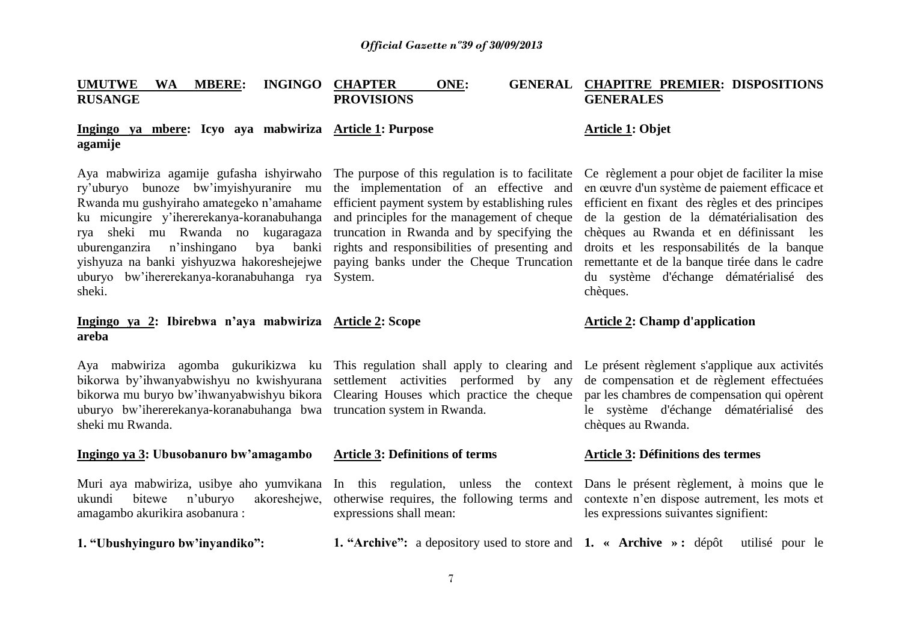| <b>UMUTWE</b><br><b>RUSANGE</b> | <b>WA</b> | <b>MBERE:</b> | INGINGO CHAPTER<br><b>PROVISIONS</b>                    | ONE: | <b>GENERAL CHAPITRE PREMIER: DISPOSITIONS</b><br><b>GENERALES</b> |
|---------------------------------|-----------|---------------|---------------------------------------------------------|------|-------------------------------------------------------------------|
| agamije                         |           |               | Ingingo ya mbere: Icyo aya mabwiriza Article 1: Purpose |      | Article 1: Objet                                                  |

Aya mabwiriza agamije gufasha ishyirwaho The purpose of this regulation is to facilitate Ce règlement a pour objet de faciliter la mise ry'uburyo bunoze bw'imyishyuranire mu the implementation of an effective and en œuvre d'un système de paiement efficace et Rwanda mu gushyiraho amategeko n'amahame efficient payment system by establishing rules efficient en fixant des règles et des principes ku micungire y'ihererekanya-koranabuhanga rya sheki mu Rwanda no kugaragaza truncation in Rwanda and by specifying the chèques au Rwanda et en définissant les uburenganzira n'inshingano bya banki rights and responsibilities of presenting and yishyuza na banki yishyuzwa hakoreshejejwe paying banks under the Cheque Truncation remettante et de la banque tirée dans le cadre uburyo bw'ihererekanya-koranabuhanga rya System. sheki.

# **Ingingo ya 2: Ibirebwa n'aya mabwiriza areba**

bikorwa by'ihwanyabwishyu no kwishyurana settlement activities performed by any bikorwa mu buryo bw'ihwanyabwishyu bikora Clearing Houses which practice the cheque uburyo bw'ihererekanya-koranabuhanga bwa truncation system in Rwanda. sheki mu Rwanda.

# **Ingingo ya 3: Ubusobanuro bw'amagambo Article 3: Definitions of terms Article 3: Définitions des termes**

Muri aya mabwiriza, usibye aho yumvikana ukundi bitewe n'uburyo akoreshejwe, amagambo akurikira asobanura :

and principles for the management of cheque

expressions shall mean:

**1. "Ubushyinguro bw'inyandiko": 1. "Archive":** a depository used to store and **1. « Archive » :** dépôt utilisé pour le

In this regulation, unless the context Dans le présent règlement, à moins que le otherwise requires, the following terms and contexte n'en dispose autrement, les mots et les expressions suivantes signifient:

de la gestion de la dématérialisation des droits et les responsabilités de la banque du système d'échange dématérialisé des chèques.

# Article 2: Champ d'application

Aya mabwiriza agomba gukurikizwa ku This regulation shall apply to clearing and Le présent règlement s'applique aux activités de compensation et de règlement effectuées par les chambres de compensation qui opèrent le système d'échange dématérialisé des chèques au Rwanda.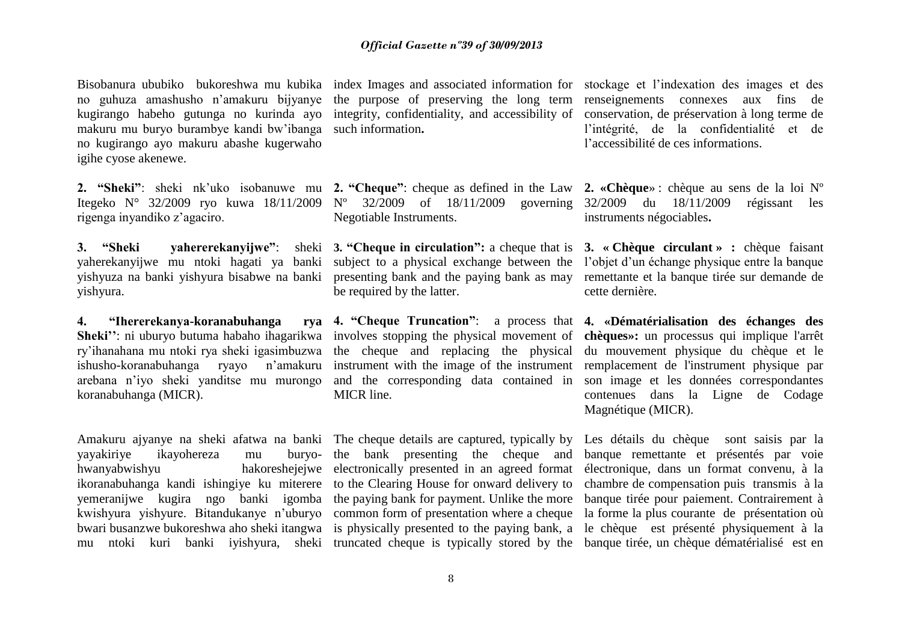no guhuza amashusho n'amakuru bijyanye the purpose of preserving the long term renseignements connexes aux fins de kugirango habeho gutunga no kurinda ayo makuru mu buryo burambye kandi bw'ibanga no kugirango ayo makuru abashe kugerwaho igihe cyose akenewe.

**2. "Sheki"**: sheki nk'uko isobanuwe mu **2. "Cheque"**: cheque as defined in the Law **2. «Chèque**» : chèque au sens de la loi Nº Itegeko N° 32/2009 ryo kuwa 18/11/2009 N° 32/2009 of 18/11/2009 governing 32/2009 du 18/11/2009 régissant les rigenga inyandiko z'agaciro.

**3. "Sheki yahererekanyijwe"**: sheki **3. "Cheque in circulation":** a cheque that is **3. « Chèque circulant » :** chèque faisant yishyura.

**4. "Ihererekanya-koranabuhanga rya**  ry'ihanahana mu ntoki rya sheki igasimbuzwa the cheque and replacing the physical arebana n'iyo sheki yanditse mu murongo koranabuhanga (MICR).

Amakuru ajyanye na sheki afatwa na banki The cheque details are captured, typically by yayakiriye ikayohereza mu hwanyabwishyu ikoranabuhanga kandi ishingiye ku miterere to the Clearing House for onward delivery to chambre de compensation puis transmis à la yemeranijwe kugira ngo banki igomba the paying bank for payment. Unlike the more banque tirée pour paiement. Contrairement à kwishyura yishyure. Bitandukanye n'uburyo common form of presentation where a cheque bwari busanzwe bukoreshwa aho sheki itangwa is physically presented to the paying bank, a le chèque est présenté physiquement à la mu ntoki kuri banki iyishyura, sheki truncated cheque is typically stored by the banque tirée, un chèque dématérialisé est en

such information**.**

Negotiable Instruments.

be required by the latter.

and the corresponding data contained in MICR line.

Bisobanura ububiko bukoreshwa mu kubika index Images and associated information for stockage et l'indexation des images et des integrity, confidentiality, and accessibility of conservation, de préservation à long terme de l'intégrité, de la confidentialité et de l'accessibilité de ces informations.

instruments négociables**.**

yaherekanyijwe mu ntoki hagati ya banki subject to a physical exchange between the l'objet d'un échange physique entre la banque yishyuza na banki yishyura bisabwe na banki presenting bank and the paying bank as may remettante et la banque tirée sur demande de cette dernière.

**Sheki''**: ni uburyo butuma habaho ihagarikwa involves stopping the physical movement of **chèques»:** un processus qui implique l'arrêt ishusho-koranabuhanga ryayo n'amakuru instrument with the image of the instrument remplacement de l'instrument physique par **4. "Cheque Truncation"**: a process that **4. «Dématérialisation des échanges des**  du mouvement physique du chèque et le son image et les données correspondantes contenues dans la Ligne de Codage Magnétique (MICR).

> the bank presenting the cheque and banque remettante et présentés par voie electronically presented in an agreed format électronique, dans un format convenu, à la Les détails du chèque sont saisis par la la forme la plus courante de présentation où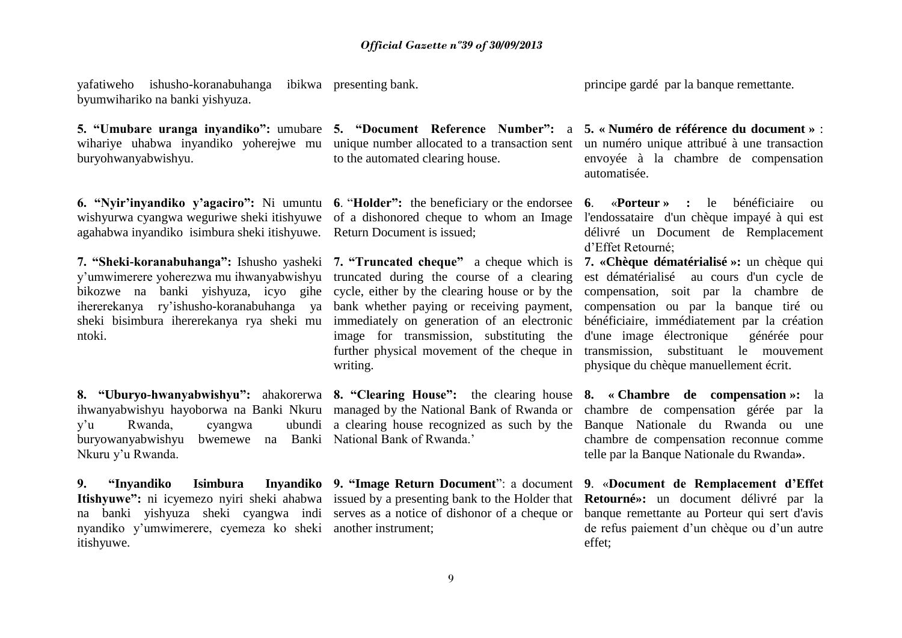yafatiweho ishusho-koranabuhanga ibikwa byumwihariko na banki yishyuza.

wihariye uhabwa inyandiko yoherejwe mu unique number allocated to a transaction sent buryohwanyabwishyu.

**6. "Nyir'inyandiko y'agaciro":** Ni umuntu **6**. "**Holder":** the beneficiary or the endorsee wishyurwa cyangwa weguriwe sheki itishyuwe of a dishonored cheque to whom an Image agahabwa inyandiko isimbura sheki itishyuwe. Return Document is issued;

**7. "Sheki-koranabuhanga":** Ishusho yasheki **7. "Truncated cheque"** a cheque which is y'umwimerere yoherezwa mu ihwanyabwishyu truncated during the course of a clearing bikozwe na banki yishyuza, icyo gihe cycle, either by the clearing house or by the ihererekanya ry'ishusho-koranabuhanga ya sheki bisimbura ihererekanya rya sheki mu ntoki.

**8. "Uburyo-hwanyabwishyu":** ahakorerwa **8. "Clearing House":** the clearing house **8. « Chambre de compensation »:** la ihwanyabwishyu hayoborwa na Banki Nkuru managed by the National Bank of Rwanda or  $y'u$  Rwanda, cyangwa buryowanyabwishyu bwemewe na Banki National Bank of Rwanda.' Nkuru y'u Rwanda.

**9.** "Invandiko Isimbura **Itishyuwe":** ni icyemezo nyiri sheki ahabwa issued by a presenting bank to the Holder that na banki yishyuza sheki cyangwa indi serves as a notice of dishonor of a cheque or nyandiko y'umwimerere, cyemeza ko sheki another instrument; itishyuwe.

**5. "Umubare uranga inyandiko":** umubare **5. "Document Reference Number":** a to the automated clearing house.

bank whether paying or receiving payment, immediately on generation of an electronic image for transmission, substituting the further physical movement of the cheque in writing.

principe gardé par la banque remettante.

**5. « Numéro de référence du document »** : un numéro unique attribué à une transaction envoyée à la chambre de compensation automatisée.

**6**. «**Porteur » :** le bénéficiaire ou l'endossataire d'un chèque impayé à qui est délivré un Document de Remplacement d'Effet Retourné;

**7. «Chèque dématérialisé »:** un chèque qui est dématérialisé au cours d'un cycle de compensation, soit par la chambre de compensation ou par la banque tiré ou bénéficiaire, immédiatement par la création d'une image électronique générée pour transmission, substituant le mouvement physique du chèque manuellement écrit.

a clearing house recognized as such by the Banque Nationale du Rwanda ou une chambre de compensation gérée par la chambre de compensation reconnue comme telle par la Banque Nationale du Rwanda**»**.

**9. "Image Return Document**": a document **9**. «**Document de Remplacement d'Effet Retourné»:** un document délivré par la banque remettante au Porteur qui sert d'avis de refus paiement d'un chèque ou d'un autre effet;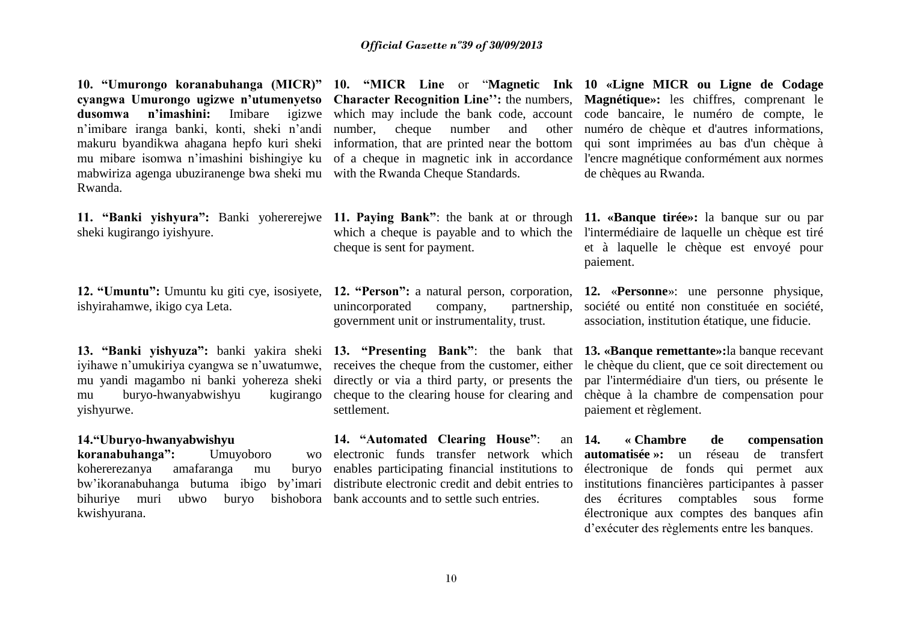**10. "Umurongo koranabuhanga (MICR)" 10. "MICR Line** or "**Magnetic Ink 10 «Ligne MICR ou Ligne de Codage cyangwa Umurongo ugizwe n'utumenyetso dusomwa n'imashini:** Imibare igizwe n'imibare iranga banki, konti, sheki n'andi makuru byandikwa ahagana hepfo kuri sheki mu mibare isomwa n'imashini bishingiye ku mabwiriza agenga ubuziranenge bwa sheki mu Rwanda.

sheki kugirango iyishyure.

**12. "Umuntu":** Umuntu ku giti cye, isosiyete, ishyirahamwe, ikigo cya Leta.

**13. "Banki yishyuza":** banki yakira sheki iyihawe n'umukiriya cyangwa se n'uwatumwe, mu yandi magambo ni banki yohereza sheki mu buryo-hwanyabwishyu kugirango yishyurwe.

# **14."Uburyo-hwanyabwishyu**  koranabuhanga": Umuyoboro kohererezanya amafaranga mu buryo bihuriye muri ubwo buryo kwishyurana.

number, cheque number and with the Rwanda Cheque Standards.

cheque is sent for payment.

**12. "Person":** a natural person, corporation, **12.** «**Personne**»: une personne physique, unincorporated company, partnership, government unit or instrumentality, trust.

directly or via a third party, or presents the cheque to the clearing house for clearing and settlement.

bw'ikoranabuhanga butuma ibigo by'imari distribute electronic [credit](http://www.investorwords.com/1193/credit.html) and [debit](http://www.investorwords.com/1308/debit.html) entries to **14. "Automated Clearing House"**: an wo [electronic funds transfer](http://www.investorwords.com/1680/Electronic_Funds_Transfer.html) network which enables participating [financial institutions](http://www.investorwords.com/1950/financial_institution.html) to bishobora [bank accounts](http://www.investorwords.com/7006/bank_account.html) and to [settle](http://www.investorwords.com/4511/settle.html) such entries.

**Character Recognition Line'':** the numbers, **Magnétique»:** les chiffres, comprenant le which may include the bank code, account code bancaire, le numéro de compte, le information, that are printed near the bottom qui sont imprimées au bas d'un chèque à of a cheque in magnetic ink in accordance l'encre magnétique conformément aux normes numéro de chèque et d'autres informations, de chèques au Rwanda.

**11. "Banki yishyura":** Banki yohererejwe **11. Paying Bank"**: the bank at or through **11. «Banque tirée»:** la banque sur ou par which a cheque is payable and to which the l'intermédiaire de laquelle un chèque est tiré et à laquelle le chèque est envoyé pour paiement.

> société ou entité non constituée en société, association, institution étatique, une fiducie.

**13. "Presenting Bank"**: the bank that **13. «Banque remettante»:**la banque recevant receives the cheque from the customer, either le chèque du client, que ce soit directement ou par l'intermédiaire d'un tiers, ou présente le chèque à la chambre de compensation pour paiement et règlement.

> **14. « Chambre de compensation automatisée »:** un réseau de transfert électronique de fonds qui permet aux institutions financières participantes à passer des écritures comptables sous forme électronique aux comptes des banques afin d'exécuter des règlements entre les banques.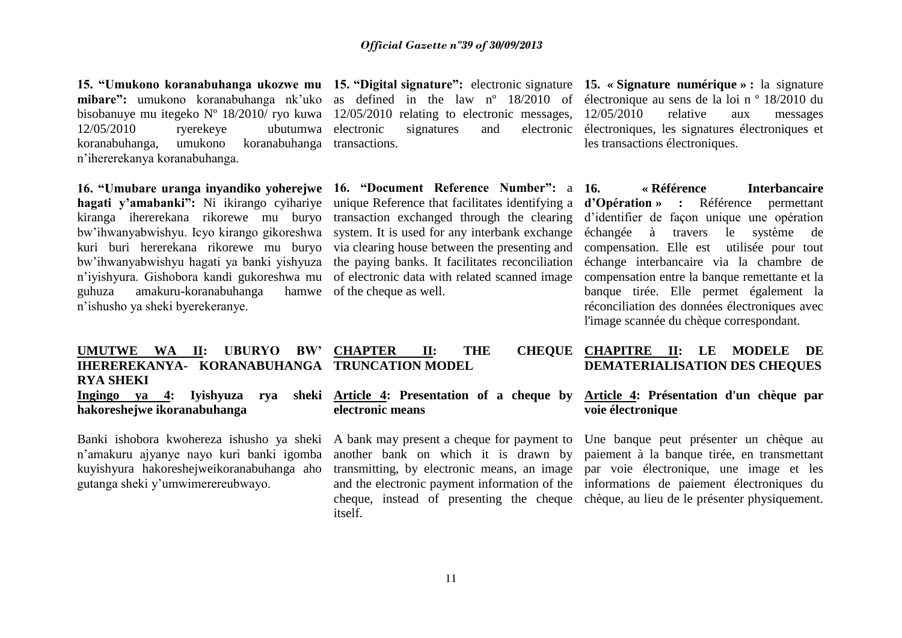**mibare":** umukono koranabuhanga nk'uko as defined in the law nº 18/2010 of électronique au sens de la loi n º 18/2010 du bisobanuye mu itegeko N° 18/2010/ ryo kuwa 12/05/2010 relating to electronic messages, 12/05/2010 relative aux messages 12/05/2010 ryerekeye ubutumwa koranabuhanga, umukono koranabuhanga transactions. n'ihererekanya koranabuhanga.

**16. "Umubare uranga inyandiko yoherejwe 16. "Document Reference Number":** a kiranga ihererekana rikorewe mu buryo transaction exchanged through the clearing bw'ihwanyabwishyu. Icyo kirango gikoreshwa system. It is used for any interbank exchange bw'ihwanyabwishyu hagati ya banki yishyuza the paying banks. It facilitates reconciliation n'iyishyura. Gishobora kandi gukoreshwa mu of electronic data with related scanned image guhuza amakuru-koranabuhanga n'ishusho ya sheki byerekeranye.

**15. "Umukono koranabuhanga ukozwe mu 15. "Digital signature":** electronic signature **15. « Signature numérique » :** la signature signatures and

hamwe of the cheque as well.

électroniques, les signatures électroniques et les transactions électroniques.

**hagati y'amabanki":** Ni ikirango cyihariye unique Reference that facilitates identifying a **d'Opération » :** Référence permettant kuri buri hererekana rikorewe mu buryo via clearing house between the presenting and compensation. Elle est utilisée pour tout **16. « Référence Interbancaire**  d'identifier de façon unique une opération échangée à travers le système de échange interbancaire via la chambre de compensation entre la banque remettante et la banque tirée. Elle permet également la réconciliation des données électroniques avec l'image scannée du chèque correspondant.

# CHEOUE CHAPITRE II: LE MODELE DE **DEMATERIALISATION DES CHEQUES**

# **Article 4: Présentation d'un chèque par voie électronique**

transmitting, by electronic means, an image par voie électronique, une image et les and the electronic payment information of the informations de paiement électroniques du cheque, instead of presenting the cheque chèque, au lieu de le présenter physiquement. paiement à la banque tirée, en transmettant

#### **UMUTWE WA II: UBURYO BW' IHEREREKANYA- KORANABUHANGA TRUNCATION MODEL RYA SHEKI CHAPTER II: THE**

Ingingo ya 4: Ivishyuza rya **hakoreshejwe ikoranabuhanga**

Banki ishobora kwohereza ishusho ya sheki A bank may present a cheque for payment to Une banque peut présenter un chèque au n'amakuru ajyanye nayo kuri banki igomba kuyishyura hakoreshejweikoranabuhanga aho gutanga sheki y'umwimerereubwayo.

**Article 4: Presentation of a cheque by electronic means**

> another bank on which it is drawn by itself.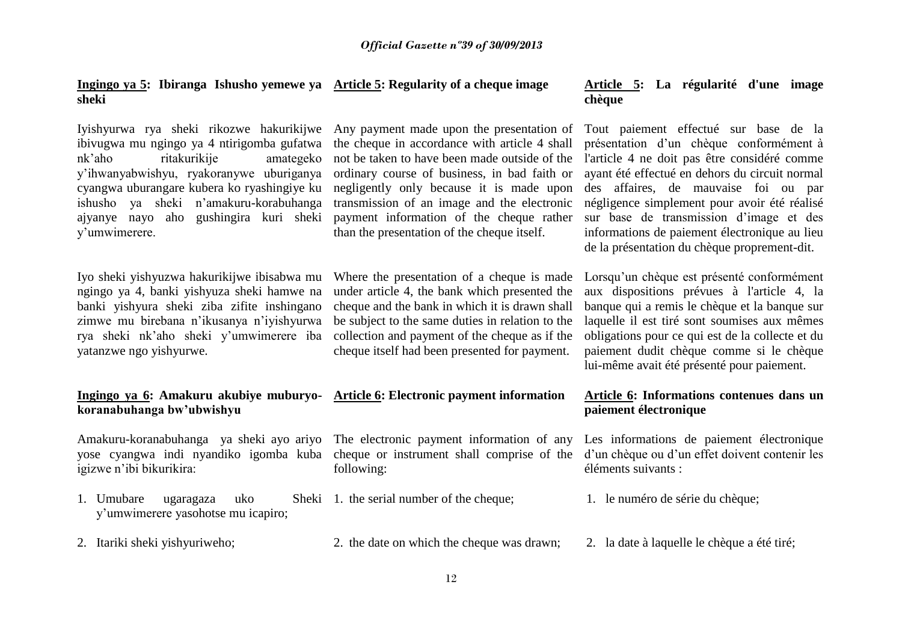## **Ingingo ya 5: Ibiranga Ishusho yemewe ya sheki**

Iyishyurwa rya sheki rikozwe hakurikijwe Any payment made upon the presentation of ibivugwa mu ngingo ya 4 ntirigomba gufatwa nk'aho ritakurikije amategeko y'ihwanyabwishyu, ryakoranywe uburiganya cyangwa uburangare kubera ko ryashingiye ku ishusho ya sheki n'amakuru-korabuhanga ajyanye nayo aho gushingira kuri sheki y'umwimerere.

Iyo sheki yishyuzwa hakurikijwe ibisabwa mu ngingo ya 4, banki yishyuza sheki hamwe na banki yishyura sheki ziba zifite inshingano zimwe mu birebana n'ikusanya n'iyishyurwa rya sheki nk'aho sheki y'umwimerere iba yatanzwe ngo yishyurwe.

# **Ingingo ya 6: Amakuru akubiye muburyokoranabuhanga bw'ubwishyu**

Amakuru-koranabuhanga ya sheki ayo ariyo The electronic payment information of any yose cyangwa indi nyandiko igomba kuba cheque or instrument shall comprise of the igizwe n'ibi bikurikira:

- 1. Umubare ugaragaza uko y'umwimerere yasohotse mu icapiro;
- 

# the cheque in accordance with article 4 shall not be taken to have been made outside of the ordinary course of business, in bad faith or negligently only because it is made upon transmission of an image and the electronic payment information of the cheque rather than the presentation of the cheque itself.

Where the presentation of a cheque is made under article 4, the bank which presented the cheque and the bank in which it is drawn shall be subject to the same duties in relation to the collection and payment of the cheque as if the cheque itself had been presented for payment.

following:

- Sheki 1. the serial number of the cheque; 1. le numéro de série du chèque;
- 2. Itariki sheki yishyuriweho; 2. the date on which the cheque was drawn; 2. la date à laquelle le chèque a été tiré;

# **Article 5: Regularity of a cheque image Article 5: La régularité d'une image chèque**

Tout paiement effectué sur base de la présentation d'un chèque conformément à l'article 4 ne doit pas être considéré comme ayant été effectué en dehors du circuit normal des affaires, de mauvaise foi ou par négligence simplement pour avoir été réalisé sur base de transmission d'image et des informations de paiement électronique au lieu de la présentation du chèque proprement-dit.

Lorsqu'un chèque est présenté conformément aux dispositions prévues à l'article 4, la banque qui a remis le chèque et la banque sur laquelle il est tiré sont soumises aux mêmes obligations pour ce qui est de la collecte et du paiement dudit chèque comme si le chèque lui-même avait été présenté pour paiement.

# Article 6: Informations contenues dans un **paiement électronique**

Les informations de paiement électronique d'un chèque ou d'un effet doivent contenir les éléments suivants :

- 
-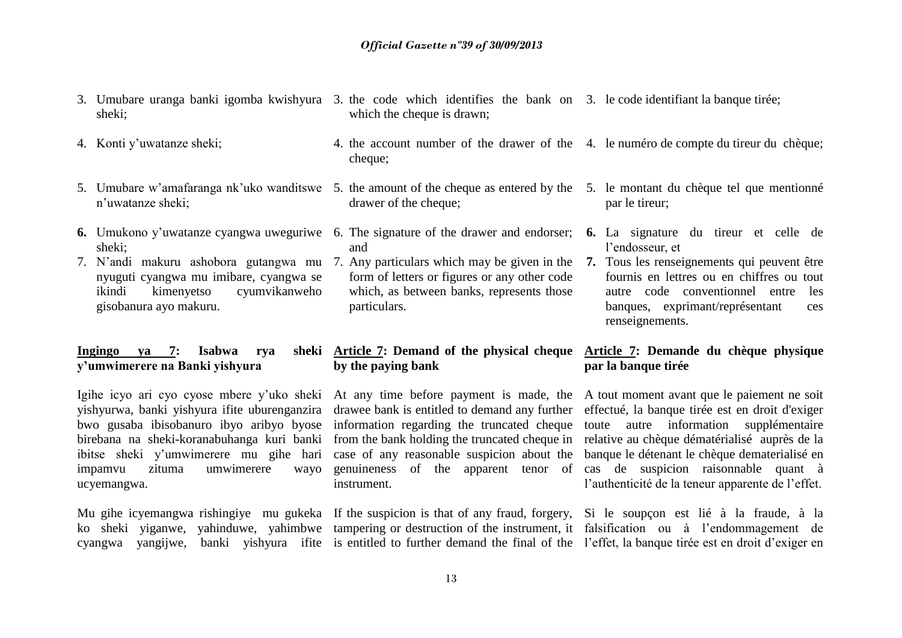- sheki;
- 
- 5. Umubare w'amafaranga nk'uko wanditswe 5. the amount of the cheque as entered by the 5. le montant du chèque tel que mentionné n'uwatanze sheki;
- **6.** Umukono y'uwatanze cyangwa uweguriwe 6. The signature of the drawer and endorser; **6.** La signature du tireur et celle de sheki;
- nyuguti cyangwa mu imibare, cyangwa se ikindi kimenyetso cyumvikanweho gisobanura ayo makuru.

# Ingingo ya 7: Isabwa rya **y'umwimerere na Banki yishyura**

Igihe icyo ari cyo cyose mbere y'uko sheki At any time before payment is made, the A tout moment avant que le paiement ne soit yishyurwa, banki yishyura ifite uburenganzira drawee bank is entitled to demand any further effectué, la banque tirée est en droit d'exiger bwo gusaba ibisobanuro ibyo aribyo byose information regarding the truncated cheque toute autre information supplémentaire birebana na sheki-koranabuhanga kuri banki from the bank holding the truncated cheque in relative au chèque dématérialisé auprès de la ibitse sheki y'umwimerere mu gihe hari impamvu zituma umwimerere wayo ucyemangwa.

- 3. Umubare uranga banki igomba kwishyura 3. the code which identifies the bank on 3. le code identifiant la banque tirée; which the cheque is drawn:
- 4. Konti y'uwatanze sheki; 4. the account number of the drawer of the 4. le numéro de compte du tireur du chèque; cheque:
	- drawer of the cheque;
	- and
	- form of letters or figures or any other code which, as between banks, represents those particulars.

# **Article 7: Demand of the physical cheque Article 7: Demande du chèque physique by the paying bank**

instrument.

- par le tireur;
- l'endosseur, et
- 7. N'andi makuru ashobora gutangwa mu 7. Any particulars which may be given in the **7.** Tous les renseignements qui peuvent être fournis en lettres ou en chiffres ou tout autre code conventionnel entre les banques, exprimant/représentant ces renseignements.

# **par la banque tirée**

case of any reasonable suspicion about the banque le détenant le chèque dematerialisé en genuineness of the apparent tenor of cas de suspicion raisonnable quant à l'authenticité de la teneur apparente de l'effet.

Mu gihe icyemangwa rishingiye mu gukeka If the suspicion is that of any fraud, forgery, Si le soupçon est lié à la fraude, à la ko sheki yiganwe, yahinduwe, yahimbwe tampering or destruction of the instrument, it falsification ou à l'endommagement de cyangwa yangijwe, banki yishyura ifite is entitled to further demand the final of the l'effet, la banque tirée est en droit d'exiger en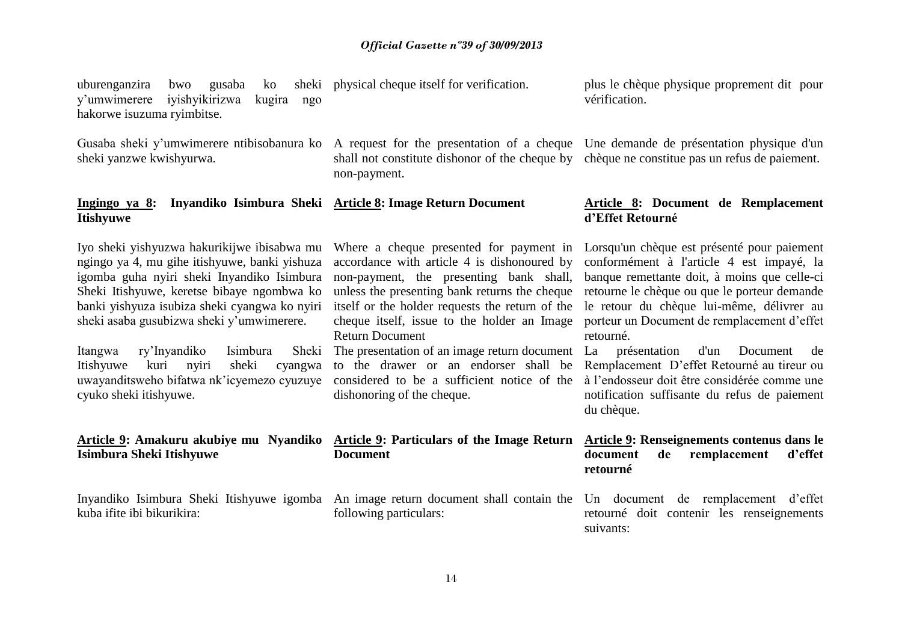uburenganzira bwo gusaba ko sheki physical cheque itself for verification. y'umwimerere iyishyikirizwa kugira ngo hakorwe isuzuma ryimbitse.

sheki yanzwe kwishyurwa.

## **Ingingo ya 8: Inyandiko Isimbura Sheki Itishyuwe**

non-payment.

Iyo sheki yishyuzwa hakurikijwe ibisabwa mu ngingo ya 4, mu gihe itishyuwe, banki yishuza igomba guha nyiri sheki Inyandiko Isimbura Sheki Itishyuwe, keretse bibaye ngombwa ko banki yishyuza isubiza sheki cyangwa ko nyiri sheki asaba gusubizwa sheki y'umwimerere.

Itangwa ry'Inyandiko Isimbura Sheki Itishyuwe kuri nyiri sheki cyangwa uwayanditsweho bifatwa nk'icyemezo cyuzuye cyuko sheki itishyuwe.

# **Isimbura Sheki Itishyuwe**

kuba ifite ibi bikurikira:

accordance with article 4 is dishonoured by non-payment, the presenting bank shall, unless the presenting bank returns the cheque Return Document

considered to be a sufficient notice of the dishonoring of the cheque.

# Article 9: Amakuru akubiye mu Nyandiko Article 9: Particulars of the Image Return Article 9: Renseignements contenus dans le **Document**

following particulars:

plus le chèque physique proprement dit pour vérification.

Gusaba sheki y'umwimerere ntibisobanura ko A request for the presentation of a cheque Une demande de présentation physique d'un shall not constitute dishonor of the cheque by chèque ne constitue pas un refus de paiement.

## Article 8: Document de Remplacement **d'Effet Retourné**

Where a cheque presented for payment in Lorsqu'un chèque est présenté pour paiement itself or the holder requests the return of the le retour du chèque lui-même, délivrer au cheque itself, issue to the holder an Image porteur un Document de remplacement d'effet conformément à l'article 4 est impayé, la banque remettante doit, à moins que celle-ci retourne le chèque ou que le porteur demande retourné.

The presentation of an image return document La présentation d'un Document de to the drawer or an endorser shall be Remplacement D'effet Retourné au tireur ou à l'endosseur doit être considérée comme une notification suffisante du refus de paiement du chèque.

# **document de remplacement d'effet retourné**

Inyandiko Isimbura Sheki Itishyuwe igomba An image return document shall contain the Un document de remplacement d'effet retourné doit contenir les renseignements suivants: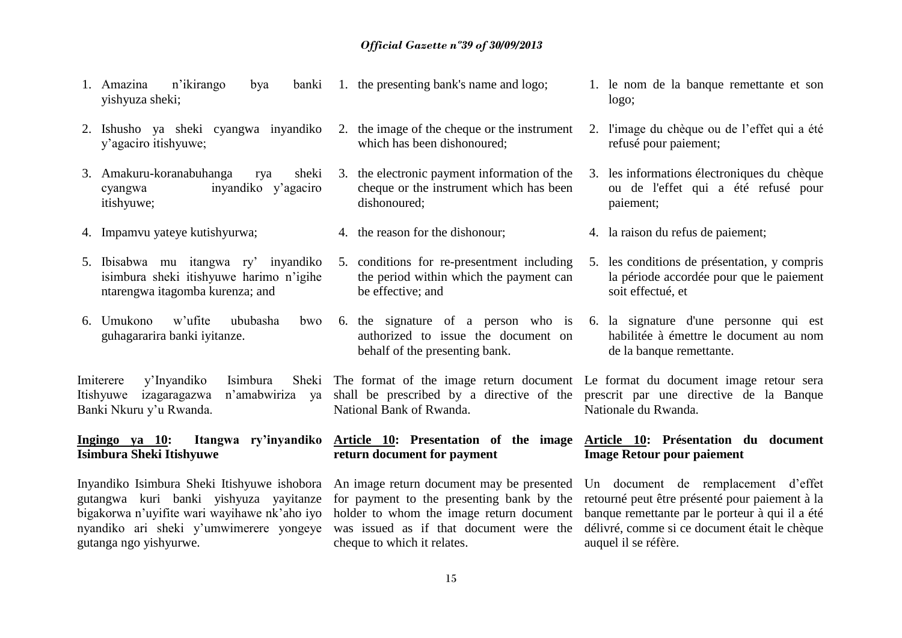### *Official Gazette nº39 of 30/09/2013*

- 1. Amazina n'ikirango bya banki yishyuza sheki;
- 2. Ishusho ya sheki cyangwa inyandiko y'agaciro itishyuwe;
- 3. Amakuru-koranabuhanga rya sheki cyangwa inyandiko y'agaciro itishyuwe;
- 
- 5. Ibisabwa mu itangwa ry' inyandiko isimbura sheki itishyuwe harimo n'igihe ntarengwa itagomba kurenza; and
- 6. Umukono w'ufite ububasha bwo guhagararira banki iyitanze.

Imiterere y'Inyandiko Isimbura Itishyuwe izagaragazwa n'amabwiriza ya Banki Nkuru y'u Rwanda. The format of the image return document Le format du document image retour sera National Bank of Rwanda.

# **Isimbura Sheki Itishyuwe**

Inyandiko Isimbura Sheki Itishyuwe ishobora gutangwa kuri banki yishyuza yayitanze bigakorwa n'uyifite wari wayihawe nk'aho iyo nyandiko ari sheki y'umwimerere yongeye gutanga ngo yishyurwe.

- 2. the image of the cheque or the instrument which has been dishonoured;
- 3. the electronic payment information of the cheque or the instrument which has been dishonoured;
- 
- 5. conditions for re-presentment including the period within which the payment can be effective; and
- 6. the signature of a person who is authorized to issue the document on behalf of the presenting bank.

**return document for payment** 

cheque to which it relates.

- 1. le nom de la banque remettante et son logo;
- 2. l'image du chèque ou de l'effet qui a été refusé pour paiement;
- 3. les informations électroniques du chèque ou de l'effet qui a été refusé pour paiement;
- 4. Impamvu yateye kutishyurwa; 4. the reason for the dishonour; 4. la raison du refus de paiement;
	- 5. les conditions de présentation, y compris la période accordée pour que le paiement soit effectué, et
	- 6. la signature d'une personne qui est habilitée à émettre le document au nom de la banque remettante.

shall be prescribed by a directive of the prescrit par une directive de la Banque Nationale du Rwanda.

## Ingingo ya 10: Itangwa ry'inyandiko Article 10: Presentation of the image Article 10: Présentation du document **Image Retour pour paiement**

An image return document may be presented for payment to the presenting bank by the retourné peut être présenté pour paiement à la holder to whom the image return document was issued as if that document were the Un document de remplacement d'effet banque remettante par le porteur à qui il a été délivré, comme si ce document était le chèque auquel il se réfère.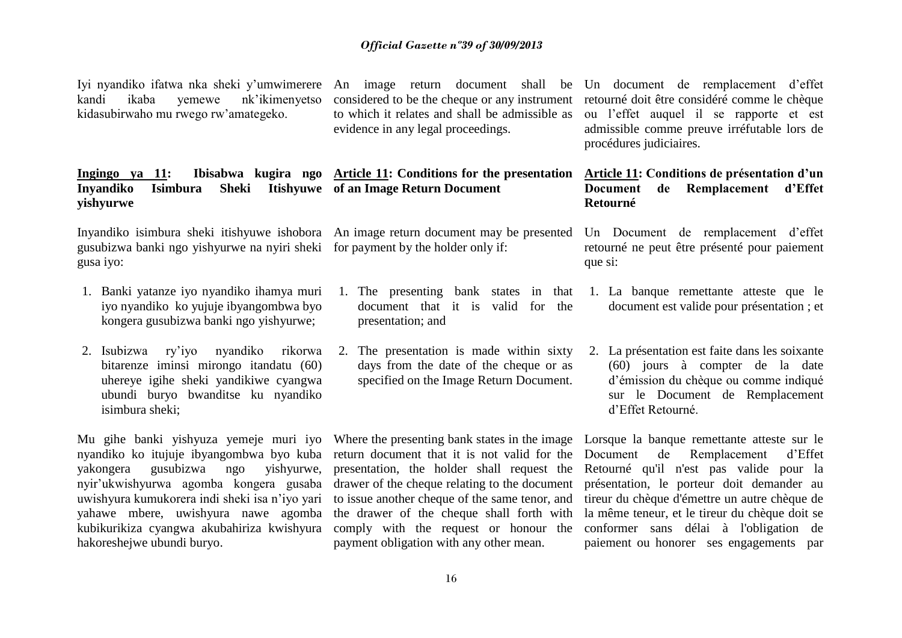kandi ikaba yemewe nk'ikimenyetso kidasubirwaho mu rwego rw'amategeko.

**Ingingo ya 11: Ibisabwa kugira ngo Article 11: Conditions for the presentation Inyandiko Isimbura Sheki Itishyuwe of an Image Return Document yishyurwe**

Inyandiko isimbura sheki itishyuwe ishobora An image return document may be presented gusubizwa banki ngo yishyurwe na nyiri sheki for payment by the holder only if: gusa iyo:

- 1. Banki yatanze iyo nyandiko ihamya muri iyo nyandiko ko yujuje ibyangombwa byo kongera gusubizwa banki ngo yishyurwe;
- 2. Isubizwa ry'iyo nyandiko rikorwa bitarenze iminsi mirongo itandatu (60) uhereye igihe sheki yandikiwe cyangwa ubundi buryo bwanditse ku nyandiko isimbura sheki;

Mu gihe banki yishyuza yemeje muri iyo Where the presenting bank states in the image Lorsque la banque remettante atteste sur le nyandiko ko itujuje ibyangombwa byo kuba return document that it is not valid for the yakongera gusubizwa ngo yishyurwe, nyir'ukwishyurwa agomba kongera gusaba drawer of the cheque relating to the document présentation, le porteur doit demander au uwishyura kumukorera indi sheki isa n'iyo yari to issue another cheque of the same tenor, and tireur du chèque d'émettre un autre chèque de yahawe mbere, uwishyura nawe agomba kubikurikiza cyangwa akubahiriza kwishyura comply with the request or honour the conformer sans délai à l'obligation de hakoreshejwe ubundi buryo.

to which it relates and shall be admissible as evidence in any legal proceedings.

- 1. The presenting bank states in that document that it is valid for the presentation; and
- 2. The presentation is made within sixty days from the date of the cheque or as specified on the Image Return Document.

presentation, the holder shall request the payment obligation with any other mean.

Iyi nyandiko ifatwa nka sheki y'umwimerere An image return document shall be Un document de remplacement d'effet considered to be the cheque or any instrument retourné doit être considéré comme le chèque ou l'effet auquel il se rapporte et est admissible comme preuve irréfutable lors de procédures judiciaires.

# **Article 11: Conditions de présentation d'un Document de Remplacement d'Effet Retourné**

Un Document de remplacement d'effet retourné ne peut être présenté pour paiement que si:

- 1. La banque remettante atteste que le document est valide pour présentation ; et
- 2. La présentation est faite dans les soixante (60) jours à compter de la date d'émission du chèque ou comme indiqué sur le Document de Remplacement d'Effet Retourné.

the drawer of the cheque shall forth with la même teneur, et le tireur du chèque doit se Document de Remplacement d'Effet Retourné qu'il n'est pas valide pour la paiement ou honorer ses engagements par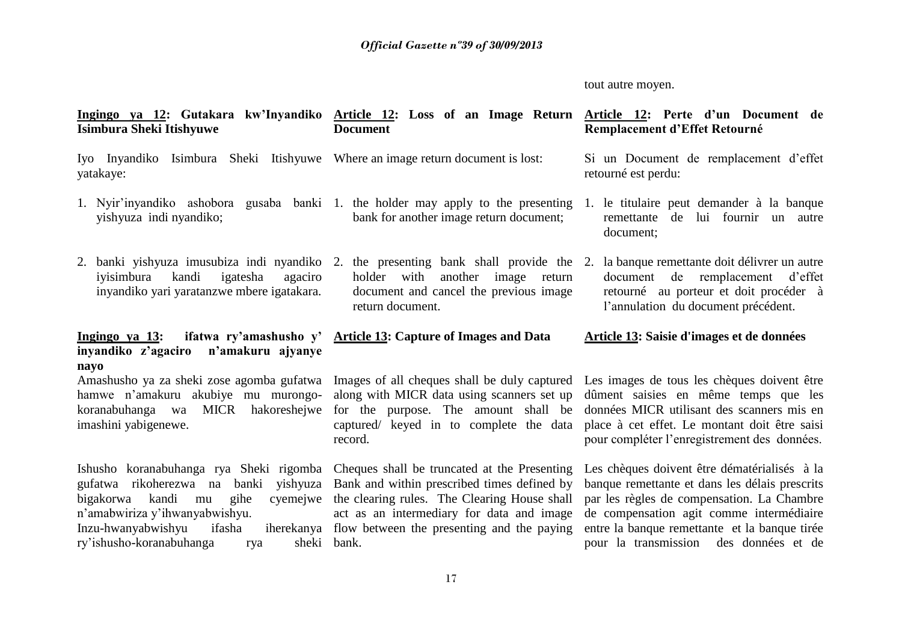# tout autre moyen.

| <u>Ingingo ya 12</u> : Gutakara kw'Inyandiko <u>Article 12</u> : Loss of an Image Return <u>Article 12</u> : Perte d'un Document de<br>Isimbura Sheki Itishyuwe                                                                                                                                                    | <b>Document</b>                                                                                                                                                                          | Remplacement d'Effet Retourné                                                                                                                                                                                                                                                       |
|--------------------------------------------------------------------------------------------------------------------------------------------------------------------------------------------------------------------------------------------------------------------------------------------------------------------|------------------------------------------------------------------------------------------------------------------------------------------------------------------------------------------|-------------------------------------------------------------------------------------------------------------------------------------------------------------------------------------------------------------------------------------------------------------------------------------|
| Iyo Inyandiko Isimbura Sheki Itishyuwe Where an image return document is lost:<br>yatakaye:                                                                                                                                                                                                                        |                                                                                                                                                                                          | Si un Document de remplacement d'effet<br>retourné est perdu:                                                                                                                                                                                                                       |
| 1. Nyir'inyandiko ashobora gusaba banki 1. the holder may apply to the presenting<br>yishyuza indi nyandiko;                                                                                                                                                                                                       | bank for another image return document;                                                                                                                                                  | 1. le titulaire peut demander à la banque<br>lui fournir un autre<br>de<br>remettante<br>document;                                                                                                                                                                                  |
| 2. banki yishyuza imusubiza indi nyandiko 2.<br>igatesha<br>iyisimbura<br>kandi<br>agaciro<br>inyandiko yari yaratanzwe mbere igatakara.                                                                                                                                                                           | the presenting bank shall provide the 2.<br>holder with<br>another image<br>return<br>document and cancel the previous image<br>return document.                                         | la banque remettante doit délivrer un autre<br>document de remplacement<br>d'effet<br>retourné au porteur et doit procéder à<br>l'annulation du document précédent.                                                                                                                 |
| Ingingo ya $13$ :<br>inyandiko z'agaciro n'amakuru ajyanye<br>nayo                                                                                                                                                                                                                                                 | ifatwa ry'amashusho y' Article 13: Capture of Images and Data                                                                                                                            | Article 13: Saisie d'images et de données                                                                                                                                                                                                                                           |
| Amashusho ya za sheki zose agomba gufatwa<br>hamwe n'amakuru akubiye mu murongo-<br>koranabuhanga wa<br>MICR hakoreshejwe<br>imashini yabigenewe.                                                                                                                                                                  | Images of all cheques shall be duly captured<br>along with MICR data using scanners set up<br>for the purpose. The amount shall be<br>captured/ keyed in to complete the data<br>record. | Les images de tous les chèques doivent être<br>dûment saisies en même temps que les<br>données MICR utilisant des scanners mis en<br>place à cet effet. Le montant doit être saisi<br>pour compléter l'enregistrement des données.                                                  |
| Ishusho koranabuhanga rya Sheki rigomba Cheques shall be truncated at the Presenting<br>gufatwa rikoherezwa na<br>banki<br>yishyuza<br>bigakorwa kandi<br>gihe<br>cyemejwe<br>mu<br>n'amabwiriza y'ihwanyabwishyu.<br>Inzu-hwanyabwishyu<br>ifasha<br>iherekanya<br>ry'ishusho-koranabuhanga<br>sheki bank.<br>rya | Bank and within prescribed times defined by<br>the clearing rules. The Clearing House shall<br>act as an intermediary for data and image<br>flow between the presenting and the paying   | Les chèques doivent être dématérialisés à la<br>banque remettante et dans les délais prescrits<br>par les règles de compensation. La Chambre<br>de compensation agit comme intermédiaire<br>entre la banque remettante et la banque tirée<br>pour la transmission des données et de |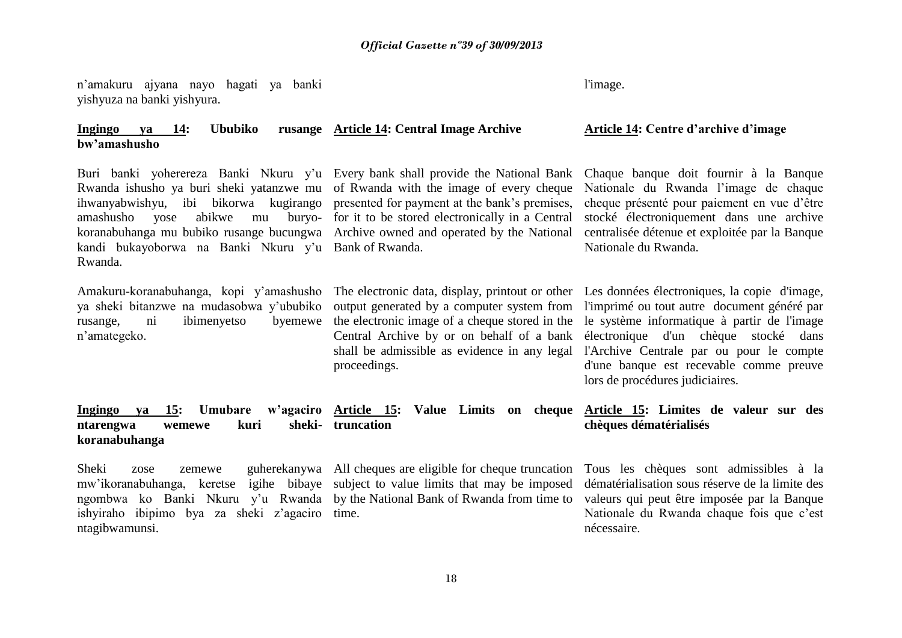n'amakuru ajyana nayo hagati ya banki yishyuza na banki yishyura.

## **Ingingo ya 14: Ububiko rusange bw'amashusho**

Buri banki yoherereza Banki Nkuru y'u Every bank shall provide the National Bank Rwanda ishusho ya buri sheki yatanzwe mu of Rwanda with the image of every cheque ihwanyabwishyu, ibi bikorwa kugirango presented for payment at the bank's premises, amashusho yose abikwe mu buryo-for it to be stored electronically in a Central koranabuhanga mu bubiko rusange bucungwa Archive owned and operated by the National kandi bukayoborwa na Banki Nkuru y'u Bank of Rwanda. Rwanda.

Amakuru-koranabuhanga, kopi y'amashusho ya sheki bitanzwe na mudasobwa y'ububiko rusange, ni ibimenyetso byemewe n'amategeko.

l'image.

### **Article 14: Central Image Archive Article 14: Centre d'archive d'image**

Chaque banque doit fournir à la Banque Nationale du Rwanda l'image de chaque cheque présenté pour paiement en vue d'être stocké électroniquement dans une archive centralisée détenue et exploitée par la Banque Nationale du Rwanda.

proceedings.

The electronic data, display, printout or other Les données électroniques, la copie d'image, output generated by a computer system from l'imprimé ou tout autre document généré par the electronic image of a cheque stored in the le système informatique à partir de l'image Central Archive by or on behalf of a bank électronique d'un chèque stocké dans shall be admissible as evidence in any legal l'Archive Centrale par ou pour le compte d'une banque est recevable comme preuve lors de procédures judiciaires.

**Ingingo ya 15: Umubare** ntarengwa wemewe kuri **koranabuhanga Article 15: Value Limits on cheque Article 15: Limites de valeur sur des truncation** 

mw'ikoranabuhanga, keretse igihe bibaye subject to value limits that may be imposed dématérialisation sous réserve de la limite des ngombwa ko Banki Nkuru y'u Rwanda by the National Bank of Rwanda from time to ishyiraho ibipimo bya za sheki z'agaciro time. ntagibwamunsi.

**chèques dématérialisés** 

Sheki zose zemewe guherekanywa All cheques are eligible for cheque truncation Tous les chèques sont admissibles à la valeurs qui peut être imposée par la Banque Nationale du Rwanda chaque fois que c'est nécessaire.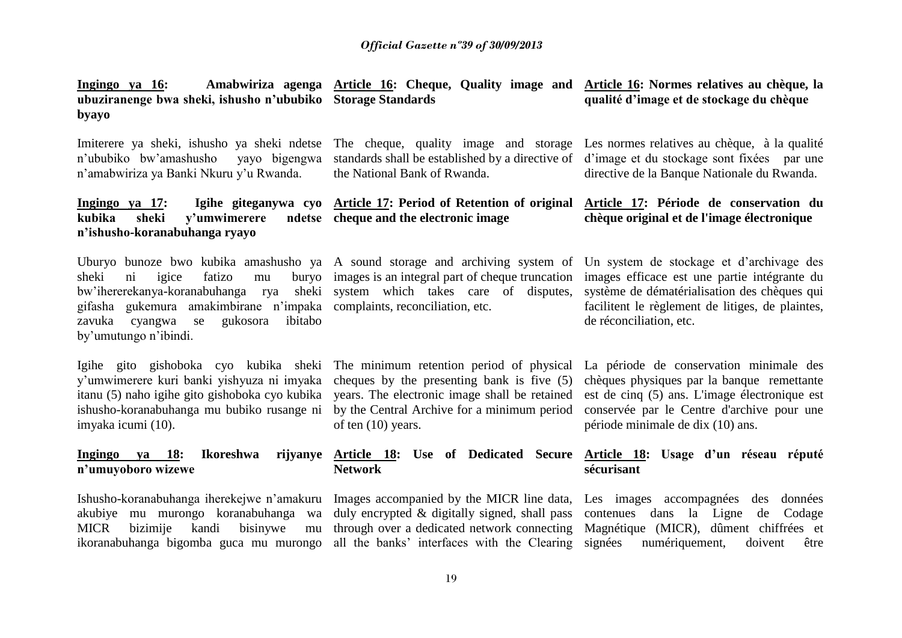| Ingingo ya 16:<br>ubuziranenge bwa sheki, ishusho n'ububiko Storage Standards<br>byayo                                         | Amabwiriza agenga Article 16: Cheque, Quality image and Article 16: Normes relatives au chèque, la | qualité d'image et de stockage du chèque                                                                                         |
|--------------------------------------------------------------------------------------------------------------------------------|----------------------------------------------------------------------------------------------------|----------------------------------------------------------------------------------------------------------------------------------|
| Imiterere ya sheki, ishusho ya sheki ndetse The cheque, quality image and storage Les normes relatives au chèque, à la qualité |                                                                                                    | o'ububika buy'amashusha waya bigangwa standardashall be established by a directive of d'image at du stagkage sont fixóes nor una |

n'ububiko bw'amashusho n'amabwiriza ya Banki Nkuru y'u Rwanda. the National Bank of Rwanda.

#### **Ingingo ya 17: Igihe giteganywa cyo Article 17: Period of Retention of original Article 17: Période de conservation du**  kubika sheki v'umwimerere **n'ishusho-koranabuhanga ryayo cheque and the electronic image**

Uburyo bunoze bwo kubika amashusho ya A sound storage and archiving system of Un system de stockage et d'archivage des sheki ni igice fatizo mu buryo images is an integral part of cheque truncation images efficace est une partie intégrante du bw'ihererekanya-koranabuhanga rya sheki system which takes care of disputes, gifasha gukemura amakimbirane n'impaka complaints, reconciliation, etc. zavuka cyangwa se gukosora ibitabo by'umutungo n'ibindi.

Igihe gito gishoboka cyo kubika sheki The minimum retention period of physical La période de conservation minimale des y'umwimerere kuri banki yishyuza ni imyaka cheques by the presenting bank is five (5) itanu (5) naho igihe gito gishoboka cyo kubika years. The electronic image shall be retained ishusho-koranabuhanga mu bubiko rusange ni imyaka icumi (10).

## **Ingingo ya 18: Ikoreshwa n'umuyoboro wizewe**

Ishusho-koranabuhanga iherekejwe n'amakuru Images accompanied by the MICR line data, akubiye mu murongo koranabuhanga wa MICR bizimije kandi bisinywe mu

by the Central Archive for a minimum period of ten (10) years.

# **Network**

duly encrypted & digitally signed, shall pass

standards shall be established by a directive of d'image et du stockage sont fixées par une directive de la Banque Nationale du Rwanda.

# **chèque original et de l'image électronique**

système de dématérialisation des chèques qui facilitent le règlement de litiges, de plaintes, de réconciliation, etc.

chèques physiques par la banque remettante est de cinq (5) ans. L'image électronique est conservée par le Centre d'archive pour une période minimale de dix (10) ans.

# **Article 18: Use of Dedicated Secure Article 18: Usage d'un réseau réputé sécurisant**

ikoranabuhanga bigomba guca mu murongo all the banks' interfaces with the Clearing signées numériquement, doivent être through over a dedicated network connecting Magnétique (MICR), dûment chiffrées et Les images accompagnées des données contenues dans la Ligne de Codage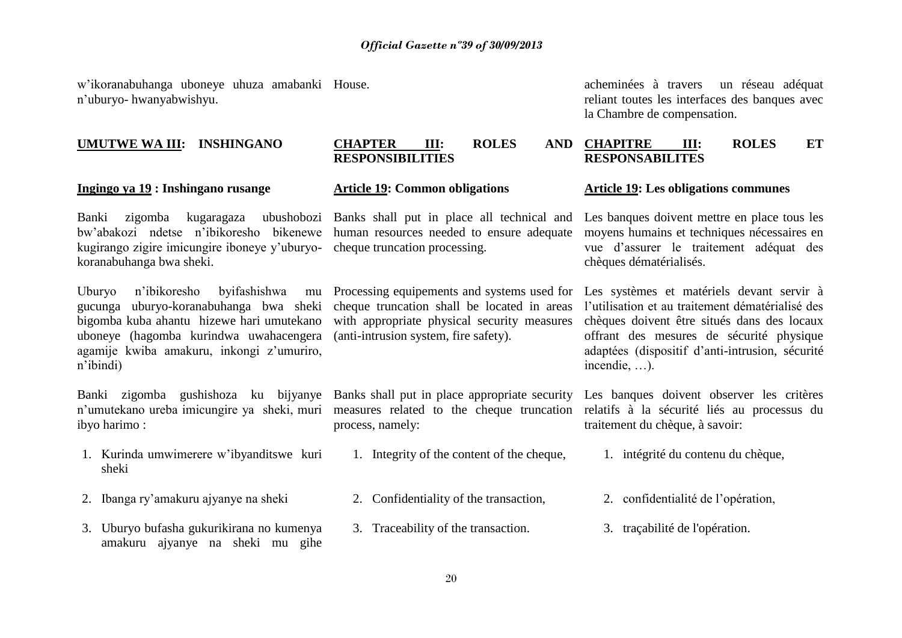w'ikoranabuhanga uboneye uhuza amabanki n'uburyo- hwanyabwishyu.

# **UMUTWE WA III: INSHINGANO CHAPTER III: ROLES**

bw'abakozi ndetse n'ibikoresho bikenewe kugirango zigire imicungire iboneye y'uburyo-cheque truncation processing. koranabuhanga bwa sheki.

Uburyo n'ibikoresho byifashishwa mu gucunga uburyo-koranabuhanga bwa sheki bigomba kuba ahantu hizewe hari umutekano uboneye (hagomba kurindwa uwahacengera agamije kwiba amakuru, inkongi z'umuriro, n'ibindi)

Banki zigomba gushishoza ku bijyanye n'umutekano ureba imicungire ya sheki, muri ibyo harimo :

- 1. Kurinda umwimerere w'ibyanditswe kuri sheki
- 2. Ibanga ry'amakuru ajyanye na sheki 2. Confidentiality of the transaction, 2. confidentialité de l'opération,
- 3. Uburyo bufasha gukurikirana no kumenya amakuru ajyanye na sheki mu gihe

# **RESPONSIBILITIES**

Banki zigomba kugaragaza ubushobozi Banks shall put in place all technical and human resources needed to ensure adequate

> with appropriate physical security measures (anti-intrusion system, fire safety).

process, namely:

- 1. Integrity of the content of the cheque, 1. intégrité du contenu du chèque,
- 
- 3. Traceability of the transaction. 3. traçabilité de l'opération.

acheminées à travers un réseau adéquat reliant toutes les interfaces des banques avec la Chambre de compensation.

# **CHAPITRE III: ROLES ET RESPONSABILITES**

#### **Ingingo ya 19 : Inshingano rusange Article 19: Common obligations** Article 19: Les obligations communes

Les banques doivent mettre en place tous les moyens humains et techniques nécessaires en vue d'assurer le traitement adéquat des chèques dématérialisés.

Processing equipements and systems used for Les systèmes et matériels devant servir à cheque truncation shall be located in areas l'utilisation et au traitement dématérialisé des chèques doivent être situés dans des locaux offrant des mesures de sécurité physique adaptées (dispositif d'anti-intrusion, sécurité incendie, …).

Banks shall put in place appropriate security Les banques doivent observer les critères measures related to the cheque truncation relatifs à la sécurité liés au processus du traitement du chèque, à savoir:

- 
- 
-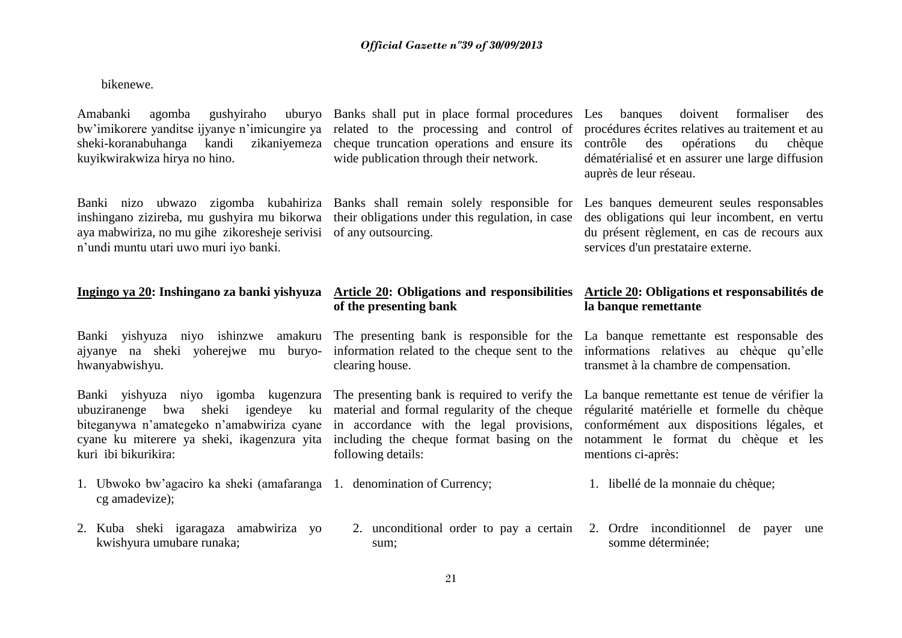bikenewe.

Amabanki agomba gushviraho bw'imikorere yanditse ijyanye n'imicungire ya related to the processing and control of sheki-koranabuhanga kandi zikaniyemeza cheque-truncation-operations and ensure its contrôle des opérations du chèque kuyikwirakwiza hirya no hino.

inshingano zizireba, mu gushyira mu bikorwa their obligations under this regulation, in case aya mabwiriza, no mu gihe zikoresheje serivisi of any outsourcing. n'undi muntu utari uwo muri iyo banki.

Banki yishyuza niyo ishinzwe amakuru The presenting bank is responsible for the La banque remettante est responsable des ajyanye na sheki yoherejwe mu buryo-information related to the cheque sent to the informations relatives au chèque qu'elle hwanyabwishyu.

ubuziranenge bwa sheki igendeye ku biteganywa n'amategeko n'amabwiriza cyane in accordance with the legal provisions, conformément aux dispositions légales, et cyane ku miterere ya sheki, ikagenzura yita kuri ibi bikurikira:

- 1. Ubwoko bw'agaciro ka sheki (amafaranga cg amadevize);
- 2. Kuba sheki igaragaza amabwiriza yo kwishyura umubare runaka;

wide publication through their network.

Banks shall put in place formal procedures Les banques doivent formaliser des procédures écrites relatives au traitement et au dématérialisé et en assurer une large diffusion auprès de leur réseau.

Banki nizo ubwazo zigomba kubahiriza Banks shall remain solely responsible for Les banques demeurent seules responsables des obligations qui leur incombent, en vertu du présent règlement, en cas de recours aux services d'un prestataire externe.

#### **Ingingo ya 20: Inshingano za banki yishyuza Article 20: Obligations and responsibilities Article 20: Obligations et responsabilités de of the presenting bank la banque remettante**

clearing house.

following details:

transmet à la chambre de compensation.

Banki yishyuza niyo igomba kugenzura The presenting bank is required to verify the La banque remettante est tenue de vérifier la material and formal regularity of the cheque régularité matérielle et formelle du chèque including the cheque format basing on the notamment le format du chèque et les mentions ci-après:

- 1. libellé de la monnaie du chèque;
- 2. unconditional order to pay a certain 2. Ordre inconditionnel de payer une somme déterminée;

sum;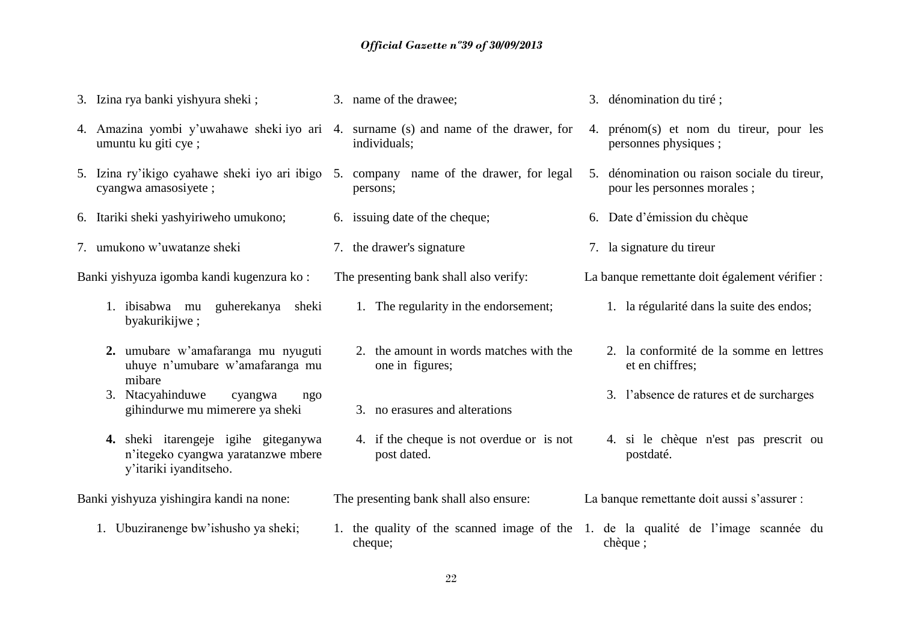3. Izina rya banki yishyura sheki ; 3. name of the drawee; 3. dénomination du tiré ;

4. Amazina yombi y'uwahawe sheki iyo ari 4. surname (s) and name of the drawer, for umuntu ku giti cye ; individuals; 4. prénom(s) et nom du tireur, pour les personnes physiques ; 5. Izina ry'ikigo cyahawe sheki iyo ari ibigo 5. company name of the drawer, for legal cyangwa amasosiyete ; persons; 5. dénomination ou raison sociale du tireur, pour les personnes morales ; 6. Itariki sheki yashyiriweho umukono; 6. issuing date of the cheque; 6. Date d'émission du chèque 7. umukono w'uwatanze sheki 7. the drawer's signature 7. la signature du tireur Banki yishyuza igomba kandi kugenzura ko : The presenting bank shall also verify: La banque remettante doit également vérifier : 1. ibisabwa mu guherekanya sheki byakurikijwe ; 1. The regularity in the endorsement; 1. la régularité dans la suite des endos; **2.** umubare w'amafaranga mu nyuguti uhuye n'umubare w'amafaranga mu mibare 2. the amount in words matches with the one in figures; 2. la conformité de la somme en lettres et en chiffres; 3. Ntacyahinduwe cyangwa ngo gihindurwe mu mimerere ya sheki 3. no erasures and alterations 3. l'absence de ratures et de surcharges **4.** sheki itarengeje igihe giteganywa n'itegeko cyangwa yaratanzwe mbere y'itariki iyanditseho. 4. if the cheque is not overdue or is not post dated. 4. si le chèque n'est pas prescrit ou postdaté. Banki yishyuza yishingira kandi na none: The presenting bank shall also ensure: La banque remettante doit aussi s'assurer : 1. Ubuziranenge bw'ishusho ya sheki; 1. the quality of the scanned image of the 1. de la qualité de l'image scannée du cheque; chèque ;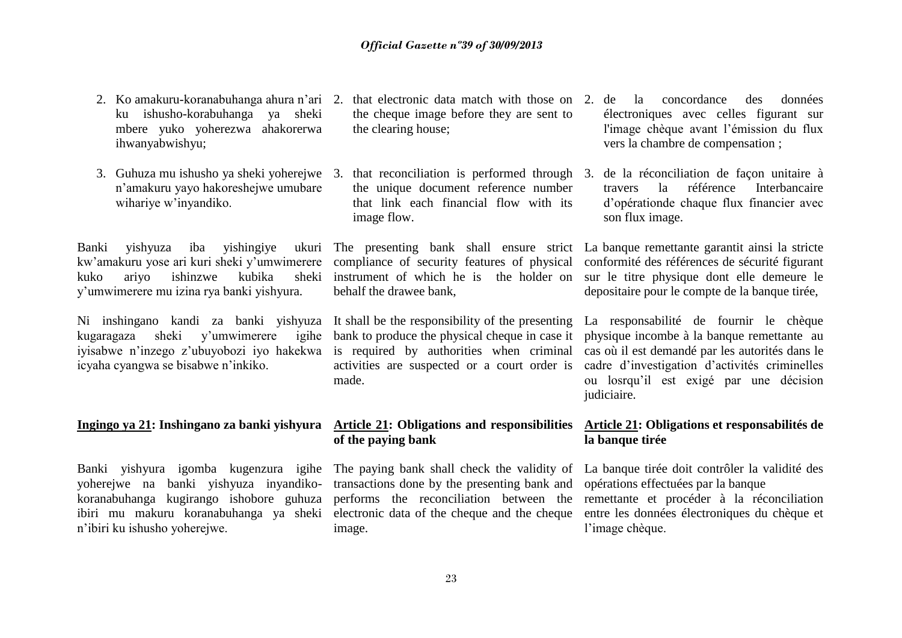- 2. Ko amakuru-koranabuhanga ahura n'ari 2. that electronic data match with those on ku ishusho-korabuhanga ya sheki mbere yuko yoherezwa ahakorerwa ihwanyabwishyu;
- 3. Guhuza mu ishusho ya sheki yoherejwe 3. that reconciliation is performed through n'amakuru yayo hakoreshejwe umubare wihariye w'inyandiko.

Banki yishyuza iba yishingiye kuko ariyo ishinzwe kubika y'umwimerere mu izina rya banki yishyura.

Ni inshingano kandi za banki yishyuza It shall be the responsibility of the presenting kugaragaza sheki v'umwimerere iyisabwe n'inzego z'ubuyobozi iyo hakekwa icyaha cyangwa se bisabwe n'inkiko.

Banki yishyura igomba kugenzura igihe The paying bank shall check the validity of La banque tirée doit contrôler la validité des yoherejwe na banki yishyuza inyandiko-transactions done by the presenting bank and opérations effectuées par la banque koranabuhanga kugirango ishobore guhuza performs the reconciliation between the remettante et procéder à la réconciliation ibiri mu makuru koranabuhanga ya sheki electronic data of the cheque and the cheque n'ibiri ku ishusho yoherejwe.

- the cheque image before they are sent to the clearing house;
- the unique document reference number that link each financial flow with its image flow.

sheki instrument of which he is the holder on behalf the drawee bank,

bank to produce the physical cheque in case it is required by authorities when criminal activities are suspected or a court order is made.

# **of the paying bank**

image.

- la concordance des données électroniques avec celles figurant sur l'image chèque avant l'émission du flux vers la chambre de compensation ;
- 3. de la réconciliation de façon unitaire à travers la référence Interbancaire d'opérationde chaque flux financier avec son flux image.

kw'amakuru yose ari kuri sheki y'umwimerere compliance of security features of physical conformité des références de sécurité figurant The presenting bank shall ensure strict La banque remettante garantit ainsi la stricte sur le titre physique dont elle demeure le depositaire pour le compte de la banque tirée,

> La responsabilité de fournir le chèque physique incombe à la banque remettante au cas où il est demandé par les autorités dans le cadre d'investigation d'activités criminelles ou losrqu'il est exigé par une décision judiciaire.

# **Ingingo ya 21: Inshingano za banki yishyura Article 21: Obligations and responsibilities Article 21: Obligations et responsabilités de la banque tirée**

entre les données électroniques du chèque et l'image chèque.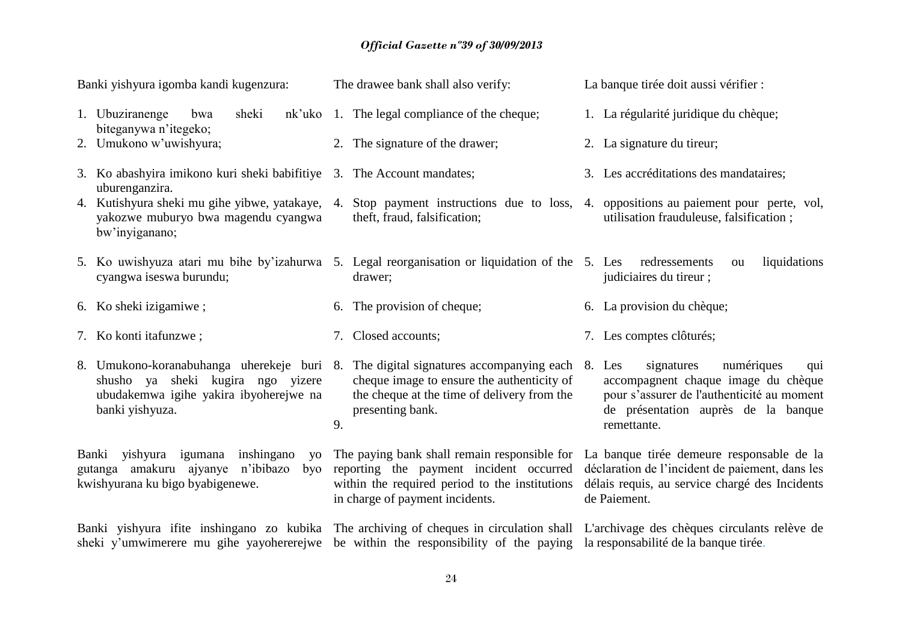# *Official Gazette nº39 of 30/09/2013*

| Banki yishyura igomba kandi kugenzura: |                                                                                                                                                                                  |    | The drawee bank shall also verify:                                                                                                                                                                                     | La banque tirée doit aussi vérifier :                                                                                                                                             |
|----------------------------------------|----------------------------------------------------------------------------------------------------------------------------------------------------------------------------------|----|------------------------------------------------------------------------------------------------------------------------------------------------------------------------------------------------------------------------|-----------------------------------------------------------------------------------------------------------------------------------------------------------------------------------|
|                                        | 1. Ubuziranenge<br>sheki<br>nk'uko<br>bwa                                                                                                                                        |    | 1. The legal compliance of the cheque;                                                                                                                                                                                 | 1. La régularité juridique du chèque;                                                                                                                                             |
|                                        | biteganywa n'itegeko;<br>2. Umukono w'uwishyura;                                                                                                                                 |    | 2. The signature of the drawer;                                                                                                                                                                                        | 2. La signature du tireur;                                                                                                                                                        |
|                                        | 3. Ko abashyira imikono kuri sheki babifitiye 3. The Account mandates;<br>uburenganzira.                                                                                         |    |                                                                                                                                                                                                                        | 3. Les accréditations des mandataires;                                                                                                                                            |
|                                        | 4. Kutishyura sheki mu gihe yibwe, yatakaye,<br>yakozwe muburyo bwa magendu cyangwa<br>bw'inyiganano;                                                                            | 4. | theft, fraud, falsification;                                                                                                                                                                                           | Stop payment instructions due to loss, 4. oppositions au paiement pour perte, vol,<br>utilisation frauduleuse, falsification;                                                     |
|                                        | 5. Ko uwishyuza atari mu bihe by'izahurwa 5. Legal reorganisation or liquidation of the 5. Les redressements<br>cyangwa iseswa burundu;                                          |    | drawer;                                                                                                                                                                                                                | liquidations<br>ou<br>judiciaires du tireur;                                                                                                                                      |
|                                        | 6. Ko sheki izigamiwe;                                                                                                                                                           |    | 6. The provision of cheque;                                                                                                                                                                                            | 6. La provision du chèque;                                                                                                                                                        |
|                                        | 7. Ko konti itafunzwe;                                                                                                                                                           |    | 7. Closed accounts;                                                                                                                                                                                                    | 7. Les comptes clôturés;                                                                                                                                                          |
|                                        | 8. Umukono-koranabuhanga uherekeje buri 8.<br>shusho ya sheki kugira ngo yizere<br>ubudakemwa igihe yakira ibyoherejwe na<br>banki yishyuza.                                     | 9. | The digital signatures accompanying each 8.<br>cheque image to ensure the authenticity of<br>the cheque at the time of delivery from the<br>presenting bank.                                                           | Les<br>signatures<br>numériques<br>qui<br>accompagnent chaque image du chèque<br>pour s'assurer de l'authenticité au moment<br>de présentation auprès de la banque<br>remettante. |
|                                        | yishyura igumana inshingano<br>Banki<br>yo<br>amakuru ajyanye<br>n'ibibazo<br>gutanga<br>byo<br>kwishyurana ku bigo byabigenewe.                                                 |    | The paying bank shall remain responsible for La banque tirée demeure responsable de la<br>reporting the payment incident occurred<br>within the required period to the institutions<br>in charge of payment incidents. | déclaration de l'incident de paiement, dans les<br>délais requis, au service chargé des Incidents<br>de Paiement.                                                                 |
|                                        | Banki yishyura ifite inshingano zo kubika The archiving of cheques in circulation shall L'archivage des chèques circulants relève de<br>sheki y'umwimerere mu gihe yayohererejwe |    | be within the responsibility of the paying la responsabilité de la banque tirée.                                                                                                                                       |                                                                                                                                                                                   |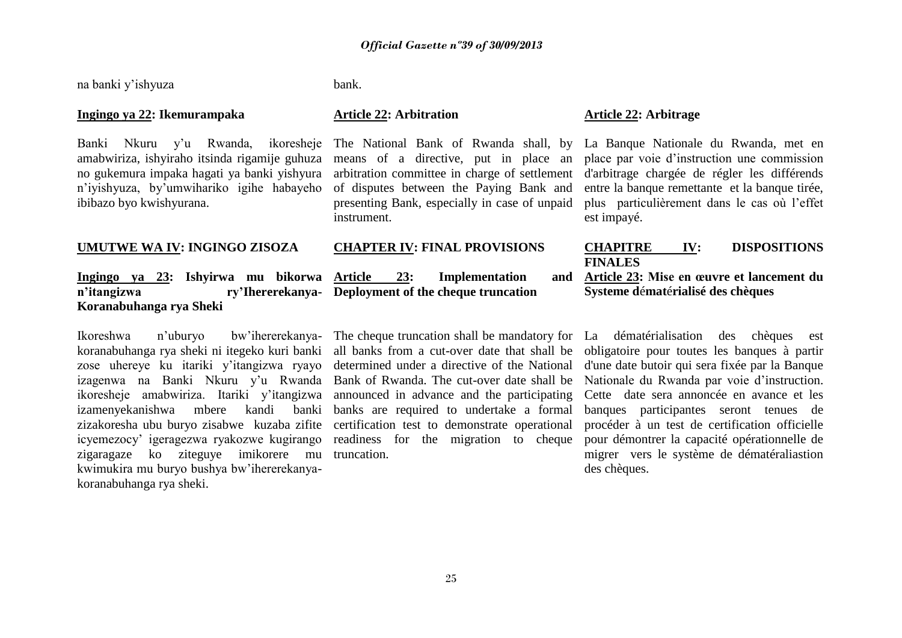na banki y'ishyuza bank.

#### **Ingingo ya 22: Ikemurampaka Article 22: Arbitration Article 22: Arbitrage**

amabwiriza, ishyiraho itsinda rigamije guhuza no gukemura impaka hagati ya banki yishyura n'iyishyuza, by'umwihariko igihe habayeho ibibazo byo kwishyurana.

# **Ingingo ya 23: Ishyirwa mu bikorwa n'itangizwa ry'Ihererekanya-Deployment of the cheque truncation Koranabuhanga rya Sheki**

Ikoreshwa n'uburyo bw'ihererekanya-The cheque truncation shall be mandatory for La dématérialisation des chèques est koranabuhanga rya sheki ni itegeko kuri banki zose uhereye ku itariki y'itangizwa ryayo izagenwa na Banki Nkuru y'u Rwanda Bank of Rwanda. The cut-over date shall be Nationale du Rwanda par voie d'instruction. ikoresheje amabwiriza. Itariki y'itangizwa announced in advance and the participating Cette date sera annoncée en avance et les izamenyekanishwa mbere kandi banki banks are required to undertake a formal zizakoresha ubu buryo zisabwe kuzaba zifite certification test to demonstrate operational icyemezocy' igeragezwa ryakozwe kugirango readiness for the migration to cheque zigaragaze ko ziteguye imikorere mu truncation. kwimukira mu buryo bushya bw'ihererekanyakoranabuhanga rya sheki.

means of a directive, put in place an of disputes between the Paying Bank and presenting Bank, especially in case of unpaid instrument.

23: Implementation and

all banks from a cut-over date that shall be determined under a directive of the National

Banki Nkuru y'u Rwanda, ikoresheje The National Bank of Rwanda shall, by La Banque Nationale du Rwanda, met en arbitration committee in charge of settlement d'arbitrage chargée de régler les différends place par voie d'instruction une commission entre la banque remettante et la banque tirée, plus particulièrement dans le cas où l'effet est impayé.

# **UMUTWE WA IV: INGINGO ZISOZA CHAPTER IV: FINAL PROVISIONS CHAPITRE IV: DISPOSITIONS FINALES**

## **Article 23: Mise en œuvre et lancement du Systeme d**é**mat**é**rialisé des chèques**

obligatoire pour toutes les banques à partir d'une date butoir qui sera fixée par la Banque banques participantes seront tenues de procéder à un test de certification officielle pour démontrer la capacité opérationnelle de migrer vers le système de dématéraliastion des chèques.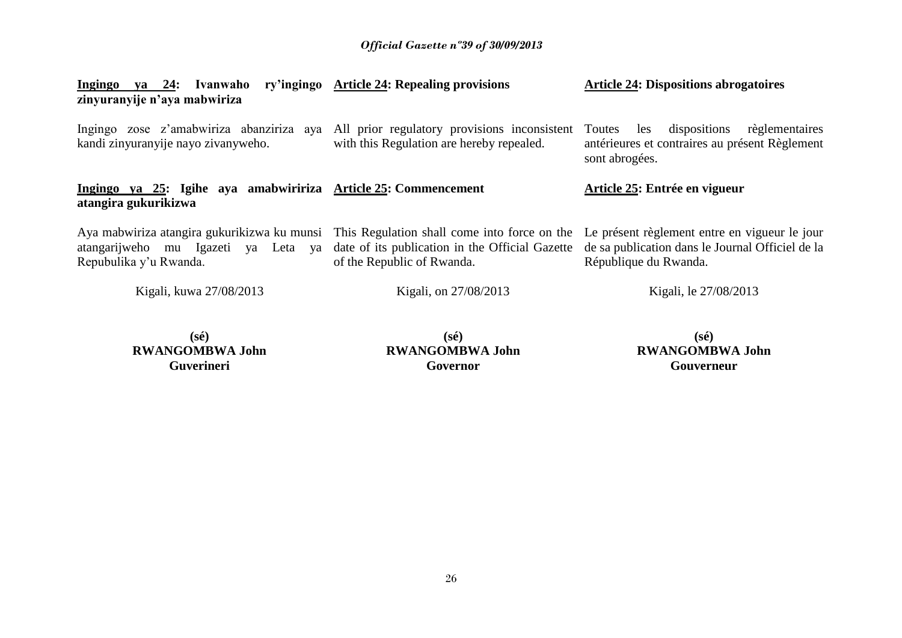| Ingingo<br>va 24:<br>Ivanwaho<br>zinyuranyije n'aya mabwiriza                                                                                                | ry'ingingo Article 24: Repealing provisions                                   | <b>Article 24: Dispositions abrogatoires</b>                                                                               |
|--------------------------------------------------------------------------------------------------------------------------------------------------------------|-------------------------------------------------------------------------------|----------------------------------------------------------------------------------------------------------------------------|
| Ingingo zose z'amabwiriza abanziriza aya All prior regulatory provisions inconsistent Toutes<br>kandi zinyuranyije nayo zivanyweho.                          | with this Regulation are hereby repealed.                                     | dispositions<br>règlementaires<br>les<br>antérieures et contraires au présent Règlement<br>sont abrogées.                  |
| Ingingo ya 25: Igihe aya amabwiririza Article 25: Commencement<br>atangira gukurikizwa                                                                       |                                                                               | Article 25: Entrée en vigueur                                                                                              |
| Aya mabwiriza atangira gukurikizwa ku munsi This Regulation shall come into force on the<br>atangarijweho mu Igazeti ya<br>Leta ya<br>Repubulika y'u Rwanda. | date of its publication in the Official Gazette<br>of the Republic of Rwanda. | Le présent règlement entre en vigueur le jour<br>de sa publication dans le Journal Officiel de la<br>République du Rwanda. |
| Kigali, kuwa 27/08/2013                                                                                                                                      | Kigali, on 27/08/2013                                                         | Kigali, le 27/08/2013                                                                                                      |

**(sé) RWANGOMBWA John Guverineri**

**(sé) RWANGOMBWA John Governor**

**(sé) RWANGOMBWA John Gouverneur**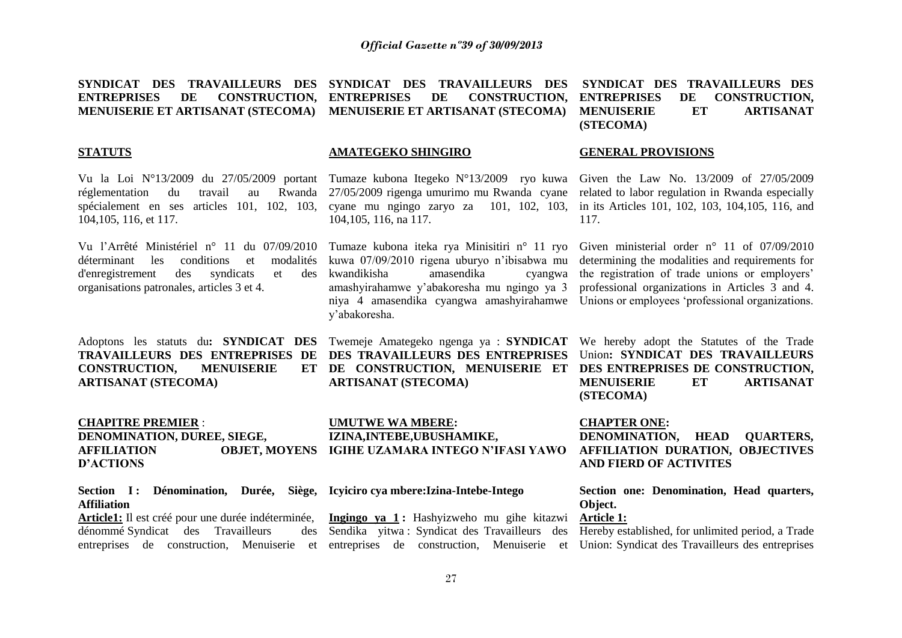| SYNDICAT DES<br><b>TRAVAILLEURS DES</b><br>DE<br><b>ENTREPRISES</b><br><b>CONSTRUCTION,</b><br><b>MENUISERIE ET ARTISANAT (STECOMA)</b>                                                                                                             | SYNDICAT DES<br><b>TRAVAILLEURS DES</b><br><b>ENTREPRISES</b><br>DE<br><b>CONSTRUCTION,</b><br>MENUISERIE ET ARTISANAT (STECOMA)                                                                                                               | SYNDICAT DES TRAVAILLEURS DES<br><b>ENTREPRISES</b><br>DE<br><b>CONSTRUCTION,</b><br><b>MENUISERIE</b><br>ET<br><b>ARTISANAT</b><br>(STECOMA)                                                                                                                    |
|-----------------------------------------------------------------------------------------------------------------------------------------------------------------------------------------------------------------------------------------------------|------------------------------------------------------------------------------------------------------------------------------------------------------------------------------------------------------------------------------------------------|------------------------------------------------------------------------------------------------------------------------------------------------------------------------------------------------------------------------------------------------------------------|
| <b>STATUTS</b>                                                                                                                                                                                                                                      | <b>AMATEGEKO SHINGIRO</b>                                                                                                                                                                                                                      | <b>GENERAL PROVISIONS</b>                                                                                                                                                                                                                                        |
| Vu la Loi $N^{\circ}13/2009$ du $27/05/2009$ portant<br>travail<br>Rwanda<br>réglementation<br>du<br>au<br>spécialement en ses articles 101, 102, 103,<br>104, 105, 116, et 117.                                                                    | Tumaze kubona Itegeko N°13/2009 ryo kuwa<br>27/05/2009 rigenga umurimo mu Rwanda cyane<br>cyane mu ngingo zaryo za 101, 102, 103,<br>104, 105, 116, na 117.                                                                                    | Given the Law No. 13/2009 of 27/05/2009<br>related to labor regulation in Rwanda especially<br>in its Articles 101, 102, 103, 104, 105, 116, and<br>117.                                                                                                         |
| Vu l'Arrêté Ministériel n° 11 du 07/09/2010<br>les<br>conditions<br>modalités<br>déterminant<br>et<br>d'enregistrement<br>syndicats<br>des<br>et<br>des<br>organisations patronales, articles 3 et 4.                                               | Tumaze kubona iteka rya Minisitiri n° 11 ryo<br>kuwa 07/09/2010 rigena uburyo n'ibisabwa mu<br>amasendika<br>kwandikisha<br>cyangwa<br>amashyirahamwe y'abakoresha mu ngingo ya 3<br>niya 4 amasendika cyangwa amashyirahamwe<br>y'abakoresha. | Given ministerial order $n^{\circ}$ 11 of 07/09/2010<br>determining the modalities and requirements for<br>the registration of trade unions or employers'<br>professional organizations in Articles 3 and 4.<br>Unions or employees 'professional organizations. |
| Adoptons les statuts du: SYNDICAT DES<br>TRAVAILLEURS DES ENTREPRISES DE<br><b>CONSTRUCTION,</b><br><b>MENUISERIE</b><br>ET<br><b>ARTISANAT (STECOMA)</b>                                                                                           | Twemeje Amategeko ngenga ya : SYNDICAT<br>DES TRAVAILLEURS DES ENTREPRISES<br>DE CONSTRUCTION, MENUISERIE ET<br><b>ARTISANAT (STECOMA)</b>                                                                                                     | We hereby adopt the Statutes of the Trade<br>Union: SYNDICAT DES TRAVAILLEURS<br>DES ENTREPRISES DE CONSTRUCTION,<br><b>ARTISANAT</b><br><b>MENUISERIE</b><br><b>ET</b><br>(STECOMA)                                                                             |
| <b>CHAPITRE PREMIER:</b><br>DENOMINATION, DUREE, SIEGE,<br><b>AFFILIATION</b><br><b>OBJET, MOYENS</b><br><b>D'ACTIONS</b>                                                                                                                           | <b>UMUTWE WA MBERE:</b><br>IZINA, INTEBE, UBUSHAMIKE,<br>IGIHE UZAMARA INTEGO N'IFASI YAWO                                                                                                                                                     | <b>CHAPTER ONE:</b><br>DENOMINATION,<br><b>HEAD</b><br><b>QUARTERS,</b><br>AFFILIATION DURATION, OBJECTIVES<br><b>AND FIERD OF ACTIVITES</b>                                                                                                                     |
| Section I: Dénomination, Durée, Siège, Icyiciro cyambere: Izina-Intebe-Intego<br><b>Affiliation</b><br>Article1: Il est créé pour une durée indéterminée,<br>dénommé Syndicat des Travailleurs<br>des<br>entreprises de construction, Menuiserie et | Ingingo ya 1: Hashyizweho mu gihe kitazwi<br>Sendika yitwa: Syndicat des Travailleurs des<br>entreprises de construction, Menuiserie<br>et                                                                                                     | Section one: Denomination, Head quarters,<br>Object.<br>Article 1:<br>Hereby established, for unlimited period, a Trade<br>Union: Syndicat des Travailleurs des entreprises                                                                                      |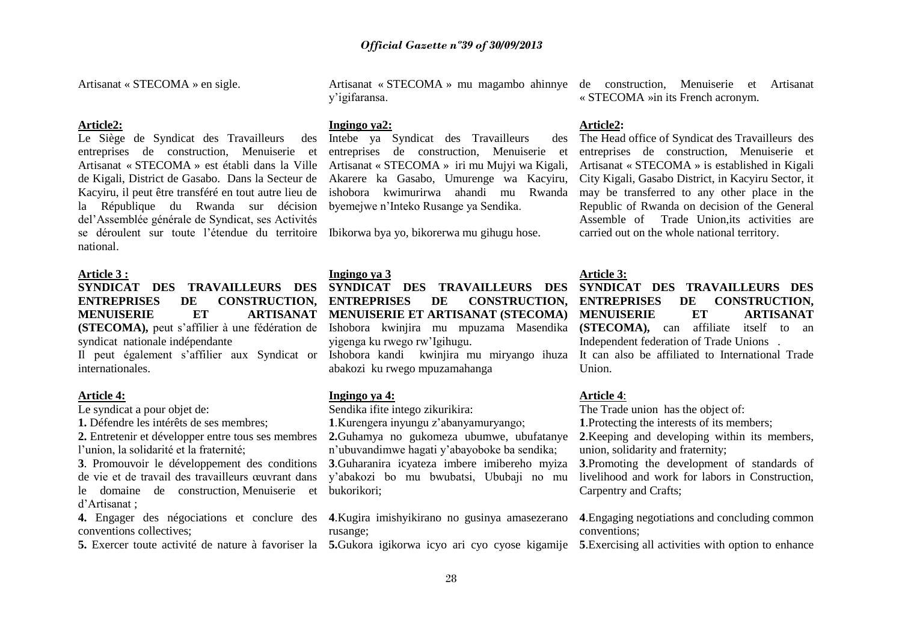Artisanat « STECOMA » en sigle.

#### **Article2:**

Le Siège de Syndicat des Travailleurs des entreprises de construction, Menuiserie et Artisanat « STECOMA » est établi dans la Ville de Kigali, District de Gasabo. Dans la Secteur de Kacyiru, il peut être transféré en tout autre lieu de la République du Rwanda sur décision del'Assemblée générale de Syndicat, ses Activités se déroulent sur toute l'étendue du territoire Ibikorwa bya yo, bikorerwa mu gihugu hose. national.

#### **Article 3 :**

# **SYNDICAT DES TRAVAILLEURS DES**  ENTREPRISES DE CONSTRUCTION, ENTREPRISES **MENUISERIE ET** syndicat nationale indépendante

internationales.

#### **Article 4:**

Le syndicat a pour objet de:

**1.** Défendre les intérêts de ses membres;

**2.** Entretenir et développer entre tous ses membres l'union, la solidarité et la fraternité;

de vie et de travail des travailleurs œuvrant dans le domaine de construction, Menuiserie et d'Artisanat ;

**4.** Engager des négociations et conclure des **4**.Kugira imishyikirano no gusinya amasezerano conventions collectives;

**5.** Exercer toute activité de nature à favoriser la 5. Gukora igikorwa icyo ari cyo cyose kigamije 5. Exercising all activities with option to enhance

y'igifaransa.

#### **Ingingo ya2:**

Intebe ya Syndicat des Travailleurs des entreprises de construction, Menuiserie et Artisanat « STECOMA »iri mu Mujyi wa Kigali, Akarere ka Gasabo, Umurenge wa Kacyiru, ishobora kwimurirwa ahandi mu Rwanda byemejwe n'Inteko Rusange ya Sendika.

#### **Ingingo ya 3**

# **(STECOMA),** peut s'affilier à une fédération de Ishobora kwinjira mu mpuzama Masendika **SYNDICAT DES TRAVAILLEURS DES**  DE CONSTRUCTION. **MENUISERIE ET ARTISANAT (STECOMA)**  yigenga ku rwego rw'Igihugu.

abakozi ku rwego mpuzamahanga

#### **Ingingo ya 4:**

Sendika ifite intego zikurikira:

**1**.Kurengera inyungu z'abanyamuryango;

**3**. Promouvoir le développement des conditions **3**.Guharanira icyateza imbere imibereho myiza **2.**Guhamya no gukomeza ubumwe, ubufatanye n'ubuvandimwe hagati y'abayoboke ba sendika; y'abakozi bo mu bwubatsi, Ububaji no mu bukorikori;

rusange;

Artisanat « STECOMA » mu magambo ahinnye de construction, Menuiserie et Artisanat « STECOMA »in its French acronym.

#### **Article2:**

The Head office of Syndicat des Travailleurs des entreprises de construction, Menuiserie et Artisanat « STECOMA » is established in Kigali City Kigali, Gasabo District, in Kacyiru Sector, it may be transferred to any other place in the Republic of Rwanda on decision of the General Assemble of Trade Union,its activities are carried out on the whole national territory.

**Article 3:**

### **SYNDICAT DES TRAVAILLEURS DES ENTREPRISES DE CONSTRUCTION, MENUISERIE ET ARTISANAT (STECOMA),** can affiliate itself to an Independent federation of Trade Unions .

Il peut également s'affilier aux Syndicat or Ishobora kandi kwinjira mu miryango ihuza It can also be affiliated to International Trade Union.

#### **Article 4**:

The Trade union has the object of: **1**.Protecting the interests of its members; **2**.Keeping and developing within its members, union, solidarity and fraternity; **3**.Promoting the development of standards of livelihood and work for labors in Construction, Carpentry and Crafts;

**4**.Engaging negotiations and concluding common conventions;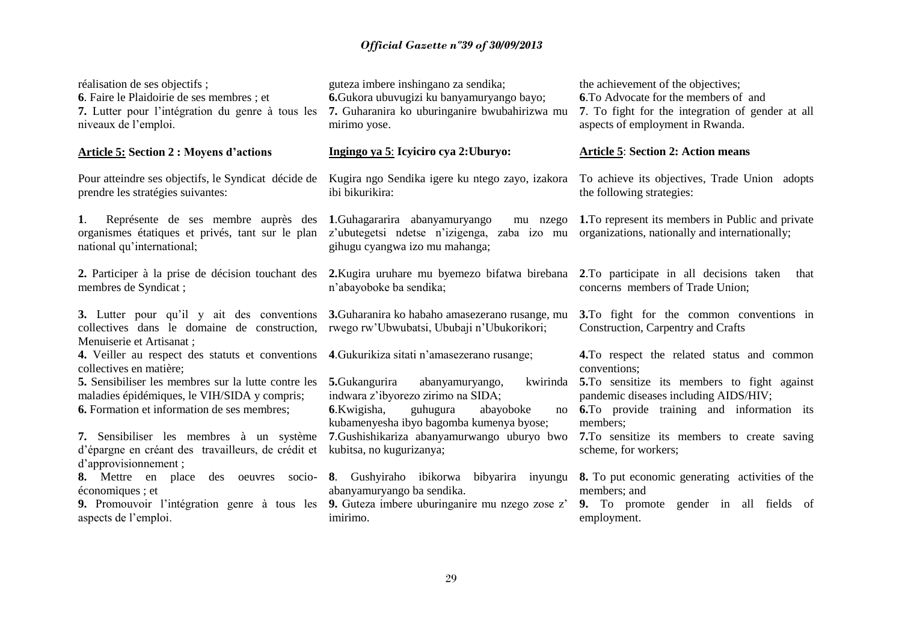# *Official Gazette nº39 of 30/09/2013*

| réalisation de ses objectifs;<br>6. Faire le Plaidoirie de ses membres ; et<br>7. Lutter pour l'intégration du genre à tous les<br>niveaux de l'emploi.                                                                                                                                                                                    | guteza imbere inshingano za sendika;<br>6. Gukora ubuvugizi ku banyamuryango bayo;<br>7. Guharanira ko uburinganire bwubahirizwa mu<br>mirimo yose.                                                                                                                                                     | the achievement of the objectives;<br>6. To Advocate for the members of and<br>7. To fight for the integration of gender at all<br>aspects of employment in Rwanda.                                                                                                                           |
|--------------------------------------------------------------------------------------------------------------------------------------------------------------------------------------------------------------------------------------------------------------------------------------------------------------------------------------------|---------------------------------------------------------------------------------------------------------------------------------------------------------------------------------------------------------------------------------------------------------------------------------------------------------|-----------------------------------------------------------------------------------------------------------------------------------------------------------------------------------------------------------------------------------------------------------------------------------------------|
| <b>Article 5: Section 2 : Moyens d'actions</b>                                                                                                                                                                                                                                                                                             | Ingingo ya 5: Icyiciro cya 2: Uburyo:                                                                                                                                                                                                                                                                   | <b>Article 5: Section 2: Action means</b>                                                                                                                                                                                                                                                     |
| Pour atteindre ses objectifs, le Syndicat décide de<br>prendre les stratégies suivantes:                                                                                                                                                                                                                                                   | Kugira ngo Sendika igere ku ntego zayo, izakora<br>ibi bikurikira:                                                                                                                                                                                                                                      | To achieve its objectives, Trade Union adopts<br>the following strategies:                                                                                                                                                                                                                    |
| 1.<br>Représente de ses membre auprès des 1. Guhagararira abanyamuryango<br>organismes étatiques et privés, tant sur le plan<br>national qu'international;                                                                                                                                                                                 | mu nzego<br>z'ubutegetsi ndetse n'izigenga, zaba izo mu<br>gihugu cyangwa izo mu mahanga;                                                                                                                                                                                                               | 1. To represent its members in Public and private<br>organizations, nationally and internationally;                                                                                                                                                                                           |
| membres de Syndicat;                                                                                                                                                                                                                                                                                                                       | 2. Participer à la prise de décision touchant des 2. Kugira uruhare mu byemezo bifatwa birebana<br>n'abayoboke ba sendika;                                                                                                                                                                              | 2. To participate in all decisions taken<br>that<br>concerns members of Trade Union;                                                                                                                                                                                                          |
| <b>3.</b> Lutter pour qu'il y ait des conventions<br>collectives dans le domaine de construction,<br>Menuiserie et Artisanat;                                                                                                                                                                                                              | 3. Guharanira ko habaho amasezerano rusange, mu<br>rwego rw'Ubwubatsi, Ububaji n'Ubukorikori;                                                                                                                                                                                                           | 3. To fight for the common conventions in<br>Construction, Carpentry and Crafts                                                                                                                                                                                                               |
| 4. Veiller au respect des statuts et conventions<br>collectives en matière;<br>5. Sensibiliser les membres sur la lutte contre les<br>maladies épidémiques, le VIH/SIDA y compris;<br><b>6.</b> Formation et information de ses membres;<br>7. Sensibiliser les membres à un système<br>d'épargne en créant des travailleurs, de crédit et | 4. Gukurikiza sitati n'amasezerano rusange;<br>5. Gukangurira<br>kwirinda<br>abanyamuryango,<br>indwara z'ibyorezo zirimo na SIDA;<br>6.Kwigisha,<br>guhugura<br>abayoboke<br>no<br>kubamenyesha ibyo bagomba kumenya byose;<br>7. Gushishikariza abanyamurwango uburyo bwo<br>kubitsa, no kugurizanya; | 4. To respect the related status and common<br>conventions;<br>5. To sensitize its members to fight against<br>pandemic diseases including AIDS/HIV;<br><b>6.</b> To provide training and information its<br>members;<br>7. To sensitize its members to create saving<br>scheme, for workers; |
| d'approvisionnement;<br>8. Mettre en place<br>des oeuvres<br>socio-<br>économiques ; et<br>9. Promouvoir l'intégration genre à tous les<br>aspects de l'emploi.                                                                                                                                                                            | 8. Gushyiraho ibikorwa bibyarira inyungu<br>abanyamuryango ba sendika.<br>9. Guteza imbere uburinganire mu nzego zose z'<br>imirimo.                                                                                                                                                                    | 8. To put economic generating activities of the<br>members; and<br>9. To promote gender in all fields of<br>employment.                                                                                                                                                                       |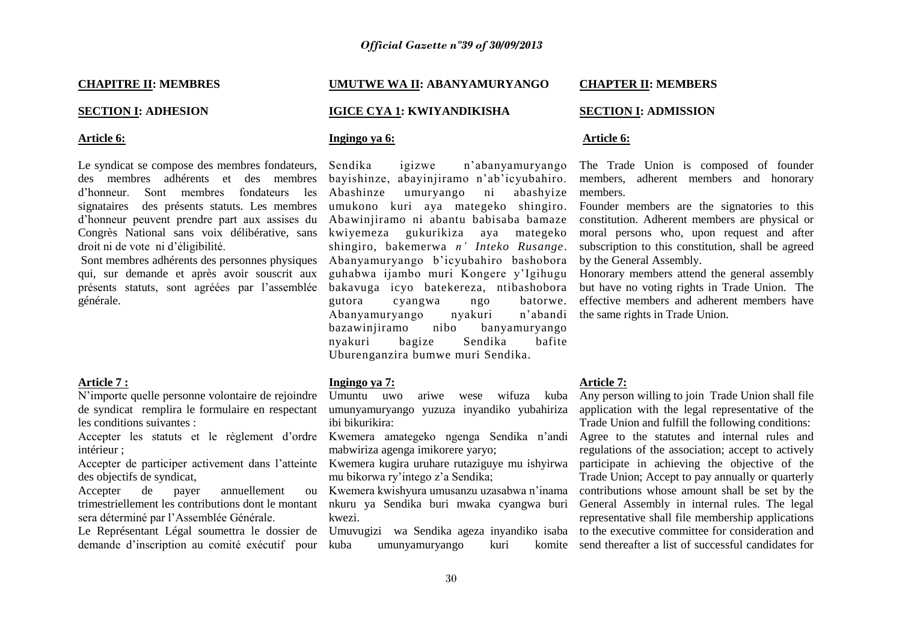#### **CHAPITRE II: MEMBRES**

#### **SECTION I: ADHESION**

#### **Article 6:**

Le syndicat se compose des membres fondateurs, des membres adhérents et des membres d'honneur. Sont membres fondateurs les Abashinze signataires des présents statuts. Les membres d'honneur peuvent prendre part aux assises du Abawinjiramo ni abantu babisaba bamaze Congrès National sans voix délibérative, sans droit ni de vote ni d'éligibilité.

qui, sur demande et après avoir souscrit aux présents statuts, sont agréées par l'assemblée générale.

#### **Article 7 :**

N'importe quelle personne volontaire de rejoindre de syndicat remplira le formulaire en respectant les conditions suivantes :

Accepter les statuts et le règlement d'ordre Kwemera amategeko ngenga Sendika n'andi intérieur ;

Accepter de participer activement dans l'atteinte Kwemera kugira uruhare rutaziguye mu ishyirwa des objectifs de syndicat,

Accepter de payer annuellement trimestriellement les contributions dont le montant sera déterminé par l'Assemblée Générale.

demande d'inscription au comité exécutif pour

#### **UMUTWE WA II: ABANYAMURYANGO IGICE CYA 1: KWIYANDIKISHA CHAPTER II: MEMBERS SECTION I: ADMISSION**

### **Ingingo ya 6:**

Sont membres adhérents des personnes physiques Abanyamuryango b'icyubahiro bashobora Sendika igizwe n'abanyamuryango bayishinze, abayinjiramo n'ab'icyubahiro. umuryango ni abashyize umukono kuri aya mategeko shingiro. kwiyemeza gukurikiza aya mategeko shingiro, bakemerwa *n' Inteko Rusange*. guhabwa ijambo muri Kongere y'Igihugu bakavuga icyo batekereza, ntibashobora gutora cyangwa ngo batorwe. Abanyamuryango nyakuri bazawinjiramo nibo banyamuryango nyakuri bagize Sendika bafite Uburenganzira bumwe muri Sendika.

#### **Ingingo ya 7:**

Umuntu uwo ariwe wese wifuza kuba umunyamuryango yuzuza inyandiko yubahiriza ibi bikurikira:

mabwiriza agenga imikorere yaryo;

mu bikorwa ry'intego z'a Sendika;

Kwemera kwishyura umusanzu uzasabwa n'inama nkuru ya Sendika buri mwaka cyangwa buri kwezi.

umunyamuryango kuri

# **Article 6:**

The Trade Union is composed of founder members, adherent members and honorary members.

Founder members are the signatories to this constitution. Adherent members are physical or moral persons who, upon request and after subscription to this constitution, shall be agreed by the General Assembly.

Honorary members attend the general assembly but have no voting rights in Trade Union. The effective members and adherent members have n'abandi the same rights in Trade Union.

#### **Article 7:**

Le Représentant Légal soumettra le dossier de Umuvugizi wa Sendika ageza inyandiko isaba to the executive committee for consideration and Any person willing to join Trade Union shall file application with the legal representative of the Trade Union and fulfill the following conditions: Agree to the statutes and internal rules and regulations of the association; accept to actively participate in achieving the objective of the Trade Union; Accept to pay annually or quarterly contributions whose amount shall be set by the General Assembly in internal rules. The legal representative shall file membership applications send thereafter a list of successful candidates for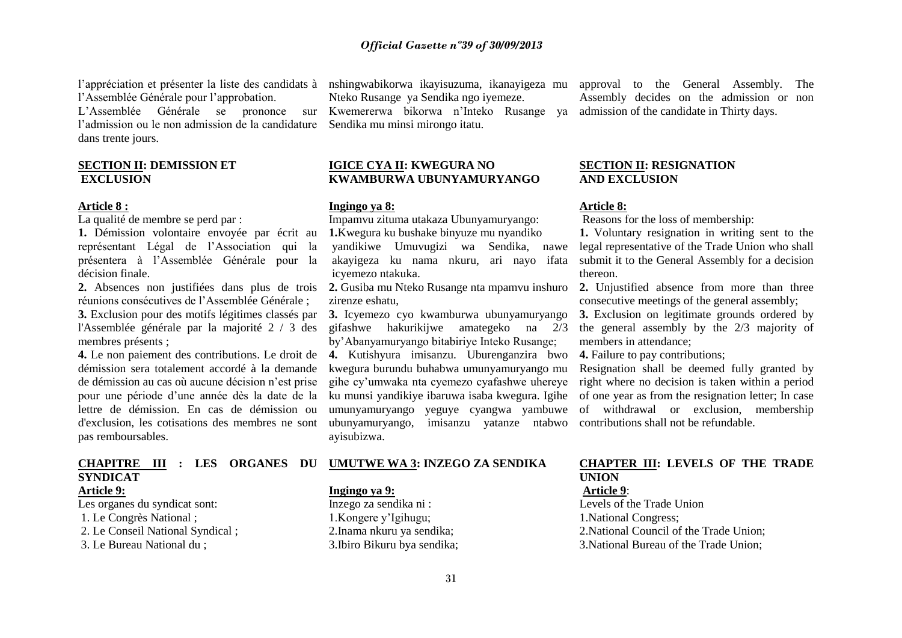l'appréciation et présenter la liste des candidats à nshingwabikorwa ikayisuzuma, ikanayigeza mu approval to the General Assembly. The l'Assemblée Générale pour l'approbation.

l'admission ou le non admission de la candidature Sendika mu minsi mirongo itatu. dans trente jours.

#### **SECTION II: DEMISSION ET EXCLUSION**

#### **Article 8 :**

La qualité de membre se perd par :

**1.** Démission volontaire envoyée par écrit au représentant Légal de l'Association qui la présentera à l'Assemblée Générale pour la décision finale.

réunions consécutives de l'Assemblée Générale ;

**3.** Exclusion pour des motifs légitimes classés par l'Assemblée générale par la majorité 2 / 3 des membres présents ;

**4.** Le non paiement des contributions. Le droit de démission sera totalement accordé à la demande de démission au cas où aucune décision n'est prise pour une période d'une année dès la date de la lettre de démission. En cas de démission ou d'exclusion, les cotisations des membres ne sont pas remboursables.

**SYNDICAT**

## **Article 9:**

Les organes du syndicat sont: 1. Le Congrès National ; 2. Le Conseil National Syndical ;

3. Le Bureau National du ;

L'Assemblée Générale se prononce sur Kwemererwa bikorwa n'Inteko Rusange ya admission-of-the-candidate-in-Thirty-days. Nteko Rusange ya Sendika ngo iyemeze.

#### **IGICE CYA II: KWEGURA NO KWAMBURWA UBUNYAMURYANGO**

#### **Ingingo ya 8:**

Impamvu zituma utakaza Ubunyamuryango:

**1.**Kwegura ku bushake binyuze mu nyandiko yandikiwe Umuvugizi wa Sendika, nawe akayigeza ku nama nkuru, ari nayo ifata icyemezo ntakuka.

**2.** Absences non justifiées dans plus de trois **2.** Gusiba mu Nteko Rusange nta mpamvu inshuro zirenze eshatu,

> **3.** Icyemezo cyo kwamburwa ubunyamuryango gifashwe hakurikijwe amategeko na 2/3 by'Abanyamuryango bitabiriye Inteko Rusange;

**4.** Kutishyura imisanzu. Uburenganzira bwo kwegura burundu buhabwa umunyamuryango mu gihe cy'umwaka nta cyemezo cyafashwe uhereye ku munsi yandikiye ibaruwa isaba kwegura. Igihe umunyamuryango yeguye cyangwa yambuwe ubunyamuryango, imisanzu yatanze ntabwo contributions shall not be refundable. ayisubizwa.

#### **CHAPITRE III : LES ORGANES DU UMUTWE WA 3: INZEGO ZA SENDIKA**

#### **Ingingo ya 9:**

Inzego za sendika ni : 1.Kongere y'Igihugu; 2.Inama nkuru ya sendika; 3.Ibiro Bikuru bya sendika; Assembly decides on the admission or non

#### **SECTION II: RESIGNATION AND EXCLUSION**

#### **Article 8:**

Reasons for the loss of membership:

**1.** Voluntary resignation in writing sent to the legal representative of the Trade Union who shall submit it to the General Assembly for a decision thereon.

2. Uniustified absence from more than three consecutive meetings of the general assembly;

**3.** Exclusion on legitimate grounds ordered by the general assembly by the 2/3 majority of members in attendance;

**4.** Failure to pay contributions;

Resignation shall be deemed fully granted by right where no decision is taken within a period of one year as from the resignation letter; In case of withdrawal or exclusion, membership

# **CHAPTER III: LEVELS OF THE TRADE UNION**

**Article 9**:

Levels of the Trade Union 1.National Congress; 2.National Council of the Trade Union; 3.National Bureau of the Trade Union;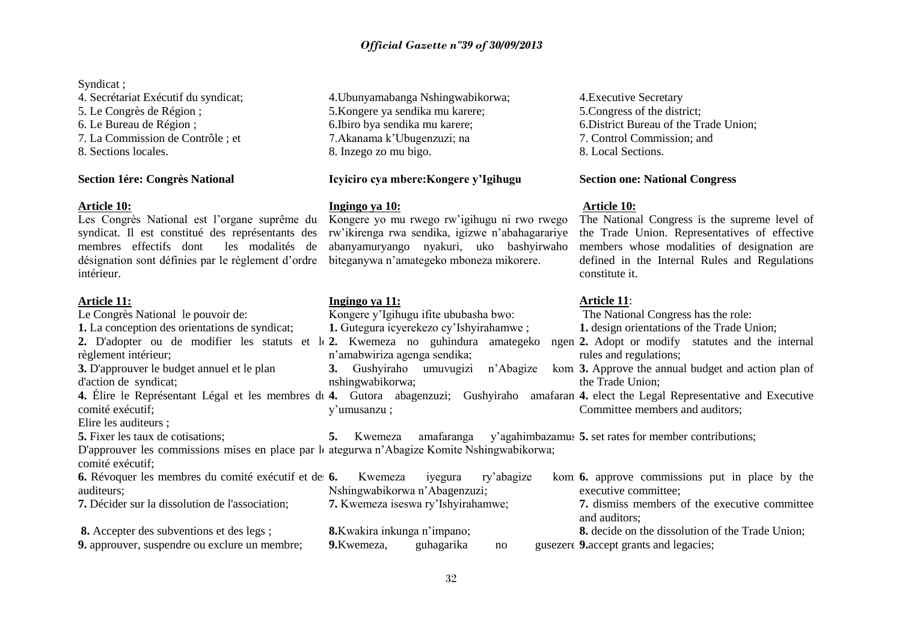## *Official Gazette nº39 of 30/09/2013*

#### Syndicat :

4. Secrétariat Exécutif du syndicat; 5. Le Congrès de Région ; 6. Le Bureau de Région ; 7. La Commission de Contrôle ; et 8. Sections locales.

#### **Section 1ére: Congrès National**

#### **Article 10:**

Les Congrès National est l'organe suprême du syndicat. Il est constitué des représentants des membres effectifs dont les modalités de désignation sont définies par le règlement d'ordre biteganywa n'amategeko mboneza mikorere. intérieur.

#### **Article 11:**

Le Congrès National le pouvoir de: **1.** La conception des orientations de syndicat; 2. D'adopter ou de modifier les statuts et le 2. Kwemeza no guhindura amategeko ngen 2. règlement intérieur; **3.** D'approuver le budget annuel et le plan d'action de syndicat; 4. Élire le Représentant Légal et les membres di 4. Gutora abagenzuzi; Gushyiraho amafaran 4. elect the Legal Representative and Executive comité exécutif; Elire les auditeurs ; **5.** Fixer les taux de cotisations; D'approuver les commissions mises en place par le ategurwa n'Abagize Komite Nshingwabikorwa; comité exécutif; **6.** Révoquer les membres du comité exécutif et de 6. auditeurs; **7.** Décider sur la dissolution de l'association; **8.** Accepter des subventions et des legs ; **9.** approuver, suspendre ou exclure un membre; Kongere y'Igihugu ifite ububasha bwo: **1.** Gutegura icyerekezo cy'Ishyirahamwe ; n'amabwiriza agenga sendika; **3.** Gushyiraho umuvugizi n'Abagize nshingwabikorwa; y'umusanzu ; **5.** Kwemeza amafaranga y'agahimbazamus **5.** set rates for member contributions; Kwemeza iyegura ry'abagize Nshingwabikorwa n'Abagenzuzi; **7.** Kwemeza iseswa ry'Ishyirahamwe; **8.**Kwakira inkunga n'impano; **9.**Kwemeza, guhagarika no The National Congress has the role: **1.** design orientations of the Trade Union; **2.** Adopt or modify statutes and the internal rules and regulations; **3.** Approve the annual budget and action plan of the Trade Union; Committee members and auditors; **6.** approve commissions put in place by the executive committee; **7.** dismiss members of the executive committee and auditors; **8.** decide on the dissolution of the Trade Union; **9.**accept grants and legacies;

4.Ubunyamabanga Nshingwabikorwa; 5.Kongere ya sendika mu karere; 6.Ibiro bya sendika mu karere; 7.Akanama k'Ubugenzuzi; na 8. Inzego zo mu bigo.

## **Icyiciro cya mbere:Kongere y'Igihugu**

### **Ingingo ya 10:**

Kongere yo mu rwego rw'igihugu ni rwo rwego rw'ikirenga rwa sendika, igizwe n'abahagarariye abanyamuryango nyakuri, uko bashyirwaho

#### **Ingingo ya 11:**

4.Executive Secretary 5.Congress of the district; 6.District Bureau of the Trade Union; 7. Control Commission; and 8. Local Sections.

#### **Section one: National Congress**

### **Article 10:**

The National Congress is the supreme level of the Trade Union. Representatives of effective members whose modalities of designation are defined in the Internal Rules and Regulations constitute it.

## **Article 11**: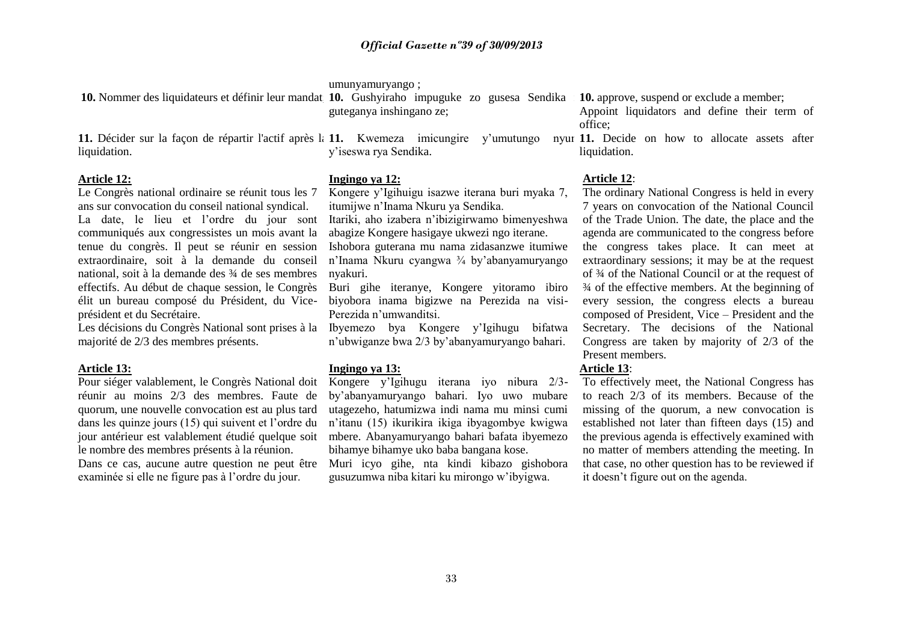#### umunyamuryango ;

**Ingingo ya 12:**

|                                                                                         |                          | 10. Nommer des liquidateurs et définir leur mandat 10. Gushyiraho impuguke zo gusesa Sendika 10. approve, suspend or exclude a member; |  |  |                                              |                                                 |
|-----------------------------------------------------------------------------------------|--------------------------|----------------------------------------------------------------------------------------------------------------------------------------|--|--|----------------------------------------------|-------------------------------------------------|
|                                                                                         | guteganya inshingano ze; |                                                                                                                                        |  |  | Appoint liquidators and define their term of |                                                 |
|                                                                                         |                          |                                                                                                                                        |  |  |                                              | office:                                         |
| 11. Décider sur la façon de répartir l'actif après la 11. Kwemeza imicungire y'umutungo |                          |                                                                                                                                        |  |  |                                              | nyur 11. Decide on how to allocate assets after |
| liquidation.                                                                            |                          | y'iseswa rya Sendika.                                                                                                                  |  |  |                                              | liquidation.                                    |

#### **Article 12:**

Le Congrès national ordinaire se réunit tous les 7 ans sur convocation du conseil national syndical. La date, le lieu et l'ordre du jour sont communiqués aux congressistes un mois avant la tenue du congrès. Il peut se réunir en session extraordinaire, soit à la demande du conseil national, soit à la demande des ¾ de ses membres effectifs. Au début de chaque session, le Congrès élit un bureau composé du Président, du Viceprésident et du Secrétaire.

Les décisions du Congrès National sont prises à la majorité de 2/3 des membres présents.

#### **Article 13:**

Pour siéger valablement, le Congrès National doit réunir au moins 2/3 des membres. Faute de quorum, une nouvelle convocation est au plus tard dans les quinze jours (15) qui suivent et l'ordre du jour antérieur est valablement étudié quelque soit le nombre des membres présents à la réunion. Dans ce cas, aucune autre question ne peut être Muri icyo gihe, nta kindi kibazo gishobora examinée si elle ne figure pas à l'ordre du jour.

Kongere y'Igihuigu isazwe iterana buri myaka 7, itumijwe n'Inama Nkuru ya Sendika.

Itariki, aho izabera n'ibizigirwamo bimenyeshwa abagize Kongere hasigaye ukwezi ngo iterane.

Ishobora guterana mu nama zidasanzwe itumiwe n'Inama Nkuru cyangwa ¾ by'abanyamuryango nyakuri.

Buri gihe iteranye, Kongere yitoramo ibiro biyobora inama bigizwe na Perezida na visi-Perezida n'umwanditsi.

Ibyemezo bya Kongere y'Igihugu bifatwa n'ubwiganze bwa 2/3 by'abanyamuryango bahari.

#### **Ingingo ya 13:**

Kongere y'Igihugu iterana iyo nibura 2/3 by'abanyamuryango bahari. Iyo uwo mubare utagezeho, hatumizwa indi nama mu minsi cumi n'itanu (15) ikurikira ikiga ibyagombye kwigwa mbere. Abanyamuryango bahari bafata ibyemezo bihamye bihamye uko baba bangana kose.

gusuzumwa niba kitari ku mirongo w'ibyigwa.

### **Article 12**:

The ordinary National Congress is held in every 7 years on convocation of the National Council of the Trade Union. The date, the place and the agenda are communicated to the congress before the congress takes place. It can meet at extraordinary sessions; it may be at the request of ¾ of the National Council or at the request of ¾ of the effective members. At the beginning of every session, the congress elects a bureau composed of President, Vice – President and the Secretary. The decisions of the National Congress are taken by majority of 2/3 of the Present members.

## **Article 13**:

To effectively meet, the National Congress has to reach 2/3 of its members. Because of the missing of the quorum, a new convocation is established not later than fifteen days (15) and the previous agenda is effectively examined with no matter of members attending the meeting. In that case, no other question has to be reviewed if it doesn't figure out on the agenda.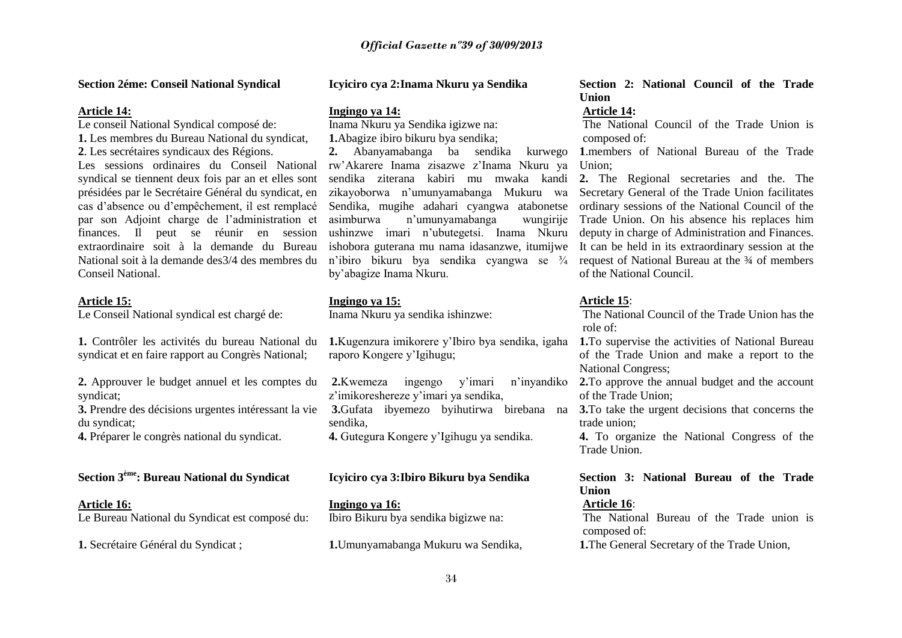#### **Section 2éme: Conseil National Syndical**

#### **Article 14:**

Le conseil National Syndical composé de: **1.** Les membres du Bureau National du syndicat, **2**. Les secrétaires syndicaux des Régions. Les sessions ordinaires du Conseil National syndical se tiennent deux fois par an et elles sont présidées par le Secrétaire Général du syndicat, en cas d'absence ou d'empêchement, il est remplacé par son Adjoint charge de l'administration et finances. Il peut se réunir en session extraordinaire soit à la demande du Bureau National soit à la demande des3/4 des membres du Conseil National.

#### **Article 15:**

Le Conseil National syndical est chargé de:

**1.** Contrôler les activités du bureau National du syndicat et en faire rapport au Congrès National;

**2.** Approuver le budget annuel et les comptes du **2.**Kwemeza ingengo y'imari n'inyandiko syndicat;

**3.** Prendre des décisions urgentes intéressant la vie du syndicat;

**4.** Préparer le congrès national du syndicat.

# **Section 3ème: Bureau National du Syndicat**

**Article 16:** Le Bureau National du Syndicat est composé du:

**1.** Secrétaire Général du Syndicat ;

#### **Icyiciro cya 2:Inama Nkuru ya Sendika**

#### **Ingingo ya 14:**

Inama Nkuru ya Sendika igizwe na: **1.**Abagize ibiro bikuru bya sendika;

**2.** Abanyamabanga ba sendika kurwego rw'Akarere Inama zisazwe z'Inama Nkuru ya sendika ziterana kabiri mu mwaka kandi zikayoborwa n'umunyamabanga Mukuru wa Sendika, mugihe adahari cyangwa atabonetse asimburwa n'umunyamabanga wungirije ushinzwe imari n'ubutegetsi. Inama Nkuru ishobora guterana mu nama idasanzwe, itumijwe n'ibiro bikuru bya sendika cyangwa se ¾ by'abagize Inama Nkuru.

#### **Ingingo ya 15:**

Inama Nkuru ya sendika ishinzwe:

**1.**Kugenzura imikorere y'Ibiro bya sendika, igaha raporo Kongere y'Igihugu;

z'imikoreshereze y'imari ya sendika, sendika,

**4.** Gutegura Kongere y'Igihugu ya sendika.

### **Icyiciro cya 3:Ibiro Bikuru bya Sendika**

**Ingingo ya 16:** Ibiro Bikuru bya sendika bigizwe na:

**1.**Umunyamabanga Mukuru wa Sendika,

**Section 2: National Council of the Trade Union**

#### **Article 14:**

The National Council of the Trade Union is composed of:

**1**.members of National Bureau of the Trade Union;

**2.** The Regional secretaries and the. The Secretary General of the Trade Union facilitates ordinary sessions of the National Council of the Trade Union. On his absence his replaces him deputy in charge of Administration and Finances. It can be held in its extraordinary session at the request of National Bureau at the ¾ of members of the National Council.

### **Article 15**:

The National Council of the Trade Union has the role of:

**1.**To supervise the activities of National Bureau of the Trade Union and make a report to the National Congress;

**2.**To approve the annual budget and the account of the Trade Union;

**3.**Gufata ibyemezo byihutirwa birebana na **3.**To take the urgent decisions that concerns the trade union;

> **4.** To organize the National Congress of the Trade Union.

# **Section 3: National Bureau of the Trade Union**

#### **Article 16**:

The National Bureau of the Trade union is composed of:

**1.**The General Secretary of the Trade Union,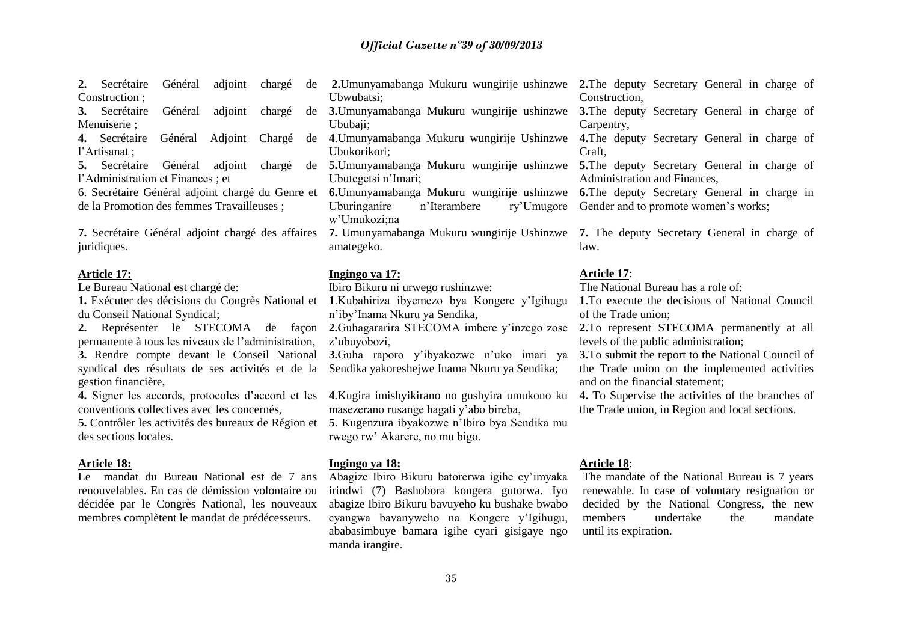| 2. Secrétaire Général adjoint chargé de |  |  |
|-----------------------------------------|--|--|
| Construction;                           |  |  |

Menuiserie ;

4. Secrétaire Général Adjoint l'Artisanat ;

**5.** Secrétaire Général adjoint l'Administration et Finances ; et

de la Promotion des femmes Travailleuses ;

**7.** Secrétaire Général adjoint chargé des affaires juridiques.

#### **Article 17:**

Le Bureau National est chargé de:

du Conseil National Syndical;

permanente à tous les niveaux de l'administration, **3.** Rendre compte devant le Conseil National syndical des résultats de ses activités et de la gestion financière,

**4.** Signer les accords, protocoles d'accord et les conventions collectives avec les concernés,

**5.** Contrôler les activités des bureaux de Région et des sections locales.

#### **Article 18:**

Le mandat du Bureau National est de 7 ans renouvelables. En cas de démission volontaire ou décidée par le Congrès National, les nouveaux membres complètent le mandat de prédécesseurs.

**3.** Secrétaire Général adjoint chargé de **3.**Umunyamabanga Mukuru wungirije ushinzwe **3.**The deputy Secretary General in charge of 6. Secrétaire Général adjoint chargé du Genre et **6.**Umunyamabanga Mukuru wungirije ushinzwe **6.**The deputy Secretary General in charge in **2.**Umunyamabanga Mukuru wungirije ushinzwe **2.**The deputy Secretary General in charge of Ubwubatsi; Ububaii: **4**.Umunyamabanga Mukuru wungirije Ushinzwe **4.**The deputy Secretary General in charge of Ubukorikori; **5.**Umunyamabanga Mukuru wungirije ushinzwe **5.**The deputy Secretary General in charge of Ubutegetsi n'Imari; Uburinganire n'Iterambere w'Umukozi;na **7.** Umunyamabanga Mukuru wungirije Ushinzwe **7.** The deputy Secretary General in charge of amategeko.

#### **Ingingo ya 17:**

Ibiro Bikuru ni urwego rushinzwe:

**1.** Exécuter des décisions du Congrès National et **1**.Kubahiriza ibyemezo bya Kongere y'Igihugu n'iby'Inama Nkuru ya Sendika,

z'ubuyobozi,

**3.**Guha raporo y'ibyakozwe n'uko imari ya Sendika yakoreshejwe Inama Nkuru ya Sendika;

**4**.Kugira imishyikirano no gushyira umukono ku masezerano rusange hagati y'abo bireba, **5**. Kugenzura ibyakozwe n'Ibiro bya Sendika mu rwego rw' Akarere, no mu bigo.

#### **Ingingo ya 18:**

Abagize Ibiro Bikuru batorerwa igihe cy'imyaka irindwi (7) Bashobora kongera gutorwa. Iyo abagize Ibiro Bikuru bavuyeho ku bushake bwabo cyangwa bavanyweho na Kongere y'Igihugu, ababasimbuye bamara igihe cyari gisigaye ngo manda irangire.

Construction,

Carpentry,

Craft,

Administration and Finances,

ry'Umugore Gender and to promote women's works:

law.

#### **Article 17**:

The National Bureau has a role of:

**1**.To execute the decisions of National Council of the Trade union;

**2.** Représenter le STECOMA de façon **2.**Guhagararira STECOMA imbere y'inzego zose **2.**To represent STECOMA permanently at all levels of the public administration;

> **3.**To submit the report to the National Council of the Trade union on the implemented activities and on the financial statement;

> **4.** To Supervise the activities of the branches of the Trade union, in Region and local sections.

#### **Article 18**:

The mandate of the National Bureau is 7 years renewable. In case of voluntary resignation or decided by the National Congress, the new members undertake the mandate until its expiration.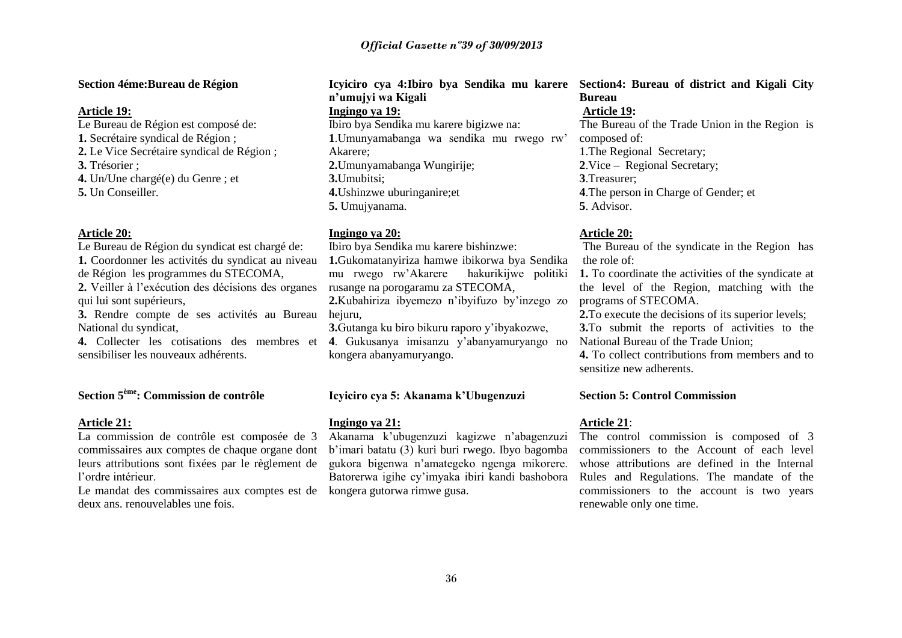#### **Section 4éme:Bureau de Région**

#### **Article 19:**

Le Bureau de Région est composé de: **1.** Secrétaire syndical de Région ; **2.** Le Vice Secrétaire syndical de Région ; **3.** Trésorier ; **4.** Un/Une chargé(e) du Genre ; et

**5.** Un Conseiller.

#### **Article 20:**

Le Bureau de Région du syndicat est chargé de: **1.** Coordonner les activités du syndicat au niveau de Région les programmes du STECOMA,

**2.** Veiller à l'exécution des décisions des organes qui lui sont supérieurs,

**3.** Rendre compte de ses activités au Bureau hejuru, National du syndicat,

**4.** Collecter les cotisations des membres et **4**. Gukusanya imisanzu y'abanyamuryango no sensibiliser les nouveaux adhérents.

# **Section 5ème: Commission de contrôle**

#### **Article 21:**

La commission de contrôle est composée de 3 commissaires aux comptes de chaque organe dont leurs attributions sont fixées par le règlement de l'ordre intérieur.

Le mandat des commissaires aux comptes est de kongera gutorwa rimwe gusa. deux ans. renouvelables une fois.

# **n'umujyi wa Kigali Ingingo ya 19:** Ibiro bya Sendika mu karere bigizwe na: **1**.Umunyamabanga wa sendika mu rwego rw' Akarere; **2.**Umunyamabanga Wungirije; **3.**Umubitsi; **4.**Ushinzwe uburinganire;et **5.** Umujyanama.

#### **Ingingo ya 20:**

Ibiro bya Sendika mu karere bishinzwe: **1.**Gukomatanyiriza hamwe ibikorwa bya Sendika mu rwego rw'Akarere hakurikijwe politiki rusange na porogaramu za STECOMA, **2.**Kubahiriza ibyemezo n'ibyifuzo by'inzego zo **3.**Gutanga ku biro bikuru raporo y'ibyakozwe,

kongera abanyamuryango.

### **Icyiciro cya 5: Akanama k'Ubugenzuzi**

#### **Ingingo ya 21:**

Akanama k'ubugenzuzi kagizwe n'abagenzuzi b'imari batatu (3) kuri buri rwego. Ibyo bagomba gukora bigenwa n'amategeko ngenga mikorere. Batorerwa igihe cy'imyaka ibiri kandi bashobora

#### **Icyiciro cya 4:Ibiro bya Sendika mu karere Section4: Bureau of district and Kigali City Bureau**

#### **Article 19:**

The Bureau of the Trade Union in the Region is composed of:

1.The Regional Secretary; **2**.Vice – Regional Secretary; **3**.Treasurer;

**4**.The person in Charge of Gender; et **5**. Advisor.

#### **Article 20:**

The Bureau of the syndicate in the Region has the role of:

**1.** To coordinate the activities of the syndicate at the level of the Region, matching with the programs of STECOMA.

**2.**To execute the decisions of its superior levels; **3.**To submit the reports of activities to the National Bureau of the Trade Union;

**4.** To collect contributions from members and to sensitize new adherents.

#### **Section 5: Control Commission**

#### **Article 21**:

The control commission is composed of 3 commissioners to the Account of each level whose attributions are defined in the Internal Rules and Regulations. The mandate of the commissioners to the account is two years renewable only one time.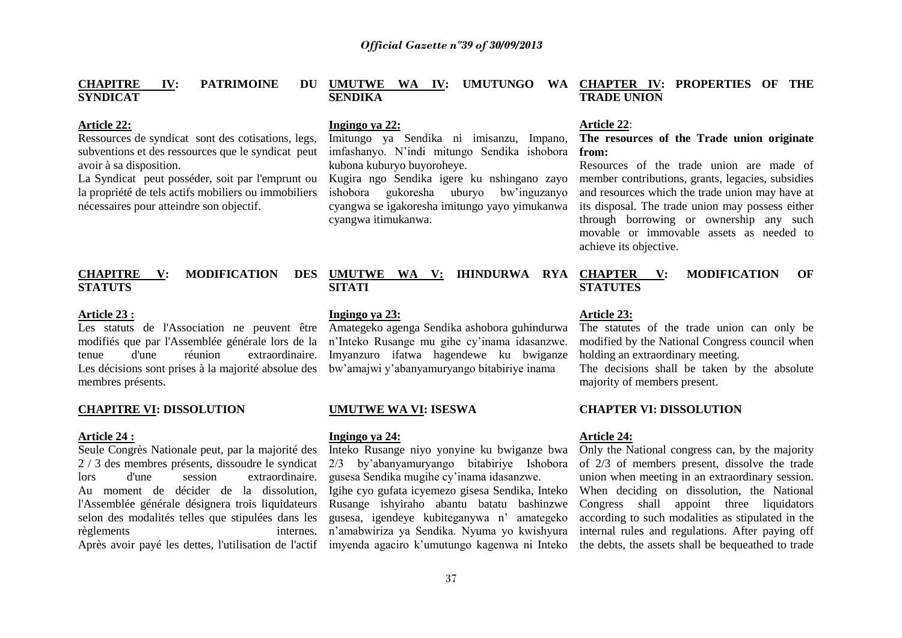#### **CHAPITRE IV: PATRIMOINE SYNDICAT**

#### **Article 22:**

Ressources de syndicat sont des cotisations, legs, subventions et des ressources que le syndicat peut avoir à sa disposition.

La Syndicat peut posséder, soit par l'emprunt ou la propriété de tels actifs mobiliers ou immobiliers nécessaires pour atteindre son objectif.

### **CHAPITRE V: MODIFICATION DES STATUTS**

### **Article 23 :**

modifiés que par l'Assemblée générale lors de la tenue d'une réunion extraordinaire. Les décisions sont prises à la majorité absolue des membres présents.

#### **CHAPITRE VI: DISSOLUTION**

#### **Article 24 :**

Seule Congrès Nationale peut, par la majorité des 2 / 3 des membres présents, dissoudre le syndicat lors d'une session extraordinaire. Au moment de décider de la dissolution, l'Assemblée générale désignera trois liquidateurs selon des modalités telles que stipulées dans les règlements internes. Après avoir payé les dettes, l'utilisation de l'actif imyenda agaciro k'umutungo kagenwa ni Inteko

# **UMUTWE WA IV: UMUTUNGO WA CHAPTER IV: PROPERTIES OF THE SENDIKA**

### **Ingingo ya 22:**

Imitungo ya Sendika ni imisanzu, Impano, imfashanyo. N'indi mitungo Sendika ishobora kubona kuburyo buyoroheye.

Kugira ngo Sendika igere ku nshingano zayo ishobora gukoresha uburyo bw'inguzanyo cyangwa se igakoresha imitungo yayo yimukanwa cyangwa itimukanwa.

### DES UMUTWE WA V: IHINDURWA RYA CHAPTER V: **SITATI**

#### **Ingingo ya 23:**

Les statuts de l'Association ne peuvent être Amategeko agenga Sendika ashobora guhindurwa n'Inteko Rusange mu gihe cy'inama idasanzwe. Imyanzuro ifatwa hagendewe ku bwiganze bw'amajwi y'abanyamuryango bitabiriye inama

#### **UMUTWE WA VI: ISESWA**

#### **Ingingo ya 24:**

Inteko Rusange niyo yonyine ku bwiganze bwa 2/3 by'abanyamuryango bitabiriye Ishobora gusesa Sendika mugihe cy'inama idasanzwe.

Igihe cyo gufata icyemezo gisesa Sendika, Inteko Rusange ishyiraho abantu batatu bashinzwe gusesa, igendeye kubiteganywa n' amategeko n'amabwiriza ya Sendika. Nyuma yo kwishyura

#### **Article 22**:

**TRADE UNION**

### **The resources of the Trade union originate from:**

Resources of the trade union are made of member contributions, grants, legacies, subsidies and resources which the trade union may have at its disposal. The trade union may possess either through borrowing or ownership any such movable or immovable assets as needed to achieve its objective.

**CHAPTER INCODIFICATION** OF **STATUTES** 

#### **Article 23:**

The statutes of the trade union can only be modified by the National Congress council when holding an extraordinary meeting.

The decisions shall be taken by the absolute majority of members present.

### **CHAPTER VI: DISSOLUTION**

### **Article 24:**

Only the National congress can, by the majority of 2/3 of members present, dissolve the trade union when meeting in an extraordinary session. When deciding on dissolution, the National Congress shall appoint three liquidators according to such modalities as stipulated in the internal rules and regulations. After paying off the debts, the assets shall be bequeathed to trade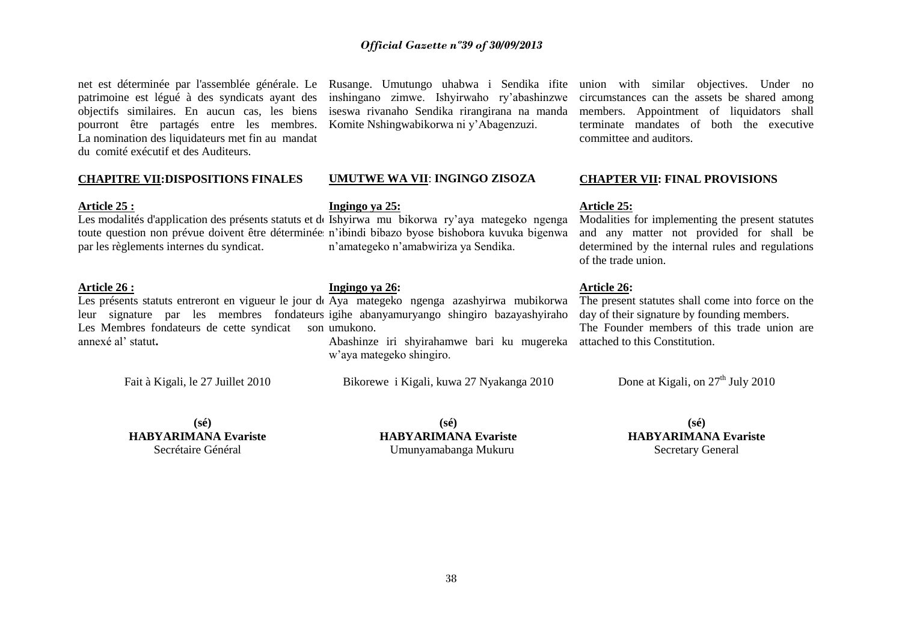### *Official Gazette nº39 of 30/09/2013*

net est déterminée par l'assemblée générale. Le Rusange. Umutungo uhabwa i Sendika ifite union with similar objectives. Under no patrimoine est légué à des syndicats ayant des inshingano zimwe. Ishyirwaho ry'abashinzwe objectifs similaires. En aucun cas, les biens iseswa rivanaho Sendika rirangirana na manda pourront être partagés entre les membres. Komite Nshingwabikorwa ni y'Abagenzuzi. La nomination des liquidateurs met fin au mandat du comité exécutif et des Auditeurs.

#### **CHAPITRE VII:DISPOSITIONS FINALES**

#### **Article 25 :**

par les règlements internes du syndicat.

### **Article 26 :**

Les Membres fondateurs de cette syndicat son umukono. annexé al' statut**.**

Fait à Kigali, le 27 Juillet 2010

### **UMUTWE WA VII**: **INGINGO ZISOZA**

#### **Ingingo ya 25:**

Les modalités d'application des présents statuts et de Ishyirwa mu bikorwa ry'aya mategeko ngenga toute question non prévue doivent être déterminée n'ibindi bibazo byose bishobora kuvuka bigenwa n'amategeko n'amabwiriza ya Sendika.

#### **Ingingo ya 26:**

Les présents statuts entreront en vigueur le jour de Aya mategeko ngenga azashyirwa mubikorwa leur signature par les membres fondateurs igihe abanyamuryango shingiro bazayashyiraho

Abashinze iri shyirahamwe bari ku mugereka attached to this Constitution. w'aya mategeko shingiro.

Bikorewe i Kigali, kuwa 27 Nyakanga 2010

circumstances can the assets be shared among members. Appointment of liquidators shall terminate mandates of both the executive committee and auditors.

### **CHAPTER VII: FINAL PROVISIONS**

#### **Article 25:**

Modalities for implementing the present statutes and any matter not provided for shall be determined by the internal rules and regulations of the trade union.

#### **Article 26:**

The present statutes shall come into force on the day of their signature by founding members. The Founder members of this trade union are

Done at Kigali, on  $27<sup>th</sup>$  July 2010

**(sé) HABYARIMANA Evariste** Secrétaire Général

**(sé) HABYARIMANA Evariste** Umunyamabanga Mukuru

**(sé) HABYARIMANA Evariste** Secretary General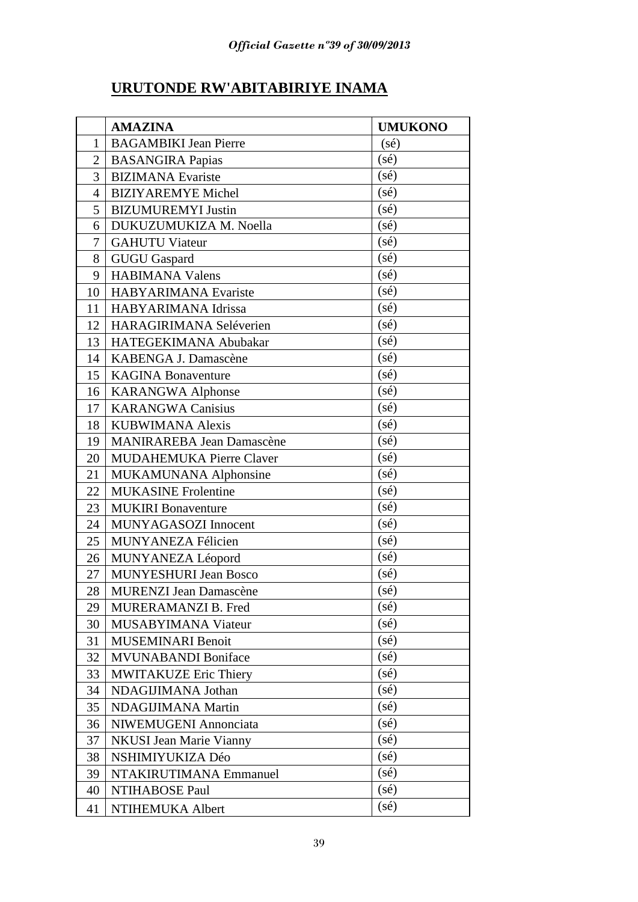# **URUTONDE RW'ABITABIRIYE INAMA**

|                | <b>AMAZINA</b>                   | <b>UMUKONO</b>    |
|----------------|----------------------------------|-------------------|
| 1              | <b>BAGAMBIKI Jean Pierre</b>     | $(s\acute{e})$    |
| $\overline{2}$ | <b>BASANGIRA Papias</b>          | (s <sub>é</sub> ) |
| 3              | <b>BIZIMANA</b> Evariste         | $(s\acute{e})$    |
| 4              | <b>BIZIYAREMYE Michel</b>        | $(s\acute{e})$    |
| 5              | <b>BIZUMUREMYI Justin</b>        | $(s\acute{e})$    |
| 6              | DUKUZUMUKIZA M. Noella           | $(s\acute{e})$    |
| 7              | <b>GAHUTU Viateur</b>            | $(s\acute{e})$    |
| 8              | <b>GUGU Gaspard</b>              | $(s\acute{e})$    |
| 9              | <b>HABIMANA Valens</b>           | (sé)              |
| 10             | <b>HABYARIMANA Evariste</b>      | (s <sub>é</sub> ) |
| 11             | HABYARIMANA Idrissa              | $(s\acute{e})$    |
| 12             | HARAGIRIMANA Seléverien          | $(s\acute{e})$    |
| 13             | HATEGEKIMANA Abubakar            | (s <sub>é</sub> ) |
| 14             | KABENGA J. Damascène             | $(s\acute{e})$    |
| 15             | <b>KAGINA Bonaventure</b>        | $(s\acute{e})$    |
| 16             | <b>KARANGWA Alphonse</b>         | (sé)              |
| 17             | <b>KARANGWA Canisius</b>         | $(s\acute{e})$    |
| 18             | <b>KUBWIMANA Alexis</b>          | $(s\acute{e})$    |
| 19             | <b>MANIRAREBA Jean Damascène</b> | $(s\acute{e})$    |
| 20             | <b>MUDAHEMUKA Pierre Claver</b>  | $(s\acute{e})$    |
| 21             | MUKAMUNANA Alphonsine            | (sé)              |
| 22             | <b>MUKASINE Frolentine</b>       | (s <sub>é</sub> ) |
| 23             | <b>MUKIRI</b> Bonaventure        | $(s\acute{e})$    |
| 24             | MUNYAGASOZI Innocent             | $(s\acute{e})$    |
| 25             | MUNYANEZA Félicien               | $(s\acute{e})$    |
| 26             | MUNYANEZA Léopord                | $(s\acute{e})$    |
| 27             | <b>MUNYESHURI Jean Bosco</b>     | $(s\acute{e})$    |
| 28             | MURENZI Jean Damascène           | (sé)              |
| 29             | MURERAMANZI B. Fred              | $(s\acute{e})$    |
| 30             | MUSABYIMANA Viateur              | $(s\acute{e})$    |
| 31             | <b>MUSEMINARI Benoit</b>         | $(s\acute{e})$    |
| 32             | <b>MVUNABANDI Boniface</b>       | $(s\acute{e})$    |
| 33             | <b>MWITAKUZE Eric Thiery</b>     | (sé)              |
| 34             | NDAGIJIMANA Jothan               | $(s\acute{e})$    |
| 35             | NDAGIJIMANA Martin               | $(s\acute{e})$    |
| 36             | NIWEMUGENI Annonciata            | $(s\acute{e})$    |
| 37             | <b>NKUSI Jean Marie Vianny</b>   | $(s\acute{e})$    |
| 38             | NSHIMIYUKIZA Déo                 | $(s\acute{e})$    |
| 39             | NTAKIRUTIMANA Emmanuel           | $(s\acute{e})$    |
| 40             | NTIHABOSE Paul                   | $(s\acute{e})$    |
| 41             | NTIHEMUKA Albert                 | $(s\acute{e})$    |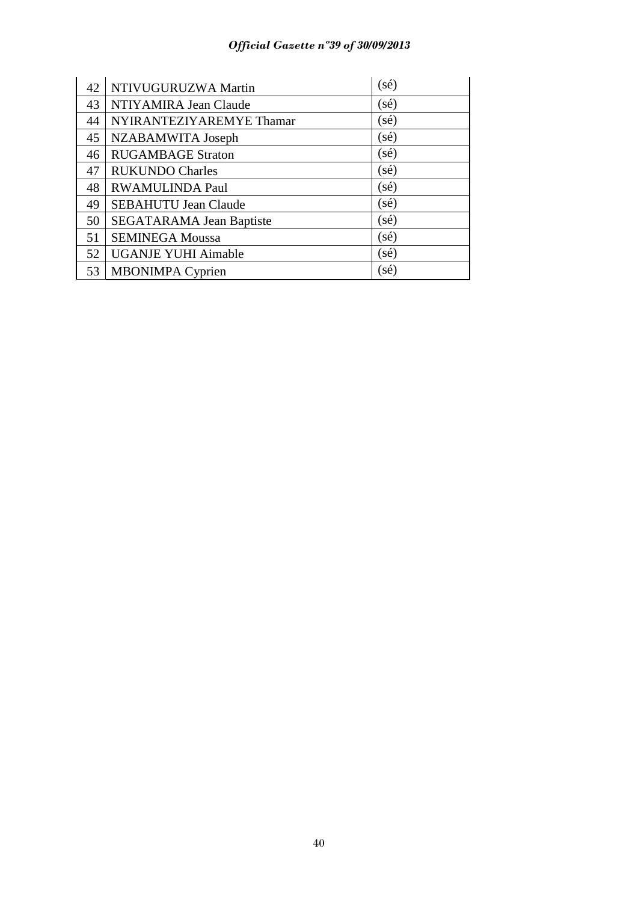# *Official Gazette nº39 of 30/09/2013*

| 42 | NTIVUGURUZWA Martin             | $(s\acute{e})$ |
|----|---------------------------------|----------------|
| 43 | NTIYAMIRA Jean Claude           | $(s\acute{e})$ |
| 44 | NYIRANTEZIYAREMYE Thamar        | $(s\acute{e})$ |
| 45 | NZABAMWITA Joseph               | $(s\acute{e})$ |
| 46 | <b>RUGAMBAGE Straton</b>        | $(s\acute{e})$ |
| 47 | <b>RUKUNDO Charles</b>          | $(s\acute{e})$ |
| 48 | RWAMULINDA Paul                 | (sé)           |
| 49 | <b>SEBAHUTU Jean Claude</b>     | (sé)           |
| 50 | <b>SEGATARAMA Jean Baptiste</b> | $(s\acute{e})$ |
| 51 | <b>SEMINEGA Moussa</b>          | $(s\acute{e})$ |
| 52 | <b>UGANJE YUHI Aimable</b>      | $(s\acute{e})$ |
| 53 | <b>MBONIMPA Cyprien</b>         | (sé)           |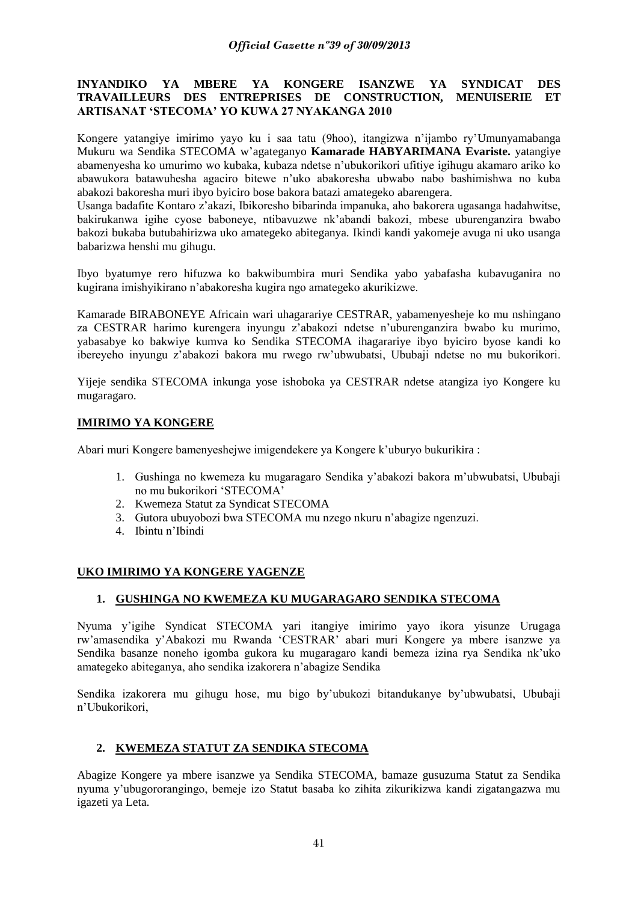### **INYANDIKO YA MBERE YA KONGERE ISANZWE YA SYNDICAT DES TRAVAILLEURS DES ENTREPRISES DE CONSTRUCTION, MENUISERIE ET ARTISANAT 'STECOMA' YO KUWA 27 NYAKANGA 2010**

Kongere yatangiye imirimo yayo ku i saa tatu (9hoo), itangizwa n'ijambo ry'Umunyamabanga Mukuru wa Sendika STECOMA w'agateganyo **Kamarade HABYARIMANA Evariste.** yatangiye abamenyesha ko umurimo wo kubaka, kubaza ndetse n'ubukorikori ufitiye igihugu akamaro ariko ko abawukora batawuhesha agaciro bitewe n'uko abakoresha ubwabo nabo bashimishwa no kuba abakozi bakoresha muri ibyo byiciro bose bakora batazi amategeko abarengera.

Usanga badafite Kontaro z'akazi, Ibikoresho bibarinda impanuka, aho bakorera ugasanga hadahwitse, bakirukanwa igihe cyose baboneye, ntibavuzwe nk'abandi bakozi, mbese uburenganzira bwabo bakozi bukaba butubahirizwa uko amategeko abiteganya. Ikindi kandi yakomeje avuga ni uko usanga babarizwa henshi mu gihugu.

Ibyo byatumye rero hifuzwa ko bakwibumbira muri Sendika yabo yabafasha kubavuganira no kugirana imishyikirano n'abakoresha kugira ngo amategeko akurikizwe.

Kamarade BIRABONEYE Africain wari uhagarariye CESTRAR, yabamenyesheje ko mu nshingano za CESTRAR harimo kurengera inyungu z'abakozi ndetse n'uburenganzira bwabo ku murimo, yabasabye ko bakwiye kumva ko Sendika STECOMA ihagarariye ibyo byiciro byose kandi ko ibereyeho inyungu z'abakozi bakora mu rwego rw'ubwubatsi, Ububaji ndetse no mu bukorikori.

Yijeje sendika STECOMA inkunga yose ishoboka ya CESTRAR ndetse atangiza iyo Kongere ku mugaragaro.

# **IMIRIMO YA KONGERE**

Abari muri Kongere bamenyeshejwe imigendekere ya Kongere k'uburyo bukurikira :

- 1. Gushinga no kwemeza ku mugaragaro Sendika y'abakozi bakora m'ubwubatsi, Ububaji no mu bukorikori 'STECOMA'
- 2. Kwemeza Statut za Syndicat STECOMA
- 3. Gutora ubuyobozi bwa STECOMA mu nzego nkuru n'abagize ngenzuzi.
- 4. Ibintu n'Ibindi

# **UKO IMIRIMO YA KONGERE YAGENZE**

### **1. GUSHINGA NO KWEMEZA KU MUGARAGARO SENDIKA STECOMA**

Nyuma y'igihe Syndicat STECOMA yari itangiye imirimo yayo ikora yisunze Urugaga rw'amasendika y'Abakozi mu Rwanda 'CESTRAR' abari muri Kongere ya mbere isanzwe ya Sendika basanze noneho igomba gukora ku mugaragaro kandi bemeza izina rya Sendika nk'uko amategeko abiteganya, aho sendika izakorera n'abagize Sendika

Sendika izakorera mu gihugu hose, mu bigo by'ubukozi bitandukanye by'ubwubatsi, Ububaji n'Ubukorikori,

# **2. KWEMEZA STATUT ZA SENDIKA STECOMA**

Abagize Kongere ya mbere isanzwe ya Sendika STECOMA, bamaze gusuzuma Statut za Sendika nyuma y'ubugororangingo, bemeje izo Statut basaba ko zihita zikurikizwa kandi zigatangazwa mu igazeti ya Leta.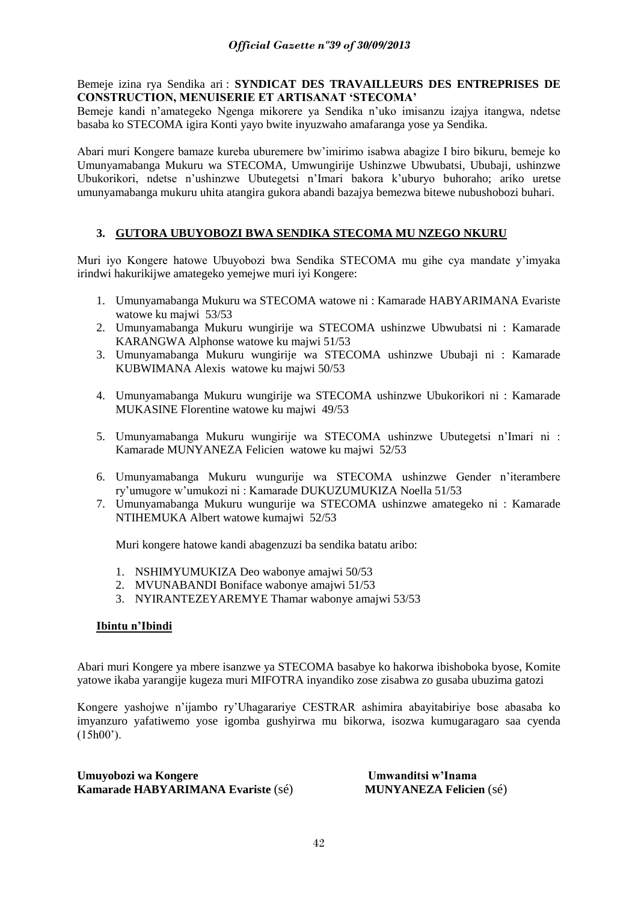### Bemeje izina rya Sendika ari : **SYNDICAT DES TRAVAILLEURS DES ENTREPRISES DE CONSTRUCTION, MENUISERIE ET ARTISANAT 'STECOMA'**

Bemeje kandi n'amategeko Ngenga mikorere ya Sendika n'uko imisanzu izajya itangwa, ndetse basaba ko STECOMA igira Konti yayo bwite inyuzwaho amafaranga yose ya Sendika.

Abari muri Kongere bamaze kureba uburemere bw'imirimo isabwa abagize I biro bikuru, bemeje ko Umunyamabanga Mukuru wa STECOMA, Umwungirije Ushinzwe Ubwubatsi, Ububaji, ushinzwe Ubukorikori, ndetse n'ushinzwe Ubutegetsi n'Imari bakora k'uburyo buhoraho; ariko uretse umunyamabanga mukuru uhita atangira gukora abandi bazajya bemezwa bitewe nubushobozi buhari.

# **3. GUTORA UBUYOBOZI BWA SENDIKA STECOMA MU NZEGO NKURU**

Muri iyo Kongere hatowe Ubuyobozi bwa Sendika STECOMA mu gihe cya mandate y'imyaka irindwi hakurikijwe amategeko yemejwe muri iyi Kongere:

- 1. Umunyamabanga Mukuru wa STECOMA watowe ni : Kamarade HABYARIMANA Evariste watowe ku majwi 53/53
- 2. Umunyamabanga Mukuru wungirije wa STECOMA ushinzwe Ubwubatsi ni : Kamarade KARANGWA Alphonse watowe ku majwi 51/53
- 3. Umunyamabanga Mukuru wungirije wa STECOMA ushinzwe Ububaji ni : Kamarade KUBWIMANA Alexis watowe ku majwi 50/53
- 4. Umunyamabanga Mukuru wungirije wa STECOMA ushinzwe Ubukorikori ni : Kamarade MUKASINE Florentine watowe ku majwi 49/53
- 5. Umunyamabanga Mukuru wungirije wa STECOMA ushinzwe Ubutegetsi n'Imari ni : Kamarade MUNYANEZA Felicien watowe ku majwi 52/53
- 6. Umunyamabanga Mukuru wungurije wa STECOMA ushinzwe Gender n'iterambere ry'umugore w'umukozi ni : Kamarade DUKUZUMUKIZA Noella 51/53
- 7. Umunyamabanga Mukuru wungurije wa STECOMA ushinzwe amategeko ni : Kamarade NTIHEMUKA Albert watowe kumajwi 52/53

Muri kongere hatowe kandi abagenzuzi ba sendika batatu aribo:

- 1. NSHIMYUMUKIZA Deo wabonye amajwi 50/53
- 2. MVUNABANDI Boniface wabonye amajwi 51/53
- 3. NYIRANTEZEYAREMYE Thamar wabonye amajwi 53/53

### **Ibintu n'Ibindi**

Abari muri Kongere ya mbere isanzwe ya STECOMA basabye ko hakorwa ibishoboka byose, Komite yatowe ikaba yarangije kugeza muri MIFOTRA inyandiko zose zisabwa zo gusaba ubuzima gatozi

Kongere yashojwe n'ijambo ry'Uhagarariye CESTRAR ashimira abayitabiriye bose abasaba ko imyanzuro yafatiwemo yose igomba gushyirwa mu bikorwa, isozwa kumugaragaro saa cyenda  $(15h00)$ 

**Umuyobozi wa Kongere Umwanditsi w'Inama Kamarade HABYARIMANA Evariste** (sé) **MUNYANEZA Felicien** (sé)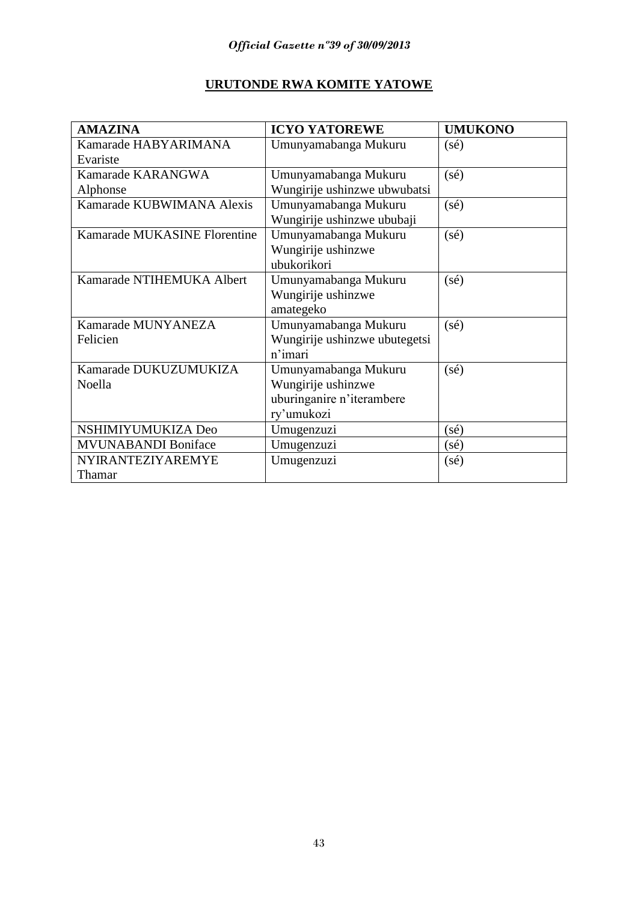# **URUTONDE RWA KOMITE YATOWE**

| <b>AMAZINA</b>               | <b>ICYO YATOREWE</b>          | <b>UMUKONO</b> |
|------------------------------|-------------------------------|----------------|
| Kamarade HABYARIMANA         | Umunyamabanga Mukuru          | $(s\acute{e})$ |
| Evariste                     |                               |                |
| Kamarade KARANGWA            | Umunyamabanga Mukuru          | $(s\acute{e})$ |
| Alphonse                     | Wungirije ushinzwe ubwubatsi  |                |
| Kamarade KUBWIMANA Alexis    | Umunyamabanga Mukuru          | $(s\acute{e})$ |
|                              | Wungirije ushinzwe ububaji    |                |
| Kamarade MUKASINE Florentine | Umunyamabanga Mukuru          | $(s\acute{e})$ |
|                              | Wungirije ushinzwe            |                |
|                              | ubukorikori                   |                |
| Kamarade NTIHEMUKA Albert    | Umunyamabanga Mukuru          | $(s\acute{e})$ |
|                              | Wungirije ushinzwe            |                |
|                              | amategeko                     |                |
| Kamarade MUNYANEZA           | Umunyamabanga Mukuru          | $(s\acute{e})$ |
| Felicien                     | Wungirije ushinzwe ubutegetsi |                |
|                              | n'imari                       |                |
| Kamarade DUKUZUMUKIZA        | Umunyamabanga Mukuru          | $(s\acute{e})$ |
| Noella                       | Wungirije ushinzwe            |                |
|                              | uburinganire n'iterambere     |                |
|                              | ry'umukozi                    |                |
| NSHIMIYUMUKIZA Deo           | Umugenzuzi                    | (sé)           |
| <b>MVUNABANDI Boniface</b>   | Umugenzuzi                    | $(s\acute{e})$ |
| <b>NYIRANTEZIYAREMYE</b>     | Umugenzuzi                    | $(s\acute{e})$ |
| Thamar                       |                               |                |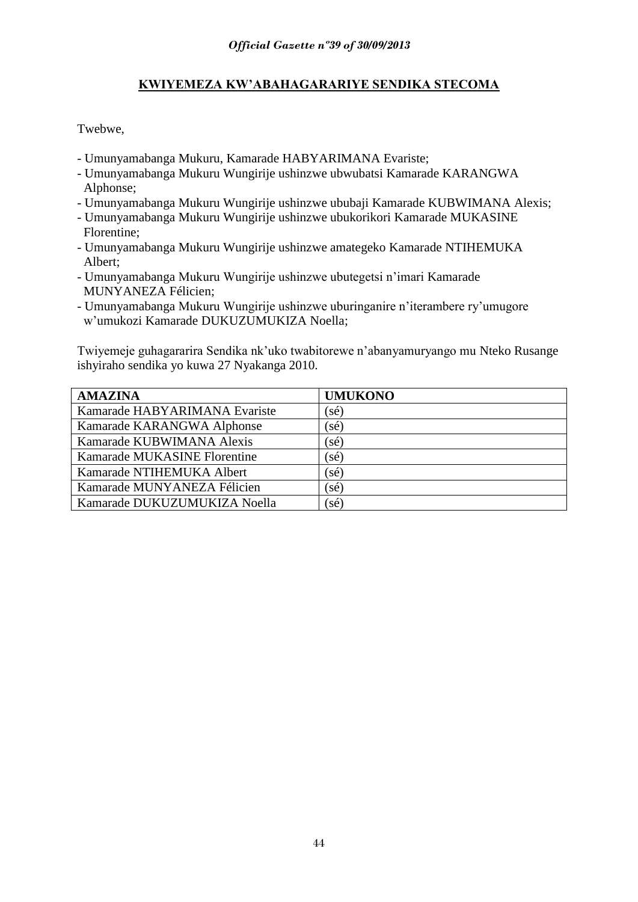# **KWIYEMEZA KW'ABAHAGARARIYE SENDIKA STECOMA**

Twebwe,

- Umunyamabanga Mukuru, Kamarade HABYARIMANA Evariste;
- Umunyamabanga Mukuru Wungirije ushinzwe ubwubatsi Kamarade KARANGWA Alphonse;
- Umunyamabanga Mukuru Wungirije ushinzwe ububaji Kamarade KUBWIMANA Alexis;
- Umunyamabanga Mukuru Wungirije ushinzwe ubukorikori Kamarade MUKASINE Florentine;
- Umunyamabanga Mukuru Wungirije ushinzwe amategeko Kamarade NTIHEMUKA Albert;
- Umunyamabanga Mukuru Wungirije ushinzwe ubutegetsi n'imari Kamarade MUNYANEZA Félicien;
- Umunyamabanga Mukuru Wungirije ushinzwe uburinganire n'iterambere ry'umugore w'umukozi Kamarade DUKUZUMUKIZA Noella;

Twiyemeje guhagararira Sendika nk'uko twabitorewe n'abanyamuryango mu Nteko Rusange ishyiraho sendika yo kuwa 27 Nyakanga 2010.

| <b>AMAZINA</b>                | <b>UMUKONO</b>                   |
|-------------------------------|----------------------------------|
| Kamarade HABYARIMANA Evariste | $(s\acute{e})$                   |
| Kamarade KARANGWA Alphonse    | $(s\acute{e})$                   |
| Kamarade KUBWIMANA Alexis     | $(\mathbf{s}\acute{\mathbf{e}})$ |
| Kamarade MUKASINE Florentine  | $(s\acute{e})$                   |
| Kamarade NTIHEMUKA Albert     | $(\mathbf{s}\acute{\mathbf{e}})$ |
| Kamarade MUNYANEZA Félicien   | $(\mathbf{s}\acute{\mathbf{e}})$ |
| Kamarade DUKUZUMUKIZA Noella  | $(s\acute{e})$                   |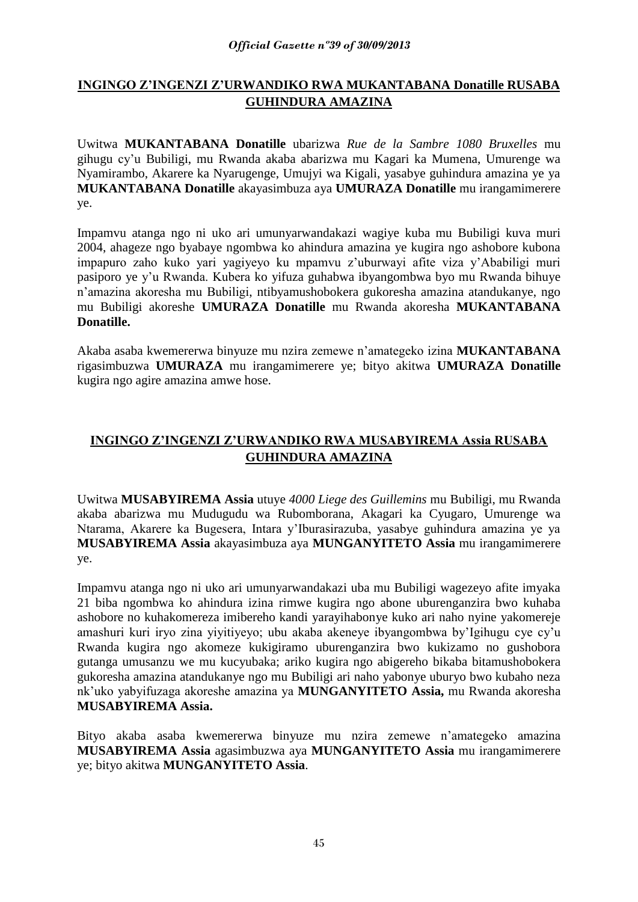# **INGINGO Z'INGENZI Z'URWANDIKO RWA MUKANTABANA Donatille RUSABA GUHINDURA AMAZINA**

Uwitwa **MUKANTABANA Donatille** ubarizwa *Rue de la Sambre 1080 Bruxelles* mu gihugu cy'u Bubiligi, mu Rwanda akaba abarizwa mu Kagari ka Mumena, Umurenge wa Nyamirambo, Akarere ka Nyarugenge, Umujyi wa Kigali, yasabye guhindura amazina ye ya **MUKANTABANA Donatille** akayasimbuza aya **UMURAZA Donatille** mu irangamimerere ye.

Impamvu atanga ngo ni uko ari umunyarwandakazi wagiye kuba mu Bubiligi kuva muri 2004, ahageze ngo byabaye ngombwa ko ahindura amazina ye kugira ngo ashobore kubona impapuro zaho kuko yari yagiyeyo ku mpamvu z'uburwayi afite viza y'Ababiligi muri pasiporo ye y'u Rwanda. Kubera ko yifuza guhabwa ibyangombwa byo mu Rwanda bihuye n'amazina akoresha mu Bubiligi, ntibyamushobokera gukoresha amazina atandukanye, ngo mu Bubiligi akoreshe **UMURAZA Donatille** mu Rwanda akoresha **MUKANTABANA Donatille.**

Akaba asaba kwemererwa binyuze mu nzira zemewe n'amategeko izina **MUKANTABANA**  rigasimbuzwa **UMURAZA** mu irangamimerere ye; bityo akitwa **UMURAZA Donatille** kugira ngo agire amazina amwe hose.

# **INGINGO Z'INGENZI Z'URWANDIKO RWA MUSABYIREMA Assia RUSABA GUHINDURA AMAZINA**

Uwitwa **MUSABYIREMA Assia** utuye *4000 Liege des Guillemins* mu Bubiligi, mu Rwanda akaba abarizwa mu Mudugudu wa Rubomborana, Akagari ka Cyugaro, Umurenge wa Ntarama, Akarere ka Bugesera, Intara y'Iburasirazuba, yasabye guhindura amazina ye ya **MUSABYIREMA Assia** akayasimbuza aya **MUNGANYITETO Assia** mu irangamimerere ye.

Impamvu atanga ngo ni uko ari umunyarwandakazi uba mu Bubiligi wagezeyo afite imyaka 21 biba ngombwa ko ahindura izina rimwe kugira ngo abone uburenganzira bwo kuhaba ashobore no kuhakomereza imibereho kandi yarayihabonye kuko ari naho nyine yakomereje amashuri kuri iryo zina yiyitiyeyo; ubu akaba akeneye ibyangombwa by'Igihugu cye cy'u Rwanda kugira ngo akomeze kukigiramo uburenganzira bwo kukizamo no gushobora gutanga umusanzu we mu kucyubaka; ariko kugira ngo abigereho bikaba bitamushobokera gukoresha amazina atandukanye ngo mu Bubiligi ari naho yabonye uburyo bwo kubaho neza nk'uko yabyifuzaga akoreshe amazina ya **MUNGANYITETO Assia,** mu Rwanda akoresha **MUSABYIREMA Assia.**

Bityo akaba asaba kwemererwa binyuze mu nzira zemewe n'amategeko amazina **MUSABYIREMA Assia** agasimbuzwa aya **MUNGANYITETO Assia** mu irangamimerere ye; bityo akitwa **MUNGANYITETO Assia**.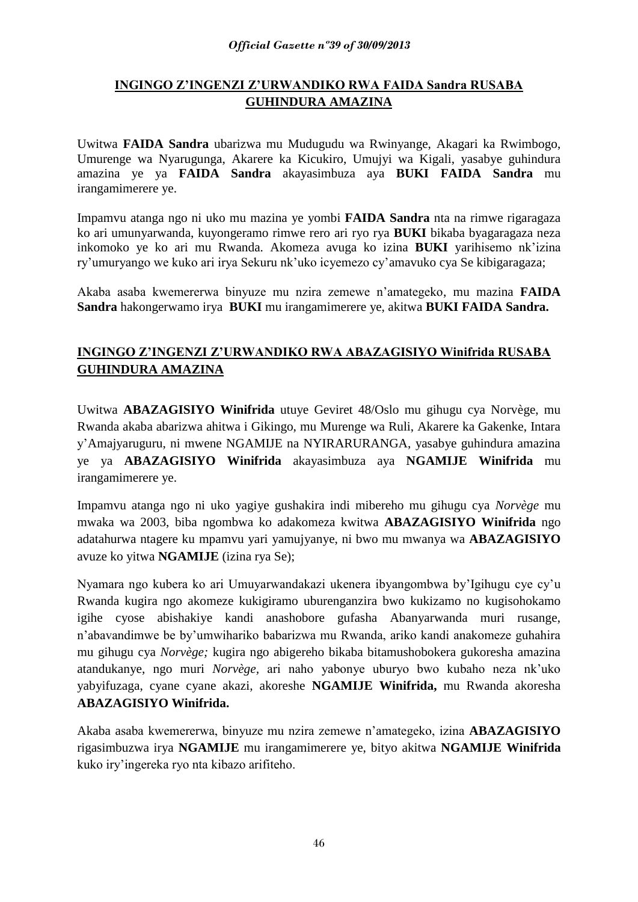## *Official Gazette nº39 of 30/09/2013*

# **INGINGO Z'INGENZI Z'URWANDIKO RWA FAIDA Sandra RUSABA GUHINDURA AMAZINA**

Uwitwa **FAIDA Sandra** ubarizwa mu Mudugudu wa Rwinyange, Akagari ka Rwimbogo, Umurenge wa Nyarugunga, Akarere ka Kicukiro, Umujyi wa Kigali, yasabye guhindura amazina ye ya **FAIDA Sandra** akayasimbuza aya **BUKI FAIDA Sandra** mu irangamimerere ye.

Impamvu atanga ngo ni uko mu mazina ye yombi **FAIDA Sandra** nta na rimwe rigaragaza ko ari umunyarwanda, kuyongeramo rimwe rero ari ryo rya **BUKI** bikaba byagaragaza neza inkomoko ye ko ari mu Rwanda. Akomeza avuga ko izina **BUKI** yarihisemo nk'izina ry'umuryango we kuko ari irya Sekuru nk'uko icyemezo cy'amavuko cya Se kibigaragaza;

Akaba asaba kwemererwa binyuze mu nzira zemewe n'amategeko, mu mazina **FAIDA Sandra** hakongerwamo irya **BUKI** mu irangamimerere ye, akitwa **BUKI FAIDA Sandra.**

# **INGINGO Z'INGENZI Z'URWANDIKO RWA ABAZAGISIYO Winifrida RUSABA GUHINDURA AMAZINA**

Uwitwa **ABAZAGISIYO Winifrida** utuye Geviret 48/Oslo mu gihugu cya Norvège, mu Rwanda akaba abarizwa ahitwa i Gikingo, mu Murenge wa Ruli, Akarere ka Gakenke, Intara y'Amajyaruguru, ni mwene NGAMIJE na NYIRARURANGA, yasabye guhindura amazina ye ya **ABAZAGISIYO Winifrida** akayasimbuza aya **NGAMIJE Winifrida** mu irangamimerere ye.

Impamvu atanga ngo ni uko yagiye gushakira indi mibereho mu gihugu cya *Norvège* mu mwaka wa 2003, biba ngombwa ko adakomeza kwitwa **ABAZAGISIYO Winifrida** ngo adatahurwa ntagere ku mpamvu yari yamujyanye, ni bwo mu mwanya wa **ABAZAGISIYO**  avuze ko yitwa **NGAMIJE** (izina rya Se);

Nyamara ngo kubera ko ari Umuyarwandakazi ukenera ibyangombwa by'Igihugu cye cy'u Rwanda kugira ngo akomeze kukigiramo uburenganzira bwo kukizamo no kugisohokamo igihe cyose abishakiye kandi anashobore gufasha Abanyarwanda muri rusange, n'abavandimwe be by'umwihariko babarizwa mu Rwanda, ariko kandi anakomeze guhahira mu gihugu cya *Norvège;* kugira ngo abigereho bikaba bitamushobokera gukoresha amazina atandukanye, ngo muri *Norvège,* ari naho yabonye uburyo bwo kubaho neza nk'uko yabyifuzaga, cyane cyane akazi, akoreshe **NGAMIJE Winifrida,** mu Rwanda akoresha **ABAZAGISIYO Winifrida.**

Akaba asaba kwemererwa, binyuze mu nzira zemewe n'amategeko, izina **ABAZAGISIYO**  rigasimbuzwa irya **NGAMIJE** mu irangamimerere ye, bityo akitwa **NGAMIJE Winifrida**  kuko iry'ingereka ryo nta kibazo arifiteho.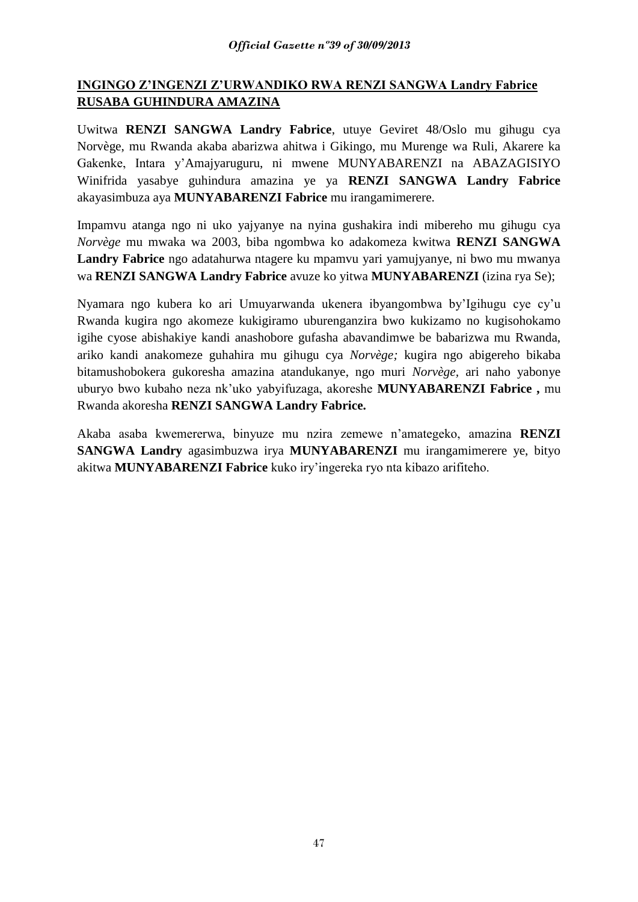# **INGINGO Z'INGENZI Z'URWANDIKO RWA RENZI SANGWA Landry Fabrice RUSABA GUHINDURA AMAZINA**

Uwitwa **RENZI SANGWA Landry Fabrice**, utuye Geviret 48/Oslo mu gihugu cya Norvège, mu Rwanda akaba abarizwa ahitwa i Gikingo, mu Murenge wa Ruli, Akarere ka Gakenke, Intara y'Amajyaruguru, ni mwene MUNYABARENZI na ABAZAGISIYO Winifrida yasabye guhindura amazina ye ya **RENZI SANGWA Landry Fabrice**  akayasimbuza aya **MUNYABARENZI Fabrice** mu irangamimerere.

Impamvu atanga ngo ni uko yajyanye na nyina gushakira indi mibereho mu gihugu cya *Norvège* mu mwaka wa 2003, biba ngombwa ko adakomeza kwitwa **RENZI SANGWA Landry Fabrice** ngo adatahurwa ntagere ku mpamvu yari yamujyanye, ni bwo mu mwanya wa **RENZI SANGWA Landry Fabrice** avuze ko yitwa **MUNYABARENZI** (izina rya Se);

Nyamara ngo kubera ko ari Umuyarwanda ukenera ibyangombwa by'Igihugu cye cy'u Rwanda kugira ngo akomeze kukigiramo uburenganzira bwo kukizamo no kugisohokamo igihe cyose abishakiye kandi anashobore gufasha abavandimwe be babarizwa mu Rwanda, ariko kandi anakomeze guhahira mu gihugu cya *Norvège;* kugira ngo abigereho bikaba bitamushobokera gukoresha amazina atandukanye, ngo muri *Norvège,* ari naho yabonye uburyo bwo kubaho neza nk'uko yabyifuzaga, akoreshe **MUNYABARENZI Fabrice ,** mu Rwanda akoresha **RENZI SANGWA Landry Fabrice.**

Akaba asaba kwemererwa, binyuze mu nzira zemewe n'amategeko, amazina **RENZI SANGWA Landry** agasimbuzwa irya **MUNYABARENZI** mu irangamimerere ye, bityo akitwa **MUNYABARENZI Fabrice** kuko iry'ingereka ryo nta kibazo arifiteho.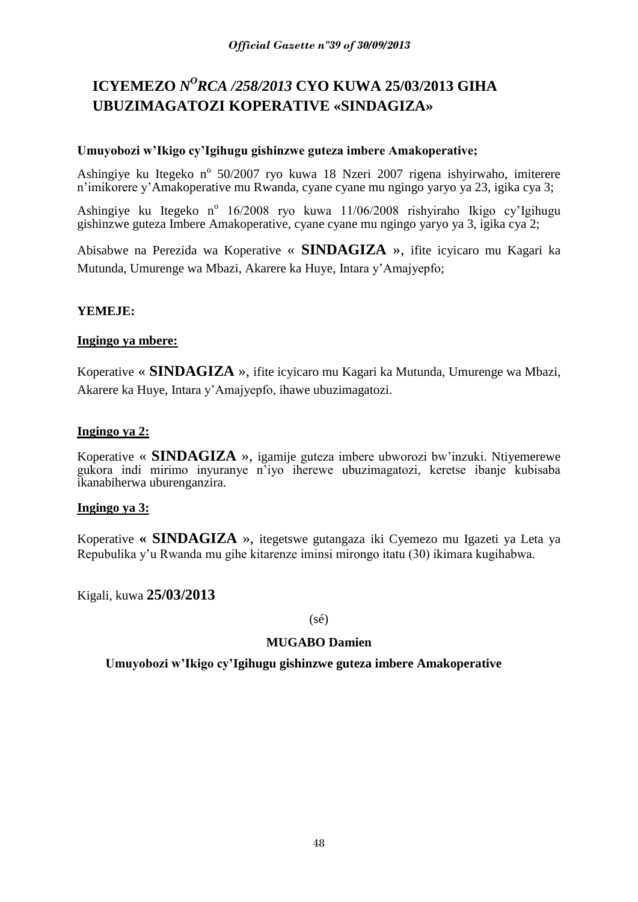# **ICYEMEZO** *N <sup>O</sup>RCA /258/2013* **CYO KUWA 25/03/2013 GIHA UBUZIMAGATOZI KOPERATIVE «SINDAGIZA»**

# **Umuyobozi w'Ikigo cy'Igihugu gishinzwe guteza imbere Amakoperative;**

Ashingiye ku Itegeko nº 50/2007 ryo kuwa 18 Nzeri 2007 rigena ishyirwaho, imiterere n'imikorere y'Amakoperative mu Rwanda, cyane cyane mu ngingo yaryo ya 23, igika cya 3;

Ashingiye ku Itegeko nº 16/2008 ryo kuwa 11/06/2008 rishyiraho Ikigo cy'Igihugu gishinzwe guteza Imbere Amakoperative, cyane cyane mu ngingo yaryo ya 3, igika cya 2;

Abisabwe na Perezida wa Koperative « **SINDAGIZA** », ifite icyicaro mu Kagari ka Mutunda, Umurenge wa Mbazi, Akarere ka Huye, Intara y'Amajyepfo;

# **YEMEJE:**

# **Ingingo ya mbere:**

Koperative « **SINDAGIZA** », ifite icyicaro mu Kagari ka Mutunda, Umurenge wa Mbazi, Akarere ka Huye, Intara y'Amajyepfo, ihawe ubuzimagatozi.

# **Ingingo ya 2:**

Koperative « **SINDAGIZA** », igamije guteza imbere ubworozi bw'inzuki. Ntiyemerewe gukora indi mirimo inyuranye n'iyo iherewe ubuzimagatozi, keretse ibanje kubisaba ikanabiherwa uburenganzira.

# **Ingingo ya 3:**

Koperative **« SINDAGIZA** », itegetswe gutangaza iki Cyemezo mu Igazeti ya Leta ya Repubulika y'u Rwanda mu gihe kitarenze iminsi mirongo itatu (30) ikimara kugihabwa.

Kigali, kuwa **25/03/2013**

# $(sé)$

# **MUGABO Damien**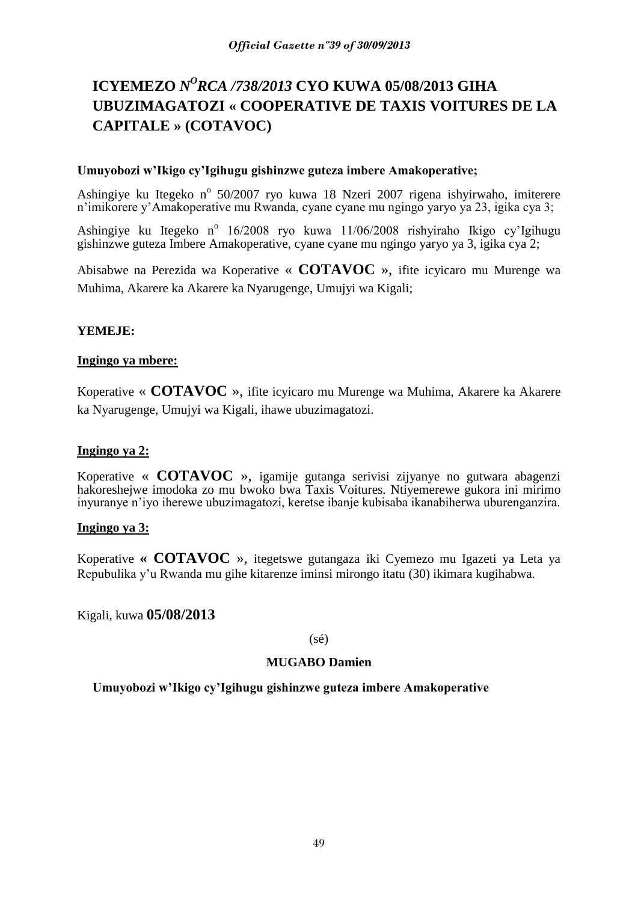# **ICYEMEZO** *N<sup>O</sup>RCA /738/2013* **CYO KUWA 05/08/2013 GIHA UBUZIMAGATOZI « COOPERATIVE DE TAXIS VOITURES DE LA CAPITALE » (COTAVOC)**

# **Umuyobozi w'Ikigo cy'Igihugu gishinzwe guteza imbere Amakoperative;**

Ashingiye ku Itegeko nº 50/2007 ryo kuwa 18 Nzeri 2007 rigena ishyirwaho, imiterere n'imikorere y'Amakoperative mu Rwanda, cyane cyane mu ngingo yaryo ya 23, igika cya 3;

Ashingiye ku Itegeko nº 16/2008 ryo kuwa 11/06/2008 rishyiraho Ikigo cy'Igihugu gishinzwe guteza Imbere Amakoperative, cyane cyane mu ngingo yaryo ya 3, igika cya 2;

Abisabwe na Perezida wa Koperative « **COTAVOC** », ifite icyicaro mu Murenge wa Muhima, Akarere ka Akarere ka Nyarugenge, Umujyi wa Kigali;

# **YEMEJE:**

# **Ingingo ya mbere:**

Koperative « **COTAVOC** », ifite icyicaro mu Murenge wa Muhima, Akarere ka Akarere ka Nyarugenge, Umujyi wa Kigali, ihawe ubuzimagatozi.

# **Ingingo ya 2:**

Koperative « **COTAVOC** », igamije gutanga serivisi zijyanye no gutwara abagenzi hakoreshejwe imodoka zo mu bwoko bwa Taxis Voitures. Ntiyemerewe gukora ini mirimo inyuranye n'iyo iherewe ubuzimagatozi, keretse ibanje kubisaba ikanabiherwa uburenganzira.

# **Ingingo ya 3:**

Koperative **« COTAVOC** », itegetswe gutangaza iki Cyemezo mu Igazeti ya Leta ya Repubulika y'u Rwanda mu gihe kitarenze iminsi mirongo itatu (30) ikimara kugihabwa.

Kigali, kuwa **05/08/2013**

(sé)

# **MUGABO Damien**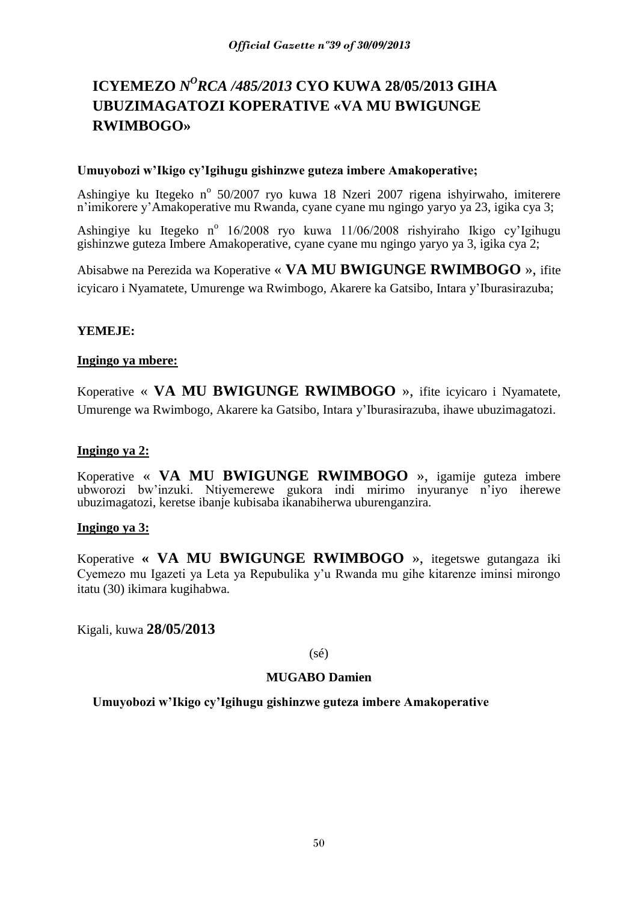# **ICYEMEZO** *N <sup>O</sup>RCA /485/2013* **CYO KUWA 28/05/2013 GIHA UBUZIMAGATOZI KOPERATIVE «VA MU BWIGUNGE RWIMBOGO»**

## **Umuyobozi w'Ikigo cy'Igihugu gishinzwe guteza imbere Amakoperative;**

Ashingiye ku Itegeko nº 50/2007 ryo kuwa 18 Nzeri 2007 rigena ishyirwaho, imiterere n'imikorere y'Amakoperative mu Rwanda, cyane cyane mu ngingo yaryo ya 23, igika cya 3;

Ashingiye ku Itegeko nº 16/2008 ryo kuwa 11/06/2008 rishyiraho Ikigo cy'Igihugu gishinzwe guteza Imbere Amakoperative, cyane cyane mu ngingo yaryo ya 3, igika cya 2;

Abisabwe na Perezida wa Koperative « **VA MU BWIGUNGE RWIMBOGO** », ifite icyicaro i Nyamatete, Umurenge wa Rwimbogo, Akarere ka Gatsibo, Intara y'Iburasirazuba;

# **YEMEJE:**

# **Ingingo ya mbere:**

Koperative « **VA MU BWIGUNGE RWIMBOGO** », ifite icyicaro i Nyamatete, Umurenge wa Rwimbogo, Akarere ka Gatsibo, Intara y'Iburasirazuba, ihawe ubuzimagatozi.

# **Ingingo ya 2:**

Koperative « **VA MU BWIGUNGE RWIMBOGO** », igamije guteza imbere ubworozi bw'inzuki. Ntiyemerewe gukora indi mirimo inyuranye n'iyo iherewe ubuzimagatozi, keretse ibanje kubisaba ikanabiherwa uburenganzira.

# **Ingingo ya 3:**

Koperative **« VA MU BWIGUNGE RWIMBOGO** », itegetswe gutangaza iki Cyemezo mu Igazeti ya Leta ya Repubulika y'u Rwanda mu gihe kitarenze iminsi mirongo itatu (30) ikimara kugihabwa.

Kigali, kuwa **28/05/2013**

(sé)

# **MUGABO Damien**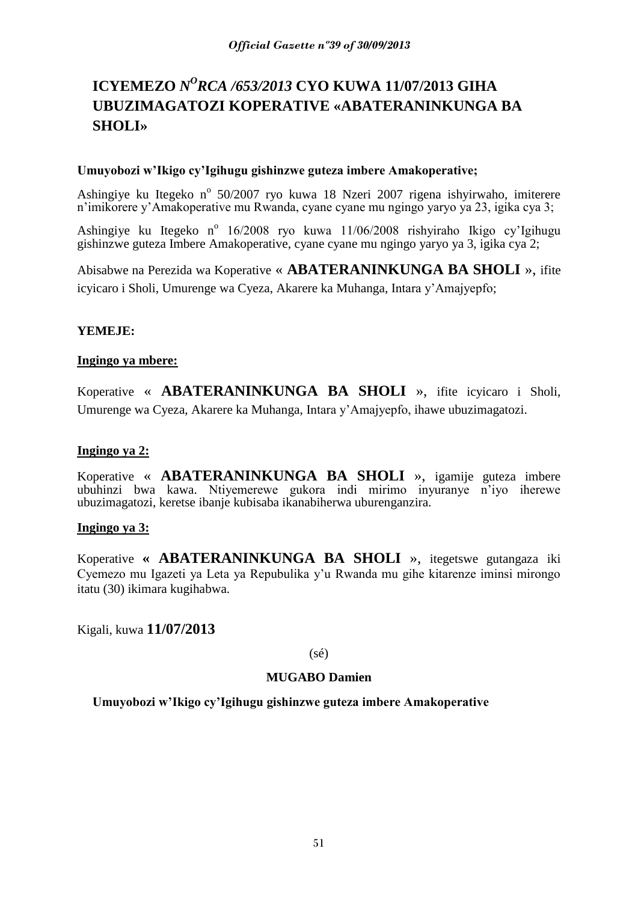# **ICYEMEZO** *N<sup>O</sup>RCA /653/2013* CYO KUWA 11/07/2013 GIHA **UBUZIMAGATOZI KOPERATIVE «ABATERANINKUNGA BA SHOLI»**

## **Umuyobozi w'Ikigo cy'Igihugu gishinzwe guteza imbere Amakoperative;**

Ashingiye ku Itegeko nº 50/2007 ryo kuwa 18 Nzeri 2007 rigena ishyirwaho, imiterere n'imikorere y'Amakoperative mu Rwanda, cyane cyane mu ngingo yaryo ya 23, igika cya 3;

Ashingiye ku Itegeko nº 16/2008 ryo kuwa 11/06/2008 rishyiraho Ikigo cy'Igihugu gishinzwe guteza Imbere Amakoperative, cyane cyane mu ngingo yaryo ya 3, igika cya 2;

Abisabwe na Perezida wa Koperative « **ABATERANINKUNGA BA SHOLI** », ifite icyicaro i Sholi, Umurenge wa Cyeza, Akarere ka Muhanga, Intara y'Amajyepfo;

# **YEMEJE:**

# **Ingingo ya mbere:**

Koperative « **ABATERANINKUNGA BA SHOLI** », ifite icyicaro i Sholi, Umurenge wa Cyeza, Akarere ka Muhanga, Intara y'Amajyepfo, ihawe ubuzimagatozi.

# **Ingingo ya 2:**

Koperative « **ABATERANINKUNGA BA SHOLI** », igamije guteza imbere ubuhinzi bwa kawa. Ntiyemerewe gukora indi mirimo inyuranye n'iyo iherewe ubuzimagatozi, keretse ibanje kubisaba ikanabiherwa uburenganzira.

# **Ingingo ya 3:**

Koperative **« ABATERANINKUNGA BA SHOLI** », itegetswe gutangaza iki Cyemezo mu Igazeti ya Leta ya Repubulika y'u Rwanda mu gihe kitarenze iminsi mirongo itatu (30) ikimara kugihabwa.

Kigali, kuwa **11/07/2013**

(sé)

# **MUGABO Damien**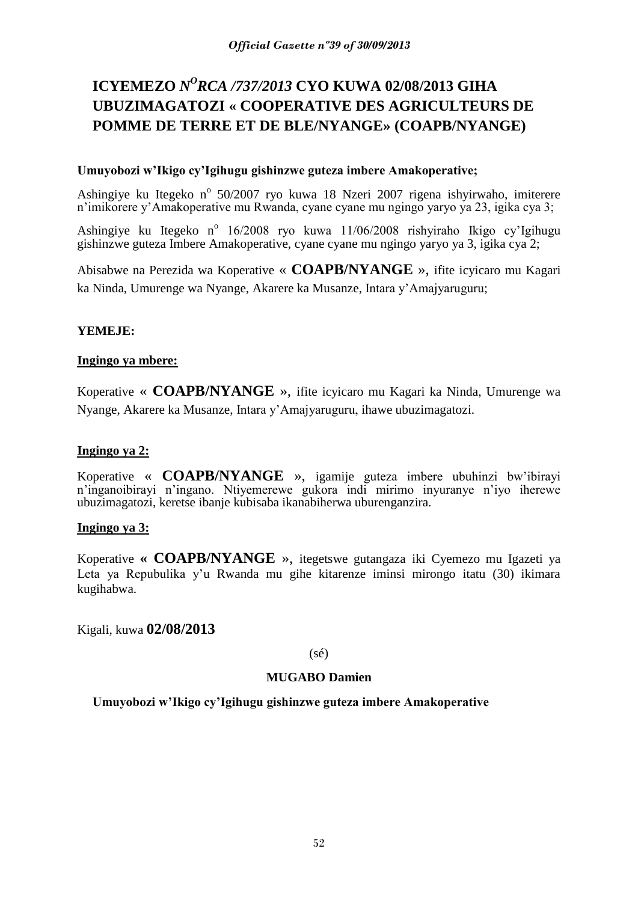# **ICYEMEZO** *N <sup>O</sup>RCA /737/2013* **CYO KUWA 02/08/2013 GIHA UBUZIMAGATOZI « COOPERATIVE DES AGRICULTEURS DE POMME DE TERRE ET DE BLE/NYANGE» (COAPB/NYANGE)**

# **Umuyobozi w'Ikigo cy'Igihugu gishinzwe guteza imbere Amakoperative;**

Ashingiye ku Itegeko nº 50/2007 ryo kuwa 18 Nzeri 2007 rigena ishyirwaho, imiterere n'imikorere y'Amakoperative mu Rwanda, cyane cyane mu ngingo yaryo ya 23, igika cya 3;

Ashingiye ku Itegeko nº 16/2008 ryo kuwa 11/06/2008 rishyiraho Ikigo cy'Igihugu gishinzwe guteza Imbere Amakoperative, cyane cyane mu ngingo yaryo ya 3, igika cya 2;

Abisabwe na Perezida wa Koperative « **COAPB/NYANGE** », ifite icyicaro mu Kagari ka Ninda, Umurenge wa Nyange, Akarere ka Musanze, Intara y'Amajyaruguru;

# **YEMEJE:**

# **Ingingo ya mbere:**

Koperative « **COAPB/NYANGE** », ifite icyicaro mu Kagari ka Ninda, Umurenge wa Nyange, Akarere ka Musanze, Intara y'Amajyaruguru, ihawe ubuzimagatozi.

# **Ingingo ya 2:**

Koperative « **COAPB/NYANGE** », igamije guteza imbere ubuhinzi bw'ibirayi n'inganoibirayi n'ingano. Ntiyemerewe gukora indi mirimo inyuranye n'iyo iherewe ubuzimagatozi, keretse ibanje kubisaba ikanabiherwa uburenganzira.

# **Ingingo ya 3:**

Koperative **« COAPB/NYANGE** », itegetswe gutangaza iki Cyemezo mu Igazeti ya Leta ya Repubulika y'u Rwanda mu gihe kitarenze iminsi mirongo itatu (30) ikimara kugihabwa.

Kigali, kuwa **02/08/2013**

(sé)

# **MUGABO Damien**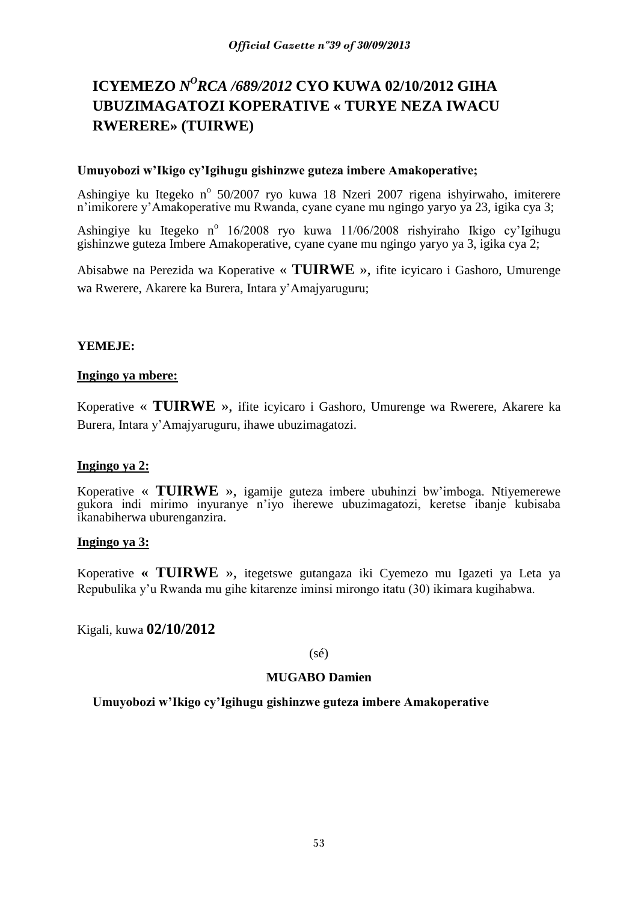# **ICYEMEZO** *N <sup>O</sup>RCA /689/2012* **CYO KUWA 02/10/2012 GIHA UBUZIMAGATOZI KOPERATIVE « TURYE NEZA IWACU RWERERE» (TUIRWE)**

# **Umuyobozi w'Ikigo cy'Igihugu gishinzwe guteza imbere Amakoperative;**

Ashingiye ku Itegeko nº 50/2007 ryo kuwa 18 Nzeri 2007 rigena ishyirwaho, imiterere n'imikorere y'Amakoperative mu Rwanda, cyane cyane mu ngingo yaryo ya 23, igika cya 3;

Ashingiye ku Itegeko nº 16/2008 ryo kuwa 11/06/2008 rishyiraho Ikigo cy'Igihugu gishinzwe guteza Imbere Amakoperative, cyane cyane mu ngingo yaryo ya 3, igika cya 2;

Abisabwe na Perezida wa Koperative « **TUIRWE** », ifite icyicaro i Gashoro, Umurenge wa Rwerere, Akarere ka Burera, Intara y'Amajyaruguru;

# **YEMEJE:**

### **Ingingo ya mbere:**

Koperative « **TUIRWE** », ifite icyicaro i Gashoro, Umurenge wa Rwerere, Akarere ka Burera, Intara y'Amajyaruguru, ihawe ubuzimagatozi.

# **Ingingo ya 2:**

Koperative « **TUIRWE** », igamije guteza imbere ubuhinzi bw'imboga. Ntiyemerewe gukora indi mirimo inyuranye n'iyo iherewe ubuzimagatozi, keretse ibanje kubisaba ikanabiherwa uburenganzira.

# **Ingingo ya 3:**

Koperative **« TUIRWE** », itegetswe gutangaza iki Cyemezo mu Igazeti ya Leta ya Repubulika y'u Rwanda mu gihe kitarenze iminsi mirongo itatu (30) ikimara kugihabwa.

Kigali, kuwa **02/10/2012**

(sé)

### **MUGABO Damien**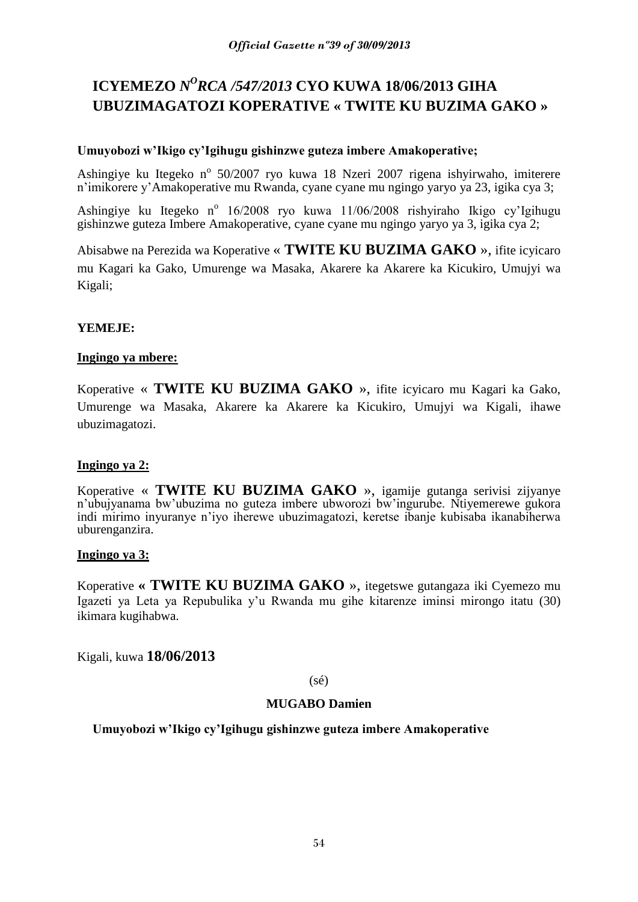# **ICYEMEZO** *N <sup>O</sup>RCA /547/2013* **CYO KUWA 18/06/2013 GIHA UBUZIMAGATOZI KOPERATIVE « TWITE KU BUZIMA GAKO »**

# **Umuyobozi w'Ikigo cy'Igihugu gishinzwe guteza imbere Amakoperative;**

Ashingiye ku Itegeko nº 50/2007 ryo kuwa 18 Nzeri 2007 rigena ishyirwaho, imiterere n'imikorere y'Amakoperative mu Rwanda, cyane cyane mu ngingo yaryo ya 23, igika cya 3;

Ashingiye ku Itegeko nº 16/2008 ryo kuwa 11/06/2008 rishyiraho Ikigo cy'Igihugu gishinzwe guteza Imbere Amakoperative, cyane cyane mu ngingo yaryo ya 3, igika cya 2;

Abisabwe na Perezida wa Koperative « **TWITE KU BUZIMA GAKO** », ifite icyicaro mu Kagari ka Gako, Umurenge wa Masaka, Akarere ka Akarere ka Kicukiro, Umujyi wa Kigali;

# **YEMEJE:**

# **Ingingo ya mbere:**

Koperative « **TWITE KU BUZIMA GAKO** », ifite icyicaro mu Kagari ka Gako, Umurenge wa Masaka, Akarere ka Akarere ka Kicukiro, Umujyi wa Kigali, ihawe ubuzimagatozi.

# **Ingingo ya 2:**

Koperative « **TWITE KU BUZIMA GAKO** », igamije gutanga serivisi zijyanye n'ubujyanama bw'ubuzima no guteza imbere ubworozi bw'ingurube. Ntiyemerewe gukora indi mirimo inyuranye n'iyo iherewe ubuzimagatozi, keretse ibanje kubisaba ikanabiherwa uburenganzira.

# **Ingingo ya 3:**

Koperative **« TWITE KU BUZIMA GAKO** », itegetswe gutangaza iki Cyemezo mu Igazeti ya Leta ya Repubulika y'u Rwanda mu gihe kitarenze iminsi mirongo itatu (30) ikimara kugihabwa.

Kigali, kuwa **18/06/2013**

(sé)

# **MUGABO Damien**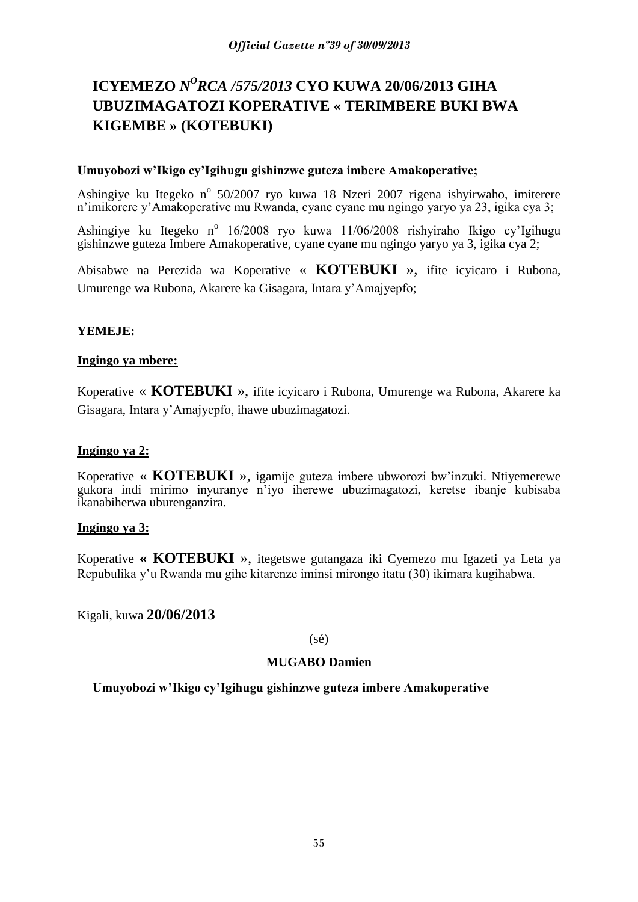# **ICYEMEZO** *N<sup>O</sup>RCA /575/2013* **CYO KUWA 20/06/2013 GIHA UBUZIMAGATOZI KOPERATIVE « TERIMBERE BUKI BWA KIGEMBE » (KOTEBUKI)**

# **Umuyobozi w'Ikigo cy'Igihugu gishinzwe guteza imbere Amakoperative;**

Ashingiye ku Itegeko nº 50/2007 ryo kuwa 18 Nzeri 2007 rigena ishyirwaho, imiterere n'imikorere y'Amakoperative mu Rwanda, cyane cyane mu ngingo yaryo ya 23, igika cya 3;

Ashingiye ku Itegeko nº 16/2008 ryo kuwa 11/06/2008 rishyiraho Ikigo cy'Igihugu gishinzwe guteza Imbere Amakoperative, cyane cyane mu ngingo yaryo ya 3, igika cya 2;

Abisabwe na Perezida wa Koperative « **KOTEBUKI** », ifite icyicaro i Rubona, Umurenge wa Rubona, Akarere ka Gisagara, Intara y'Amajyepfo;

# **YEMEJE:**

# **Ingingo ya mbere:**

Koperative « **KOTEBUKI** », ifite icyicaro i Rubona, Umurenge wa Rubona, Akarere ka Gisagara, Intara y'Amajyepfo, ihawe ubuzimagatozi.

# **Ingingo ya 2:**

Koperative « **KOTEBUKI** », igamije guteza imbere ubworozi bw'inzuki. Ntiyemerewe gukora indi mirimo inyuranye n'iyo iherewe ubuzimagatozi, keretse ibanje kubisaba ikanabiherwa uburenganzira.

# **Ingingo ya 3:**

Koperative **« KOTEBUKI** », itegetswe gutangaza iki Cyemezo mu Igazeti ya Leta ya Repubulika y'u Rwanda mu gihe kitarenze iminsi mirongo itatu (30) ikimara kugihabwa.

Kigali, kuwa **20/06/2013**

(sé)

# **MUGABO Damien**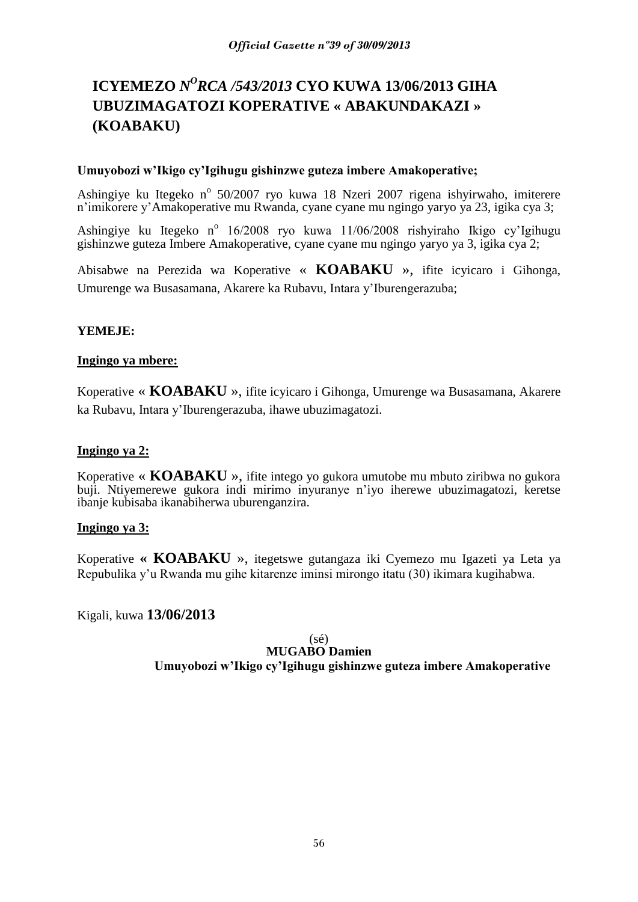# **ICYEMEZO** *N<sup>O</sup>RCA /543/2013* **CYO KUWA 13/06/2013 GIHA UBUZIMAGATOZI KOPERATIVE « ABAKUNDAKAZI » (KOABAKU)**

# **Umuyobozi w'Ikigo cy'Igihugu gishinzwe guteza imbere Amakoperative;**

Ashingiye ku Itegeko nº 50/2007 ryo kuwa 18 Nzeri 2007 rigena ishyirwaho, imiterere n'imikorere y'Amakoperative mu Rwanda, cyane cyane mu ngingo yaryo ya 23, igika cya 3;

Ashingiye ku Itegeko nº 16/2008 ryo kuwa 11/06/2008 rishyiraho Ikigo cy'Igihugu gishinzwe guteza Imbere Amakoperative, cyane cyane mu ngingo yaryo ya 3, igika cya 2;

Abisabwe na Perezida wa Koperative « **KOABAKU** », ifite icyicaro i Gihonga, Umurenge wa Busasamana, Akarere ka Rubavu, Intara y'Iburengerazuba;

# **YEMEJE:**

# **Ingingo ya mbere:**

Koperative « **KOABAKU** », ifite icyicaro i Gihonga, Umurenge wa Busasamana, Akarere ka Rubavu, Intara y'Iburengerazuba, ihawe ubuzimagatozi.

# **Ingingo ya 2:**

Koperative « **KOABAKU** », ifite intego yo gukora umutobe mu mbuto ziribwa no gukora buji. Ntiyemerewe gukora indi mirimo inyuranye n'iyo iherewe ubuzimagatozi, keretse ibanje kubisaba ikanabiherwa uburenganzira.

# **Ingingo ya 3:**

Koperative **« KOABAKU** », itegetswe gutangaza iki Cyemezo mu Igazeti ya Leta ya Repubulika y'u Rwanda mu gihe kitarenze iminsi mirongo itatu (30) ikimara kugihabwa.

Kigali, kuwa **13/06/2013**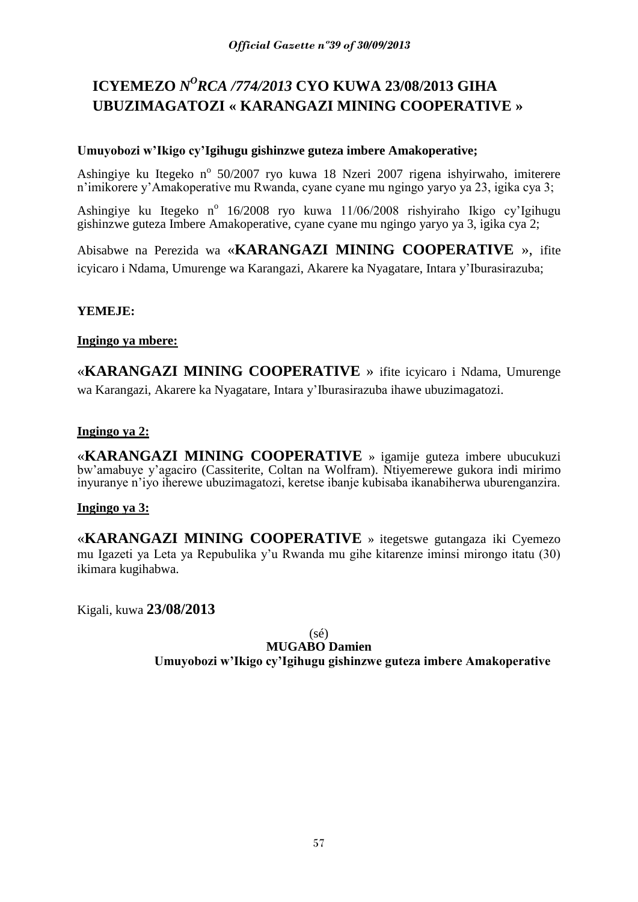# **ICYEMEZO** *N <sup>O</sup>RCA /774/2013* **CYO KUWA 23/08/2013 GIHA UBUZIMAGATOZI « KARANGAZI MINING COOPERATIVE »**

# **Umuyobozi w'Ikigo cy'Igihugu gishinzwe guteza imbere Amakoperative;**

Ashingiye ku Itegeko nº 50/2007 ryo kuwa 18 Nzeri 2007 rigena ishyirwaho, imiterere n'imikorere y'Amakoperative mu Rwanda, cyane cyane mu ngingo yaryo ya 23, igika cya 3;

Ashingiye ku Itegeko nº 16/2008 ryo kuwa 11/06/2008 rishyiraho Ikigo cy'Igihugu gishinzwe guteza Imbere Amakoperative, cyane cyane mu ngingo yaryo ya 3, igika cya 2;

Abisabwe na Perezida wa «**KARANGAZI MINING COOPERATIVE** », ifite icyicaro i Ndama, Umurenge wa Karangazi, Akarere ka Nyagatare, Intara y'Iburasirazuba;

# **YEMEJE:**

# **Ingingo ya mbere:**

«**KARANGAZI MINING COOPERATIVE** » ifite icyicaro i Ndama, Umurenge wa Karangazi, Akarere ka Nyagatare, Intara y'Iburasirazuba ihawe ubuzimagatozi.

# **Ingingo ya 2:**

«**KARANGAZI MINING COOPERATIVE** » igamije guteza imbere ubucukuzi bw'amabuye y'agaciro (Cassiterite, Coltan na Wolfram). Ntiyemerewe gukora indi mirimo inyuranye n'iyo iherewe ubuzimagatozi, keretse ibanje kubisaba ikanabiherwa uburenganzira.

# **Ingingo ya 3:**

«**KARANGAZI MINING COOPERATIVE** » itegetswe gutangaza iki Cyemezo mu Igazeti ya Leta ya Repubulika y'u Rwanda mu gihe kitarenze iminsi mirongo itatu (30) ikimara kugihabwa.

Kigali, kuwa **23/08/2013**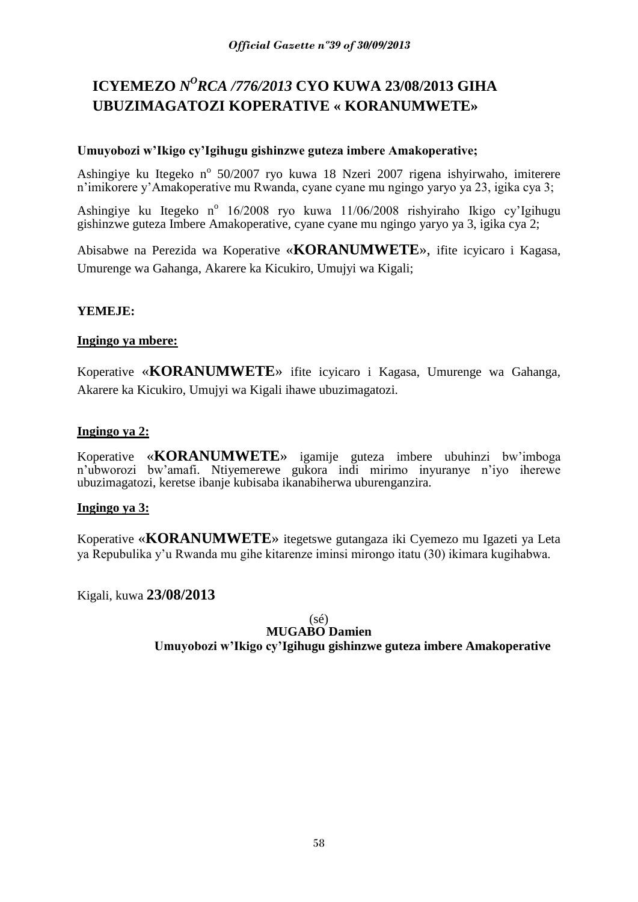# **ICYEMEZO** *N <sup>O</sup>RCA /776/2013* **CYO KUWA 23/08/2013 GIHA UBUZIMAGATOZI KOPERATIVE « KORANUMWETE»**

# **Umuyobozi w'Ikigo cy'Igihugu gishinzwe guteza imbere Amakoperative;**

Ashingiye ku Itegeko nº 50/2007 ryo kuwa 18 Nzeri 2007 rigena ishyirwaho, imiterere n'imikorere y'Amakoperative mu Rwanda, cyane cyane mu ngingo yaryo ya 23, igika cya 3;

Ashingiye ku Itegeko nº 16/2008 ryo kuwa 11/06/2008 rishyiraho Ikigo cy'Igihugu gishinzwe guteza Imbere Amakoperative, cyane cyane mu ngingo yaryo ya 3, igika cya 2;

Abisabwe na Perezida wa Koperative «**KORANUMWETE**», ifite icyicaro i Kagasa, Umurenge wa Gahanga, Akarere ka Kicukiro, Umujyi wa Kigali;

# **YEMEJE:**

# **Ingingo ya mbere:**

Koperative «**KORANUMWETE**» ifite icyicaro i Kagasa, Umurenge wa Gahanga, Akarere ka Kicukiro, Umujyi wa Kigali ihawe ubuzimagatozi.

# **Ingingo ya 2:**

Koperative «**KORANUMWETE**» igamije guteza imbere ubuhinzi bw'imboga n'ubworozi bw'amafi. Ntiyemerewe gukora indi mirimo inyuranye n'iyo iherewe ubuzimagatozi, keretse ibanje kubisaba ikanabiherwa uburenganzira.

# **Ingingo ya 3:**

Koperative «**KORANUMWETE**» itegetswe gutangaza iki Cyemezo mu Igazeti ya Leta ya Repubulika y'u Rwanda mu gihe kitarenze iminsi mirongo itatu (30) ikimara kugihabwa.

Kigali, kuwa **23/08/2013**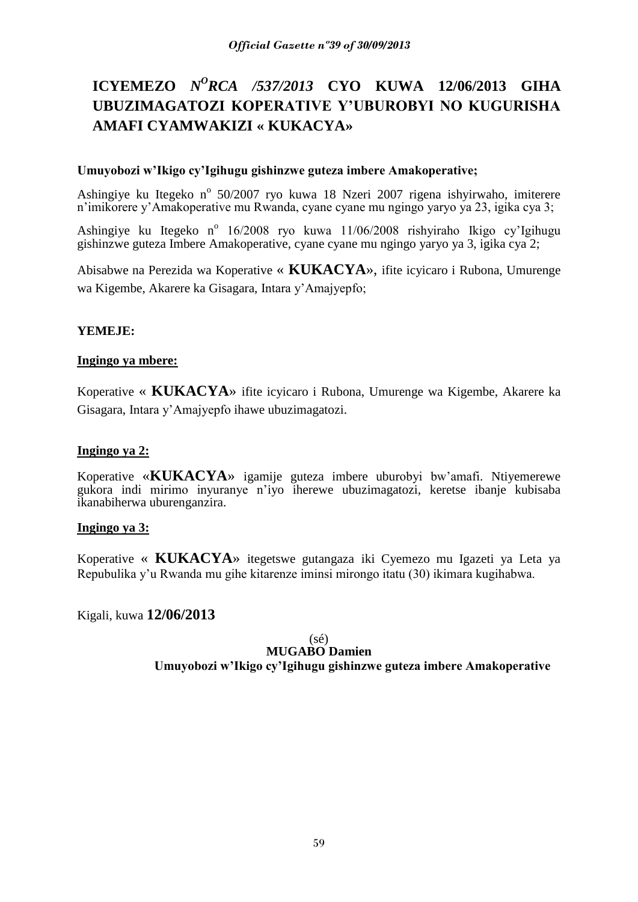# **ICYEMEZO** *N<sup>O</sup>RCA /537/2013* **CYO KUWA 12/06/2013 GIHA UBUZIMAGATOZI KOPERATIVE Y'UBUROBYI NO KUGURISHA AMAFI CYAMWAKIZI « KUKACYA»**

# **Umuyobozi w'Ikigo cy'Igihugu gishinzwe guteza imbere Amakoperative;**

Ashingiye ku Itegeko nº 50/2007 ryo kuwa 18 Nzeri 2007 rigena ishyirwaho, imiterere n'imikorere y'Amakoperative mu Rwanda, cyane cyane mu ngingo yaryo ya 23, igika cya 3;

Ashingiye ku Itegeko nº 16/2008 ryo kuwa 11/06/2008 rishyiraho Ikigo cy'Igihugu gishinzwe guteza Imbere Amakoperative, cyane cyane mu ngingo yaryo ya 3, igika cya 2;

Abisabwe na Perezida wa Koperative « **KUKACYA**», ifite icyicaro i Rubona, Umurenge wa Kigembe, Akarere ka Gisagara, Intara y'Amajyepfo;

# **YEMEJE:**

# **Ingingo ya mbere:**

Koperative « **KUKACYA**» ifite icyicaro i Rubona, Umurenge wa Kigembe, Akarere ka Gisagara, Intara y'Amajyepfo ihawe ubuzimagatozi.

# **Ingingo ya 2:**

Koperative «**KUKACYA**» igamije guteza imbere uburobyi bw'amafi. Ntiyemerewe gukora indi mirimo inyuranye n'iyo iherewe ubuzimagatozi, keretse ibanje kubisaba ikanabiherwa uburenganzira.

# **Ingingo ya 3:**

Koperative « **KUKACYA**» itegetswe gutangaza iki Cyemezo mu Igazeti ya Leta ya Repubulika y'u Rwanda mu gihe kitarenze iminsi mirongo itatu (30) ikimara kugihabwa.

Kigali, kuwa **12/06/2013**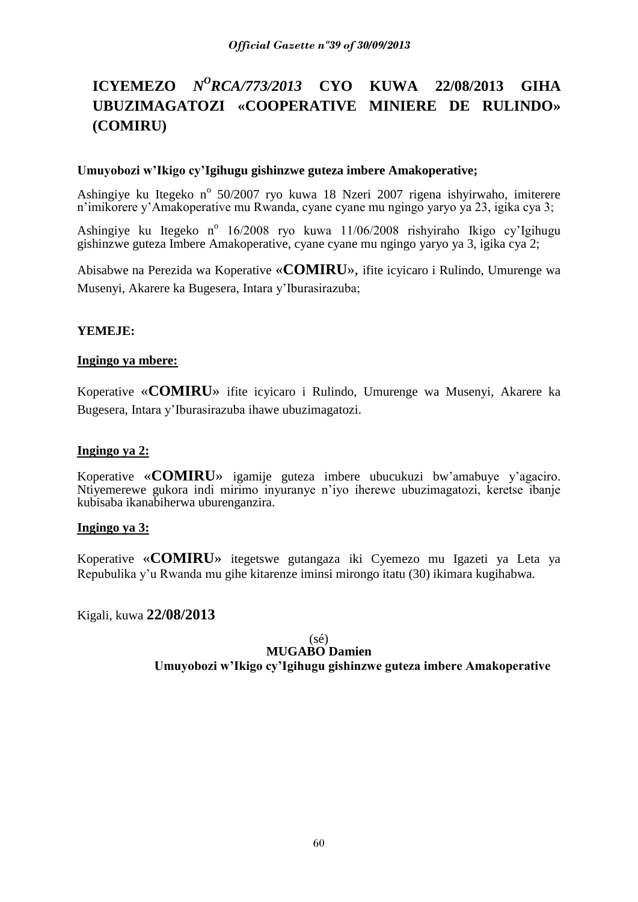# **ICYEMEZO** *N<sup>O</sup>RCA/773/2013* **CYO KUWA 22/08/2013 GIHA UBUZIMAGATOZI «COOPERATIVE MINIERE DE RULINDO» (COMIRU)**

# **Umuyobozi w'Ikigo cy'Igihugu gishinzwe guteza imbere Amakoperative;**

Ashingiye ku Itegeko nº 50/2007 ryo kuwa 18 Nzeri 2007 rigena ishyirwaho, imiterere n'imikorere y'Amakoperative mu Rwanda, cyane cyane mu ngingo yaryo ya 23, igika cya 3;

Ashingiye ku Itegeko nº 16/2008 ryo kuwa 11/06/2008 rishyiraho Ikigo cy'Igihugu gishinzwe guteza Imbere Amakoperative, cyane cyane mu ngingo yaryo ya 3, igika cya 2;

Abisabwe na Perezida wa Koperative «**COMIRU**», ifite icyicaro i Rulindo, Umurenge wa Musenyi, Akarere ka Bugesera, Intara y'Iburasirazuba;

# **YEMEJE:**

# **Ingingo ya mbere:**

Koperative «**COMIRU**» ifite icyicaro i Rulindo, Umurenge wa Musenyi, Akarere ka Bugesera, Intara y'Iburasirazuba ihawe ubuzimagatozi.

# **Ingingo ya 2:**

Koperative «**COMIRU**» igamije guteza imbere ubucukuzi bw'amabuye y'agaciro. Ntiyemerewe gukora indi mirimo inyuranye n'iyo iherewe ubuzimagatozi, keretse ibanje kubisaba ikanabiherwa uburenganzira.

# **Ingingo ya 3:**

Koperative «**COMIRU**» itegetswe gutangaza iki Cyemezo mu Igazeti ya Leta ya Repubulika y'u Rwanda mu gihe kitarenze iminsi mirongo itatu (30) ikimara kugihabwa.

Kigali, kuwa **22/08/2013**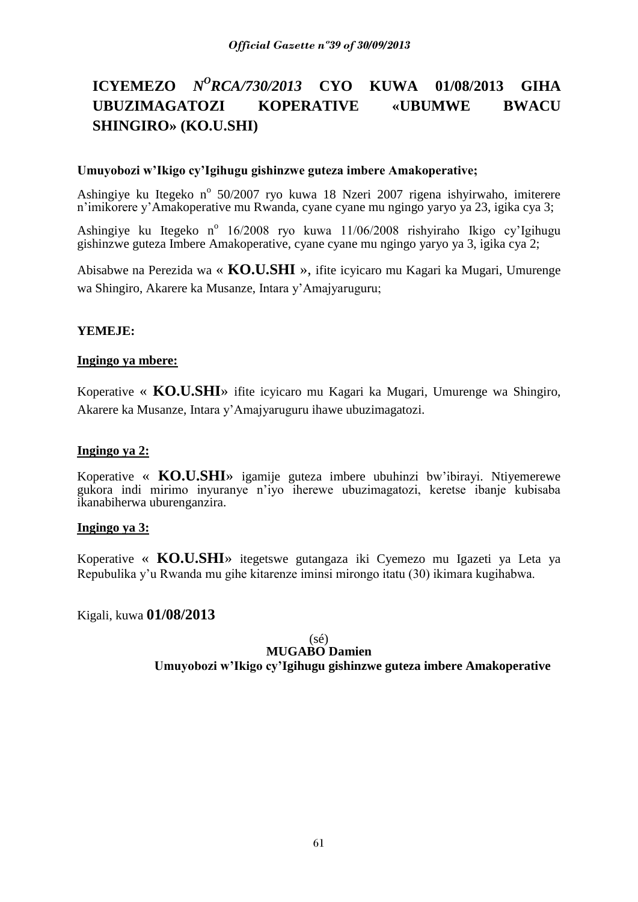# **ICYEMEZO** *N<sup>O</sup>RCA/730/2013* **CYO KUWA 01/08/2013 GIHA UBUZIMAGATOZI KOPERATIVE «UBUMWE BWACU SHINGIRO» (KO.U.SHI)**

# **Umuyobozi w'Ikigo cy'Igihugu gishinzwe guteza imbere Amakoperative;**

Ashingiye ku Itegeko nº 50/2007 ryo kuwa 18 Nzeri 2007 rigena ishyirwaho, imiterere n'imikorere y'Amakoperative mu Rwanda, cyane cyane mu ngingo yaryo ya 23, igika cya 3;

Ashingiye ku Itegeko nº 16/2008 ryo kuwa 11/06/2008 rishyiraho Ikigo cy'Igihugu gishinzwe guteza Imbere Amakoperative, cyane cyane mu ngingo yaryo ya 3, igika cya 2;

Abisabwe na Perezida wa « **KO.U.SHI** », ifite icyicaro mu Kagari ka Mugari, Umurenge wa Shingiro, Akarere ka Musanze, Intara y'Amajyaruguru;

# **YEMEJE:**

# **Ingingo ya mbere:**

Koperative « **KO.U.SHI**» ifite icyicaro mu Kagari ka Mugari, Umurenge wa Shingiro, Akarere ka Musanze, Intara y'Amajyaruguru ihawe ubuzimagatozi.

# **Ingingo ya 2:**

Koperative « **KO.U.SHI**» igamije guteza imbere ubuhinzi bw'ibirayi. Ntiyemerewe gukora indi mirimo inyuranye n'iyo iherewe ubuzimagatozi, keretse ibanje kubisaba ikanabiherwa uburenganzira.

# **Ingingo ya 3:**

Koperative « **KO.U.SHI**» itegetswe gutangaza iki Cyemezo mu Igazeti ya Leta ya Repubulika y'u Rwanda mu gihe kitarenze iminsi mirongo itatu (30) ikimara kugihabwa.

Kigali, kuwa **01/08/2013**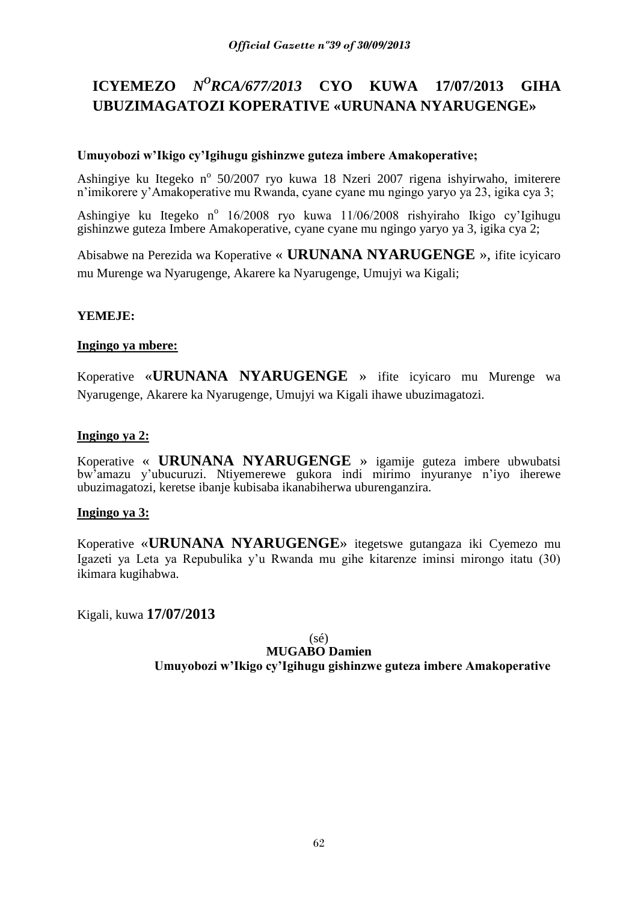# **ICYEMEZO** *N<sup>O</sup>RCA/677/2013* **CYO KUWA 17/07/2013 GIHA UBUZIMAGATOZI KOPERATIVE «URUNANA NYARUGENGE»**

# **Umuyobozi w'Ikigo cy'Igihugu gishinzwe guteza imbere Amakoperative;**

Ashingiye ku Itegeko nº 50/2007 ryo kuwa 18 Nzeri 2007 rigena ishyirwaho, imiterere n'imikorere y'Amakoperative mu Rwanda, cyane cyane mu ngingo yaryo ya 23, igika cya 3;

Ashingiye ku Itegeko nº 16/2008 ryo kuwa 11/06/2008 rishyiraho Ikigo cy'Igihugu gishinzwe guteza Imbere Amakoperative, cyane cyane mu ngingo yaryo ya 3, igika cya 2;

Abisabwe na Perezida wa Koperative « **URUNANA NYARUGENGE** », ifite icyicaro mu Murenge wa Nyarugenge, Akarere ka Nyarugenge, Umujyi wa Kigali;

# **YEMEJE:**

# **Ingingo ya mbere:**

Koperative «**URUNANA NYARUGENGE** » ifite icyicaro mu Murenge wa Nyarugenge, Akarere ka Nyarugenge, Umujyi wa Kigali ihawe ubuzimagatozi.

# **Ingingo ya 2:**

Koperative « **URUNANA NYARUGENGE** » igamije guteza imbere ubwubatsi bw'amazu y'ubucuruzi. Ntiyemerewe gukora indi mirimo inyuranye n'iyo iherewe ubuzimagatozi, keretse ibanje kubisaba ikanabiherwa uburenganzira.

# **Ingingo ya 3:**

Koperative «**URUNANA NYARUGENGE**» itegetswe gutangaza iki Cyemezo mu Igazeti ya Leta ya Repubulika y'u Rwanda mu gihe kitarenze iminsi mirongo itatu (30) ikimara kugihabwa.

Kigali, kuwa **17/07/2013**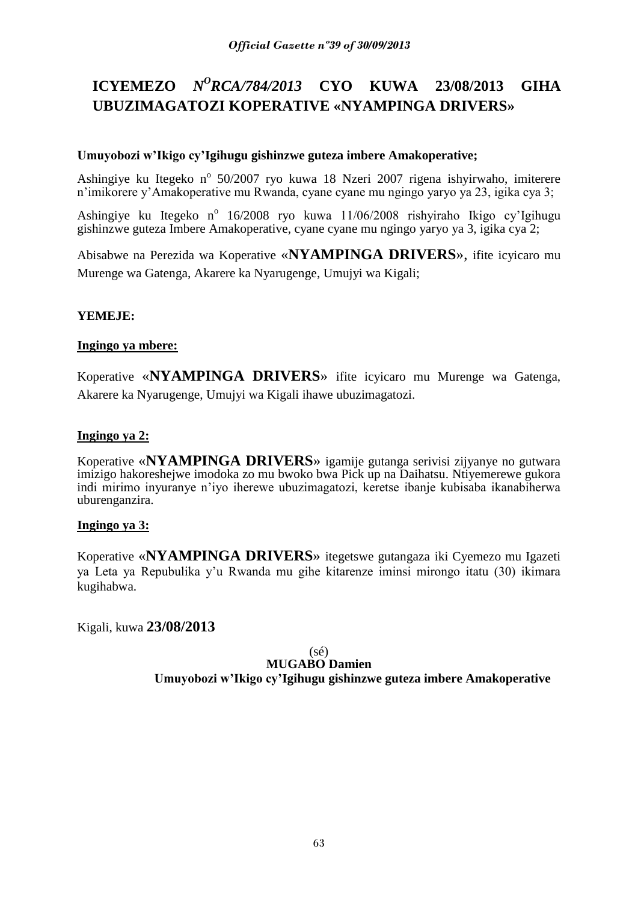# **ICYEMEZO** *N<sup>O</sup>RCA/784/2013* **CYO KUWA 23/08/2013 GIHA UBUZIMAGATOZI KOPERATIVE «NYAMPINGA DRIVERS»**

# **Umuyobozi w'Ikigo cy'Igihugu gishinzwe guteza imbere Amakoperative;**

Ashingiye ku Itegeko nº 50/2007 ryo kuwa 18 Nzeri 2007 rigena ishyirwaho, imiterere n'imikorere y'Amakoperative mu Rwanda, cyane cyane mu ngingo yaryo ya 23, igika cya 3;

Ashingiye ku Itegeko nº 16/2008 ryo kuwa 11/06/2008 rishyiraho Ikigo cy'Igihugu gishinzwe guteza Imbere Amakoperative, cyane cyane mu ngingo yaryo ya 3, igika cya 2;

Abisabwe na Perezida wa Koperative «**NYAMPINGA DRIVERS**», ifite icyicaro mu Murenge wa Gatenga, Akarere ka Nyarugenge, Umujyi wa Kigali;

# **YEMEJE:**

# **Ingingo ya mbere:**

Koperative «**NYAMPINGA DRIVERS**» ifite icyicaro mu Murenge wa Gatenga, Akarere ka Nyarugenge, Umujyi wa Kigali ihawe ubuzimagatozi.

# **Ingingo ya 2:**

Koperative «**NYAMPINGA DRIVERS**» igamije gutanga serivisi zijyanye no gutwara imizigo hakoreshejwe imodoka zo mu bwoko bwa Pick up na Daihatsu. Ntiyemerewe gukora indi mirimo inyuranye n'iyo iherewe ubuzimagatozi, keretse ibanje kubisaba ikanabiherwa uburenganzira.

# **Ingingo ya 3:**

Koperative «**NYAMPINGA DRIVERS**» itegetswe gutangaza iki Cyemezo mu Igazeti ya Leta ya Repubulika y'u Rwanda mu gihe kitarenze iminsi mirongo itatu (30) ikimara kugihabwa.

Kigali, kuwa **23/08/2013**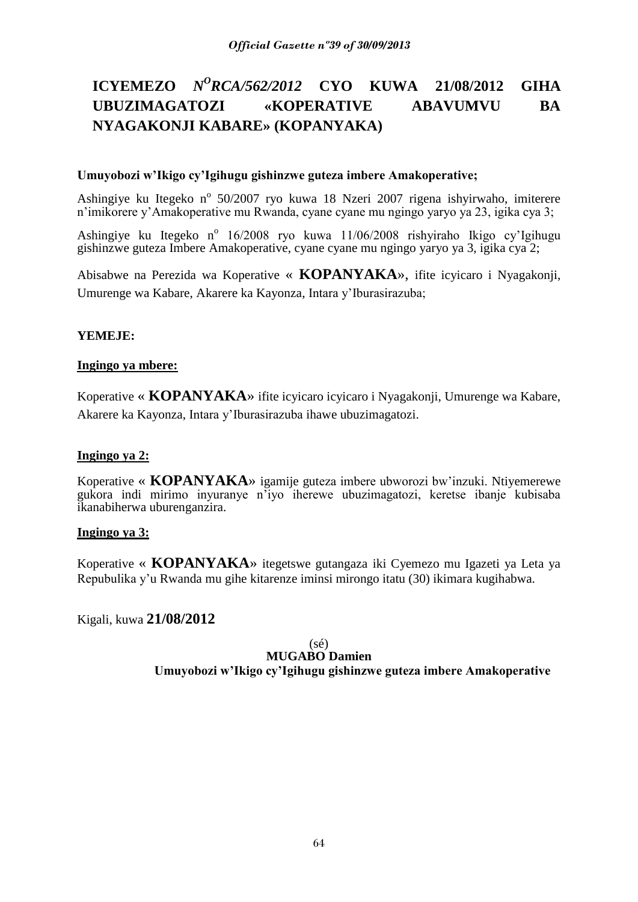# **ICYEMEZO** *N<sup>O</sup>RCA/562/2012* **CYO KUWA 21/08/2012 GIHA UBUZIMAGATOZI «KOPERATIVE ABAVUMVU BA NYAGAKONJI KABARE» (KOPANYAKA)**

# **Umuyobozi w'Ikigo cy'Igihugu gishinzwe guteza imbere Amakoperative;**

Ashingiye ku Itegeko nº 50/2007 ryo kuwa 18 Nzeri 2007 rigena ishyirwaho, imiterere n'imikorere y'Amakoperative mu Rwanda, cyane cyane mu ngingo yaryo ya 23, igika cya 3;

Ashingiye ku Itegeko nº 16/2008 ryo kuwa 11/06/2008 rishyiraho Ikigo cy'Igihugu gishinzwe guteza Imbere Amakoperative, cyane cyane mu ngingo yaryo ya 3, igika cya 2;

Abisabwe na Perezida wa Koperative « **KOPANYAKA**», ifite icyicaro i Nyagakonji, Umurenge wa Kabare, Akarere ka Kayonza, Intara y'Iburasirazuba;

# **YEMEJE:**

# **Ingingo ya mbere:**

Koperative « **KOPANYAKA**» ifite icyicaro icyicaro i Nyagakonji, Umurenge wa Kabare, Akarere ka Kayonza, Intara y'Iburasirazuba ihawe ubuzimagatozi.

# **Ingingo ya 2:**

Koperative « **KOPANYAKA**» igamije guteza imbere ubworozi bw'inzuki. Ntiyemerewe gukora indi mirimo inyuranye n'iyo iherewe ubuzimagatozi, keretse ibanje kubisaba ikanabiherwa uburenganzira.

# **Ingingo ya 3:**

Koperative « **KOPANYAKA**» itegetswe gutangaza iki Cyemezo mu Igazeti ya Leta ya Repubulika y'u Rwanda mu gihe kitarenze iminsi mirongo itatu (30) ikimara kugihabwa.

Kigali, kuwa **21/08/2012**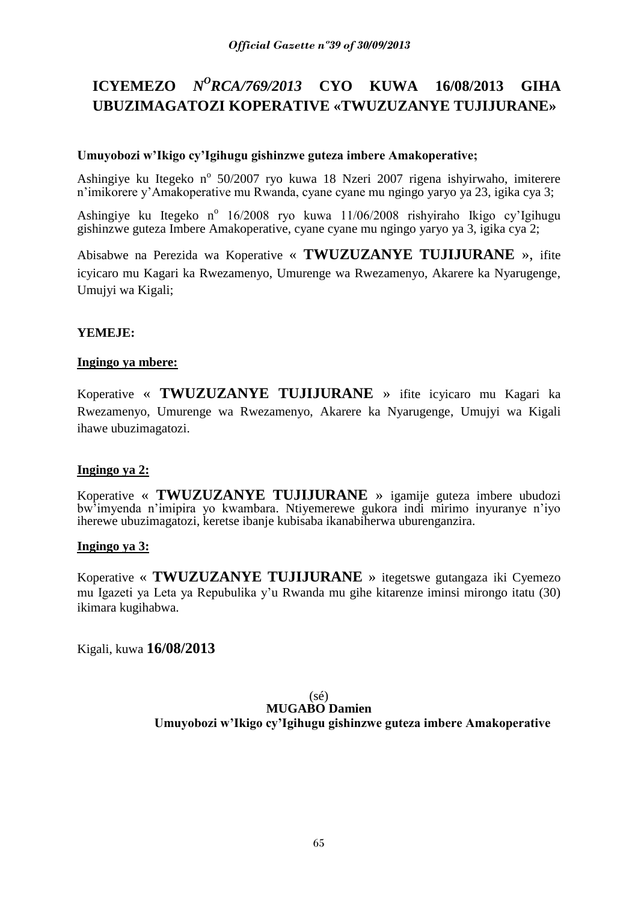# **ICYEMEZO** *N<sup>O</sup>RCA/769/2013* **CYO KUWA 16/08/2013 GIHA UBUZIMAGATOZI KOPERATIVE «TWUZUZANYE TUJIJURANE»**

# **Umuyobozi w'Ikigo cy'Igihugu gishinzwe guteza imbere Amakoperative;**

Ashingiye ku Itegeko nº 50/2007 ryo kuwa 18 Nzeri 2007 rigena ishyirwaho, imiterere n'imikorere y'Amakoperative mu Rwanda, cyane cyane mu ngingo yaryo ya 23, igika cya 3;

Ashingiye ku Itegeko nº 16/2008 ryo kuwa 11/06/2008 rishyiraho Ikigo cy'Igihugu gishinzwe guteza Imbere Amakoperative, cyane cyane mu ngingo yaryo ya 3, igika cya 2;

Abisabwe na Perezida wa Koperative « **TWUZUZANYE TUJIJURANE** », ifite icyicaro mu Kagari ka Rwezamenyo, Umurenge wa Rwezamenyo, Akarere ka Nyarugenge, Umujyi wa Kigali;

# **YEMEJE:**

# **Ingingo ya mbere:**

Koperative « **TWUZUZANYE TUJIJURANE** » ifite icyicaro mu Kagari ka Rwezamenyo, Umurenge wa Rwezamenyo, Akarere ka Nyarugenge, Umujyi wa Kigali ihawe ubuzimagatozi.

# **Ingingo ya 2:**

Koperative « **TWUZUZANYE TUJIJURANE** » igamije guteza imbere ubudozi bw'imyenda n'imipira yo kwambara. Ntiyemerewe gukora indi mirimo inyuranye n'iyo iherewe ubuzimagatozi, keretse ibanje kubisaba ikanabiherwa uburenganzira.

# **Ingingo ya 3:**

Koperative « **TWUZUZANYE TUJIJURANE** » itegetswe gutangaza iki Cyemezo mu Igazeti ya Leta ya Repubulika y'u Rwanda mu gihe kitarenze iminsi mirongo itatu (30) ikimara kugihabwa.

Kigali, kuwa **16/08/2013**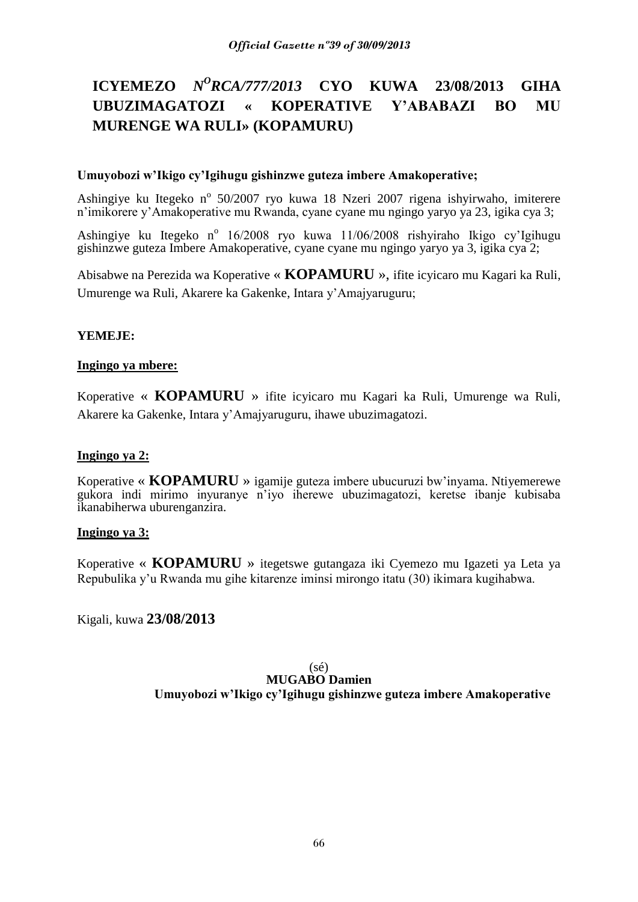# **ICYEMEZO** *N<sup>O</sup>RCA/777/2013* **CYO KUWA 23/08/2013 GIHA UBUZIMAGATOZI « KOPERATIVE Y'ABABAZI BO MU MURENGE WA RULI» (KOPAMURU)**

# **Umuyobozi w'Ikigo cy'Igihugu gishinzwe guteza imbere Amakoperative;**

Ashingiye ku Itegeko nº 50/2007 ryo kuwa 18 Nzeri 2007 rigena ishyirwaho, imiterere n'imikorere y'Amakoperative mu Rwanda, cyane cyane mu ngingo yaryo ya 23, igika cya 3;

Ashingiye ku Itegeko nº 16/2008 ryo kuwa 11/06/2008 rishyiraho Ikigo cy'Igihugu gishinzwe guteza Imbere Amakoperative, cyane cyane mu ngingo yaryo ya 3, igika cya 2;

Abisabwe na Perezida wa Koperative « **KOPAMURU** », ifite icyicaro mu Kagari ka Ruli, Umurenge wa Ruli, Akarere ka Gakenke, Intara y'Amajyaruguru;

# **YEMEJE:**

# **Ingingo ya mbere:**

Koperative « **KOPAMURU** » ifite icyicaro mu Kagari ka Ruli, Umurenge wa Ruli, Akarere ka Gakenke, Intara y'Amajyaruguru, ihawe ubuzimagatozi.

# **Ingingo ya 2:**

Koperative « **KOPAMURU** » igamije guteza imbere ubucuruzi bw'inyama. Ntiyemerewe gukora indi mirimo inyuranye n'iyo iherewe ubuzimagatozi, keretse ibanje kubisaba ikanabiherwa uburenganzira.

# **Ingingo ya 3:**

Koperative « **KOPAMURU** » itegetswe gutangaza iki Cyemezo mu Igazeti ya Leta ya Repubulika y'u Rwanda mu gihe kitarenze iminsi mirongo itatu (30) ikimara kugihabwa.

Kigali, kuwa **23/08/2013**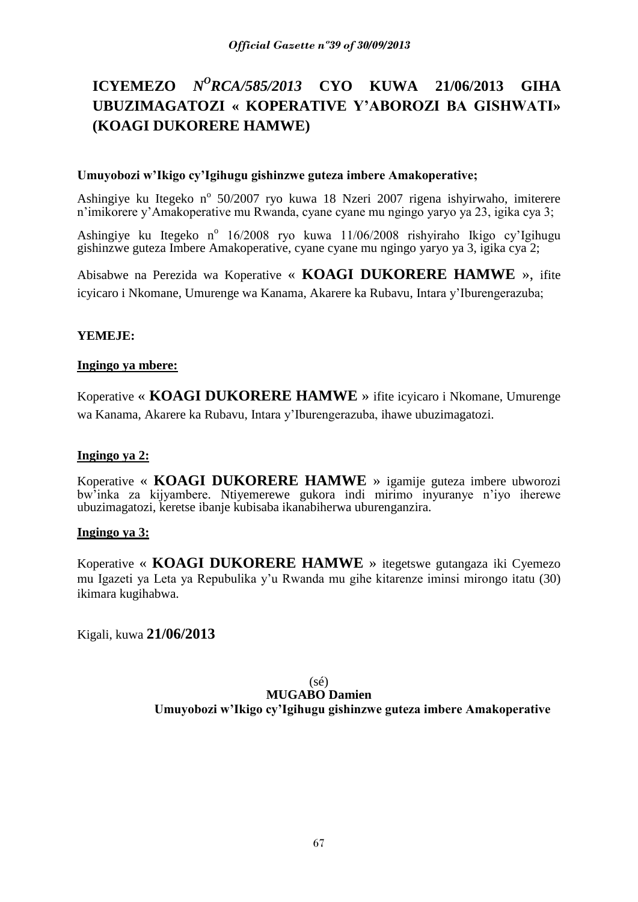# **ICYEMEZO** *N<sup>O</sup>RCA/585/2013* **CYO KUWA 21/06/2013 GIHA UBUZIMAGATOZI « KOPERATIVE Y'ABOROZI BA GISHWATI» (KOAGI DUKORERE HAMWE)**

# **Umuyobozi w'Ikigo cy'Igihugu gishinzwe guteza imbere Amakoperative;**

Ashingiye ku Itegeko nº 50/2007 ryo kuwa 18 Nzeri 2007 rigena ishyirwaho, imiterere n'imikorere y'Amakoperative mu Rwanda, cyane cyane mu ngingo yaryo ya 23, igika cya 3;

Ashingiye ku Itegeko nº 16/2008 ryo kuwa 11/06/2008 rishyiraho Ikigo cy'Igihugu gishinzwe guteza Imbere Amakoperative, cyane cyane mu ngingo yaryo ya 3, igika cya 2;

Abisabwe na Perezida wa Koperative « **KOAGI DUKORERE HAMWE** », ifite icyicaro i Nkomane, Umurenge wa Kanama, Akarere ka Rubavu, Intara y'Iburengerazuba;

# **YEMEJE:**

# **Ingingo ya mbere:**

Koperative « **KOAGI DUKORERE HAMWE** » ifite icyicaro i Nkomane, Umurenge wa Kanama, Akarere ka Rubavu, Intara y'Iburengerazuba, ihawe ubuzimagatozi.

# **Ingingo ya 2:**

Koperative « **KOAGI DUKORERE HAMWE** » igamije guteza imbere ubworozi bw'inka za kijyambere. Ntiyemerewe gukora indi mirimo inyuranye n'iyo iherewe ubuzimagatozi, keretse ibanje kubisaba ikanabiherwa uburenganzira.

# **Ingingo ya 3:**

Koperative « **KOAGI DUKORERE HAMWE** » itegetswe gutangaza iki Cyemezo mu Igazeti ya Leta ya Repubulika y'u Rwanda mu gihe kitarenze iminsi mirongo itatu (30) ikimara kugihabwa.

Kigali, kuwa **21/06/2013**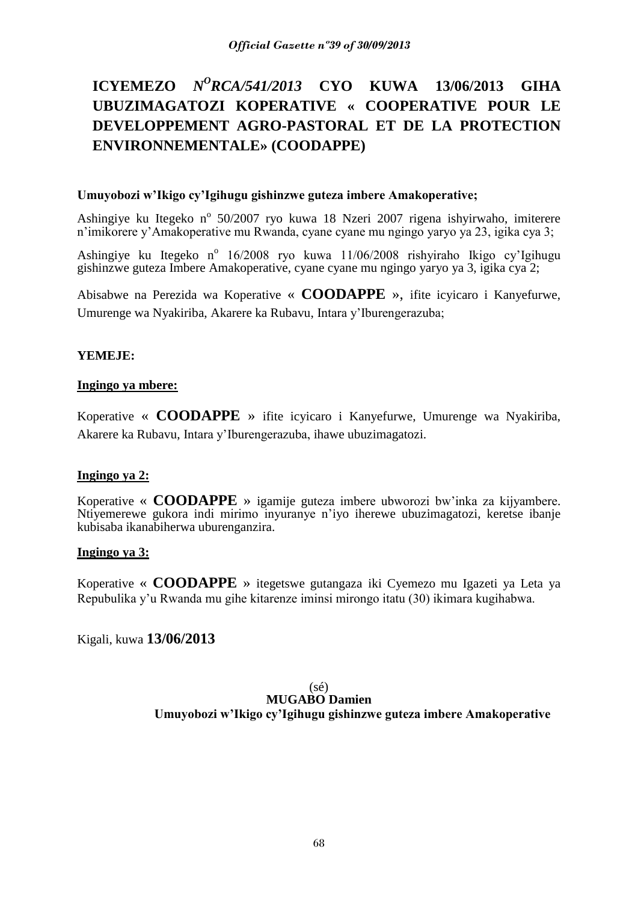# **ICYEMEZO** *N<sup>O</sup>RCA/541/2013* **CYO KUWA 13/06/2013 GIHA UBUZIMAGATOZI KOPERATIVE « COOPERATIVE POUR LE DEVELOPPEMENT AGRO-PASTORAL ET DE LA PROTECTION ENVIRONNEMENTALE» (COODAPPE)**

# **Umuyobozi w'Ikigo cy'Igihugu gishinzwe guteza imbere Amakoperative;**

Ashingiye ku Itegeko nº 50/2007 ryo kuwa 18 Nzeri 2007 rigena ishyirwaho, imiterere n'imikorere y'Amakoperative mu Rwanda, cyane cyane mu ngingo yaryo ya 23, igika cya 3;

Ashingiye ku Itegeko nº 16/2008 ryo kuwa 11/06/2008 rishyiraho Ikigo cy'Igihugu gishinzwe guteza Imbere Amakoperative, cyane cyane mu ngingo yaryo ya 3, igika cya 2;

Abisabwe na Perezida wa Koperative « **COODAPPE** », ifite icyicaro i Kanyefurwe, Umurenge wa Nyakiriba, Akarere ka Rubavu, Intara y'Iburengerazuba;

# **YEMEJE:**

# **Ingingo ya mbere:**

Koperative « **COODAPPE** » ifite icyicaro i Kanyefurwe, Umurenge wa Nyakiriba, Akarere ka Rubavu, Intara y'Iburengerazuba, ihawe ubuzimagatozi.

# **Ingingo ya 2:**

Koperative « **COODAPPE** » igamije guteza imbere ubworozi bw'inka za kijyambere. Ntiyemerewe gukora indi mirimo inyuranye n'iyo iherewe ubuzimagatozi, keretse ibanje kubisaba ikanabiherwa uburenganzira.

# **Ingingo ya 3:**

Koperative « **COODAPPE** » itegetswe gutangaza iki Cyemezo mu Igazeti ya Leta ya Repubulika y'u Rwanda mu gihe kitarenze iminsi mirongo itatu (30) ikimara kugihabwa.

Kigali, kuwa **13/06/2013**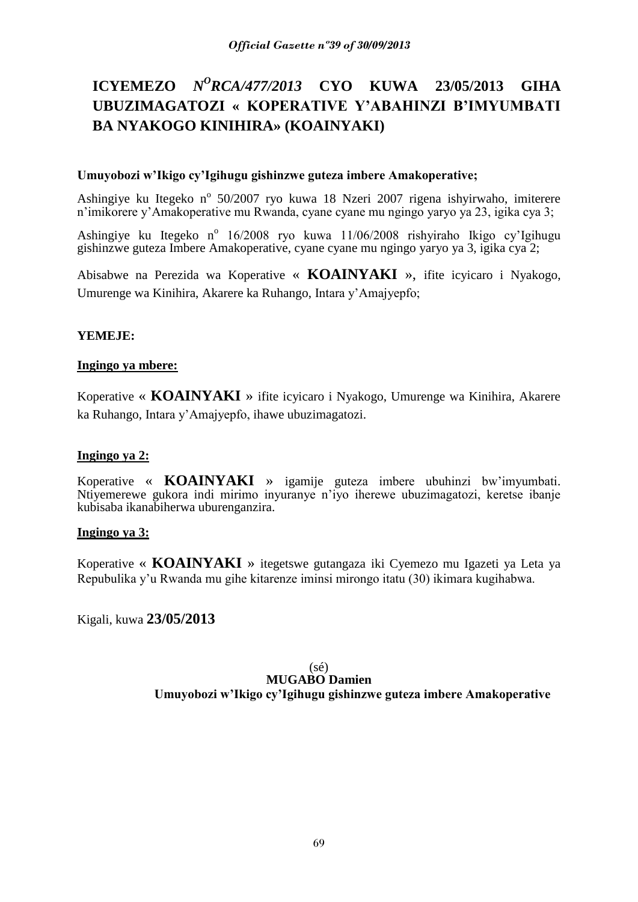# **ICYEMEZO** *N<sup>O</sup>RCA/477/2013* **CYO KUWA 23/05/2013 GIHA UBUZIMAGATOZI « KOPERATIVE Y'ABAHINZI B'IMYUMBATI BA NYAKOGO KINIHIRA» (KOAINYAKI)**

# **Umuyobozi w'Ikigo cy'Igihugu gishinzwe guteza imbere Amakoperative;**

Ashingiye ku Itegeko nº 50/2007 ryo kuwa 18 Nzeri 2007 rigena ishyirwaho, imiterere n'imikorere y'Amakoperative mu Rwanda, cyane cyane mu ngingo yaryo ya 23, igika cya 3;

Ashingiye ku Itegeko nº 16/2008 ryo kuwa 11/06/2008 rishyiraho Ikigo cy'Igihugu gishinzwe guteza Imbere Amakoperative, cyane cyane mu ngingo yaryo ya 3, igika cya 2;

Abisabwe na Perezida wa Koperative « **KOAINYAKI** », ifite icyicaro i Nyakogo, Umurenge wa Kinihira, Akarere ka Ruhango, Intara y'Amajyepfo;

# **YEMEJE:**

# **Ingingo ya mbere:**

Koperative « **KOAINYAKI** » ifite icyicaro i Nyakogo, Umurenge wa Kinihira, Akarere ka Ruhango, Intara y'Amajyepfo, ihawe ubuzimagatozi.

# **Ingingo ya 2:**

Koperative « **KOAINYAKI** » igamije guteza imbere ubuhinzi bw'imyumbati. Ntiyemerewe gukora indi mirimo inyuranye n'iyo iherewe ubuzimagatozi, keretse ibanje kubisaba ikanabiherwa uburenganzira.

# **Ingingo ya 3:**

Koperative « **KOAINYAKI** » itegetswe gutangaza iki Cyemezo mu Igazeti ya Leta ya Repubulika y'u Rwanda mu gihe kitarenze iminsi mirongo itatu (30) ikimara kugihabwa.

Kigali, kuwa **23/05/2013**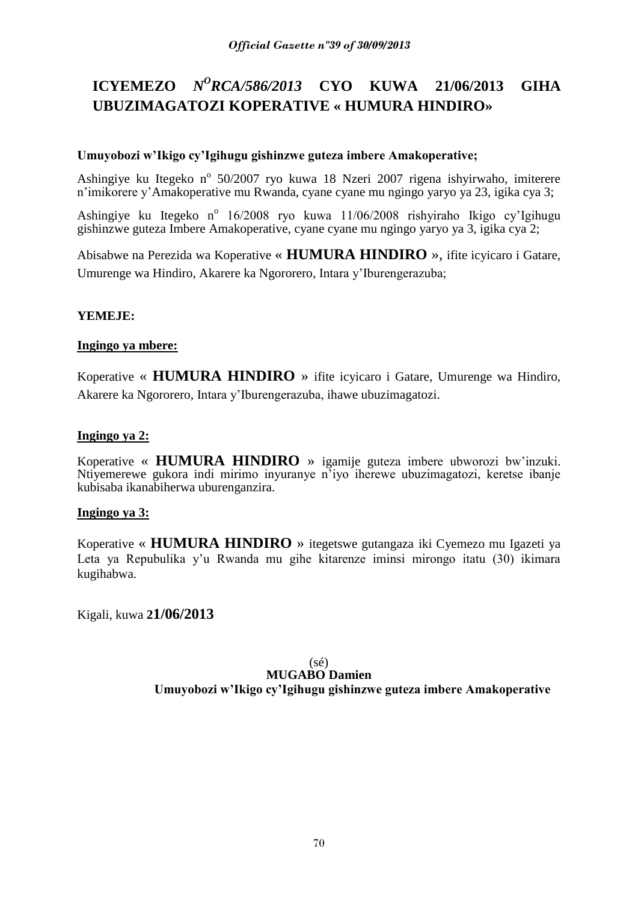# **ICYEMEZO** *N<sup>O</sup>RCA/586/2013* **CYO KUWA 21/06/2013 GIHA UBUZIMAGATOZI KOPERATIVE « HUMURA HINDIRO»**

# **Umuyobozi w'Ikigo cy'Igihugu gishinzwe guteza imbere Amakoperative;**

Ashingiye ku Itegeko nº 50/2007 ryo kuwa 18 Nzeri 2007 rigena ishyirwaho, imiterere n'imikorere y'Amakoperative mu Rwanda, cyane cyane mu ngingo yaryo ya 23, igika cya 3;

Ashingiye ku Itegeko nº 16/2008 ryo kuwa 11/06/2008 rishyiraho Ikigo cy'Igihugu gishinzwe guteza Imbere Amakoperative, cyane cyane mu ngingo yaryo ya 3, igika cya 2;

Abisabwe na Perezida wa Koperative « **HUMURA HINDIRO** », ifite icyicaro i Gatare, Umurenge wa Hindiro, Akarere ka Ngororero, Intara y'Iburengerazuba;

# **YEMEJE:**

# **Ingingo ya mbere:**

Koperative « **HUMURA HINDIRO** » ifite icyicaro i Gatare, Umurenge wa Hindiro, Akarere ka Ngororero, Intara y'Iburengerazuba, ihawe ubuzimagatozi.

# **Ingingo ya 2:**

Koperative « **HUMURA HINDIRO** » igamije guteza imbere ubworozi bw'inzuki. Ntiyemerewe gukora indi mirimo inyuranye n'iyo iherewe ubuzimagatozi, keretse ibanje kubisaba ikanabiherwa uburenganzira.

# **Ingingo ya 3:**

Koperative « **HUMURA HINDIRO** » itegetswe gutangaza iki Cyemezo mu Igazeti ya Leta ya Repubulika y'u Rwanda mu gihe kitarenze iminsi mirongo itatu (30) ikimara kugihabwa.

Kigali, kuwa **21/06/2013**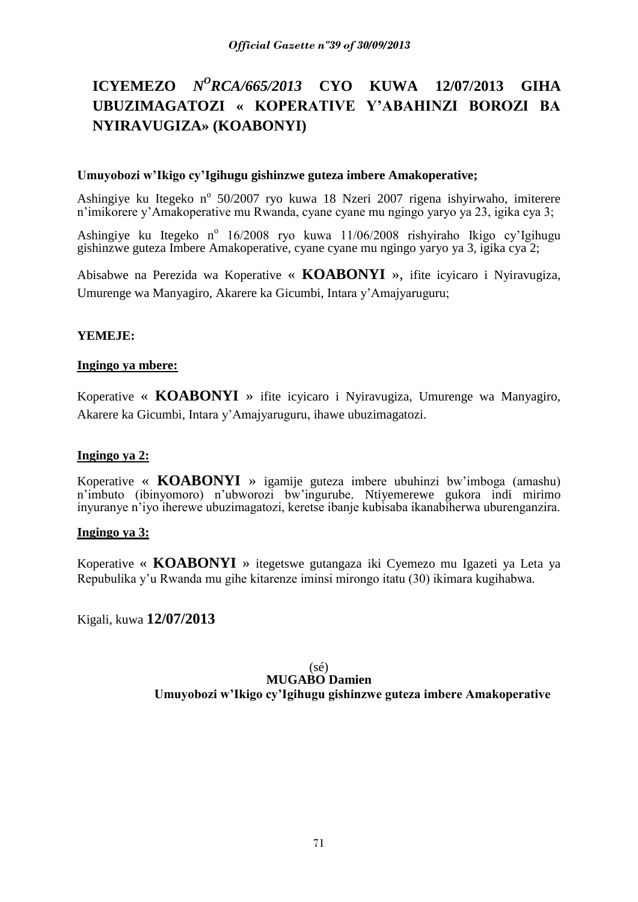# **ICYEMEZO** *N<sup>O</sup>RCA/665/2013* **CYO KUWA 12/07/2013 GIHA UBUZIMAGATOZI « KOPERATIVE Y'ABAHINZI BOROZI BA NYIRAVUGIZA» (KOABONYI)**

# **Umuyobozi w'Ikigo cy'Igihugu gishinzwe guteza imbere Amakoperative;**

Ashingiye ku Itegeko nº 50/2007 ryo kuwa 18 Nzeri 2007 rigena ishyirwaho, imiterere n'imikorere y'Amakoperative mu Rwanda, cyane cyane mu ngingo yaryo ya 23, igika cya 3;

Ashingiye ku Itegeko nº 16/2008 ryo kuwa 11/06/2008 rishyiraho Ikigo cy'Igihugu gishinzwe guteza Imbere Amakoperative, cyane cyane mu ngingo yaryo ya 3, igika cya 2;

Abisabwe na Perezida wa Koperative « **KOABONYI** », ifite icyicaro i Nyiravugiza, Umurenge wa Manyagiro, Akarere ka Gicumbi, Intara y'Amajyaruguru;

# **YEMEJE:**

# **Ingingo ya mbere:**

Koperative « **KOABONYI** » ifite icyicaro i Nyiravugiza, Umurenge wa Manyagiro, Akarere ka Gicumbi, Intara y'Amajyaruguru, ihawe ubuzimagatozi.

# **Ingingo ya 2:**

Koperative « **KOABONYI** » igamije guteza imbere ubuhinzi bw'imboga (amashu) n'imbuto (ibinyomoro) n'ubworozi bw'ingurube. Ntiyemerewe gukora indi mirimo inyuranye n'iyo iherewe ubuzimagatozi, keretse ibanje kubisaba ikanabiherwa uburenganzira.

# **Ingingo ya 3:**

Koperative « **KOABONYI** » itegetswe gutangaza iki Cyemezo mu Igazeti ya Leta ya Repubulika y'u Rwanda mu gihe kitarenze iminsi mirongo itatu (30) ikimara kugihabwa.

Kigali, kuwa **12/07/2013**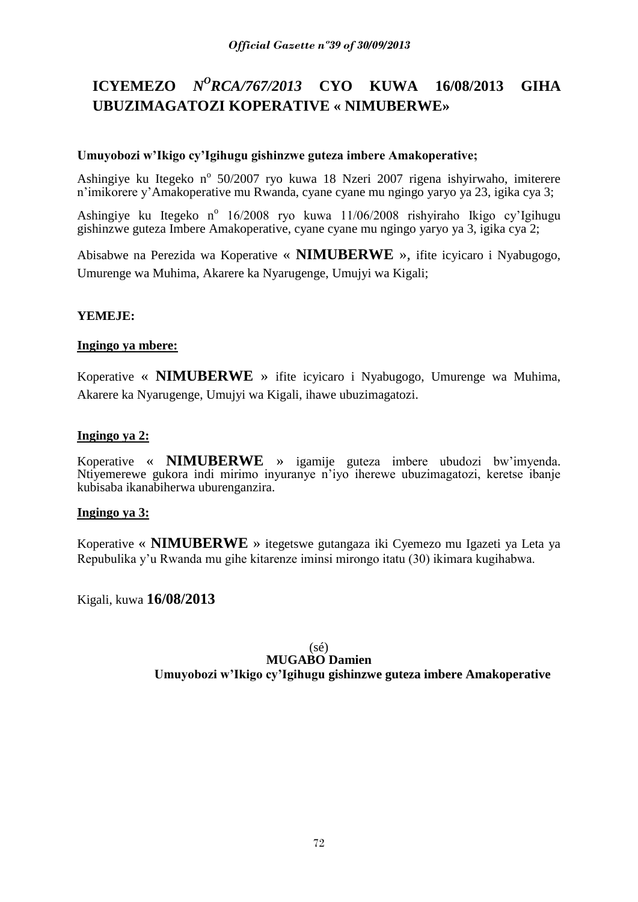# **ICYEMEZO** *N<sup>O</sup>RCA/767/2013* **CYO KUWA 16/08/2013 GIHA UBUZIMAGATOZI KOPERATIVE « NIMUBERWE»**

# **Umuyobozi w'Ikigo cy'Igihugu gishinzwe guteza imbere Amakoperative;**

Ashingiye ku Itegeko nº 50/2007 ryo kuwa 18 Nzeri 2007 rigena ishyirwaho, imiterere n'imikorere y'Amakoperative mu Rwanda, cyane cyane mu ngingo yaryo ya 23, igika cya 3;

Ashingiye ku Itegeko nº 16/2008 ryo kuwa 11/06/2008 rishyiraho Ikigo cy'Igihugu gishinzwe guteza Imbere Amakoperative, cyane cyane mu ngingo yaryo ya 3, igika cya 2;

Abisabwe na Perezida wa Koperative « **NIMUBERWE** », ifite icyicaro i Nyabugogo, Umurenge wa Muhima, Akarere ka Nyarugenge, Umujyi wa Kigali;

# **YEMEJE:**

# **Ingingo ya mbere:**

Koperative « **NIMUBERWE** » ifite icyicaro i Nyabugogo, Umurenge wa Muhima, Akarere ka Nyarugenge, Umujyi wa Kigali, ihawe ubuzimagatozi.

# **Ingingo ya 2:**

Koperative « **NIMUBERWE** » igamije guteza imbere ubudozi bw'imyenda. Ntiyemerewe gukora indi mirimo inyuranye n'iyo iherewe ubuzimagatozi, keretse ibanje kubisaba ikanabiherwa uburenganzira.

# **Ingingo ya 3:**

Koperative « **NIMUBERWE** » itegetswe gutangaza iki Cyemezo mu Igazeti ya Leta ya Repubulika y'u Rwanda mu gihe kitarenze iminsi mirongo itatu (30) ikimara kugihabwa.

Kigali, kuwa **16/08/2013**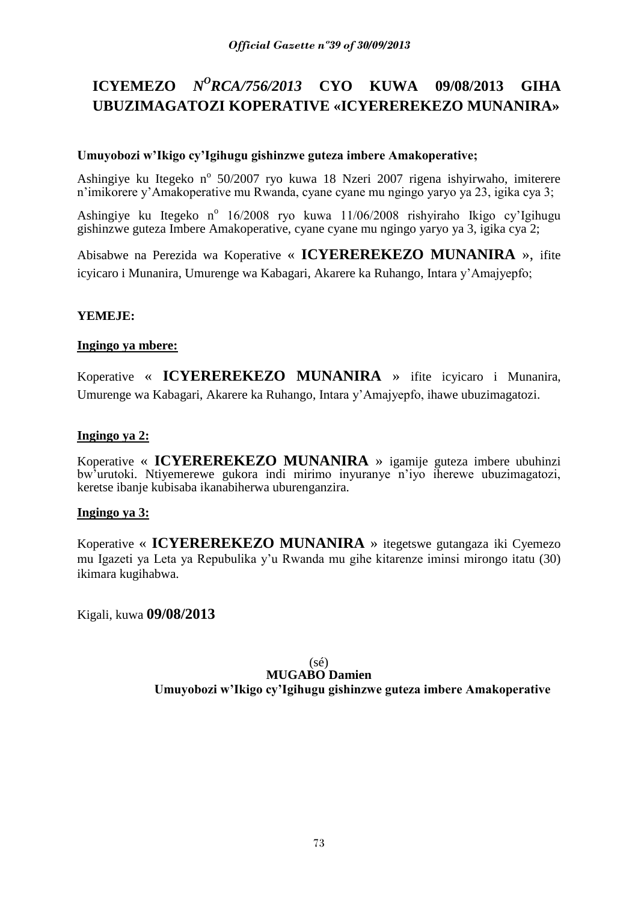# **ICYEMEZO** *N<sup>O</sup>RCA/756/2013* **CYO KUWA 09/08/2013 GIHA UBUZIMAGATOZI KOPERATIVE «ICYEREREKEZO MUNANIRA»**

# **Umuyobozi w'Ikigo cy'Igihugu gishinzwe guteza imbere Amakoperative;**

Ashingiye ku Itegeko nº 50/2007 ryo kuwa 18 Nzeri 2007 rigena ishyirwaho, imiterere n'imikorere y'Amakoperative mu Rwanda, cyane cyane mu ngingo yaryo ya 23, igika cya 3;

Ashingiye ku Itegeko nº 16/2008 ryo kuwa 11/06/2008 rishyiraho Ikigo cy'Igihugu gishinzwe guteza Imbere Amakoperative, cyane cyane mu ngingo yaryo ya 3, igika cya 2;

Abisabwe na Perezida wa Koperative « **ICYEREREKEZO MUNANIRA** », ifite icyicaro i Munanira, Umurenge wa Kabagari, Akarere ka Ruhango, Intara y'Amajyepfo;

# **YEMEJE:**

### **Ingingo ya mbere:**

Koperative « **ICYEREREKEZO MUNANIRA** » ifite icyicaro i Munanira, Umurenge wa Kabagari, Akarere ka Ruhango, Intara y'Amajyepfo, ihawe ubuzimagatozi.

# **Ingingo ya 2:**

Koperative « **ICYEREREKEZO MUNANIRA** » igamije guteza imbere ubuhinzi bw'urutoki. Ntiyemerewe gukora indi mirimo inyuranye n'iyo iherewe ubuzimagatozi, keretse ibanje kubisaba ikanabiherwa uburenganzira.

### **Ingingo ya 3:**

Koperative « **ICYEREREKEZO MUNANIRA** » itegetswe gutangaza iki Cyemezo mu Igazeti ya Leta ya Repubulika y'u Rwanda mu gihe kitarenze iminsi mirongo itatu (30) ikimara kugihabwa.

Kigali, kuwa **09/08/2013**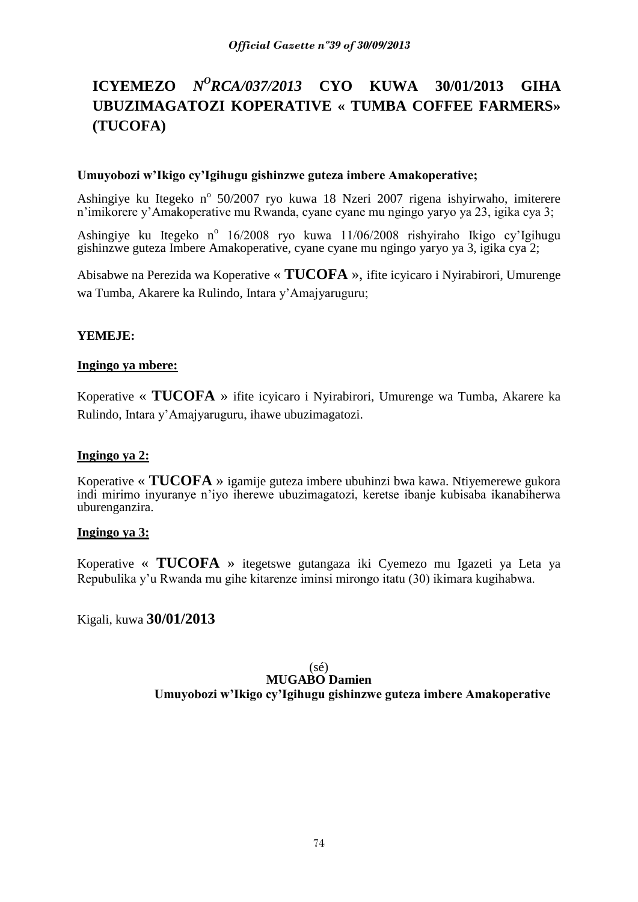### **ICYEMEZO** *N <sup>O</sup>RCA/037/2013* **CYO KUWA 30/01/2013 GIHA UBUZIMAGATOZI KOPERATIVE « TUMBA COFFEE FARMERS» (TUCOFA)**

### **Umuyobozi w'Ikigo cy'Igihugu gishinzwe guteza imbere Amakoperative;**

Ashingiye ku Itegeko nº 50/2007 ryo kuwa 18 Nzeri 2007 rigena ishyirwaho, imiterere n'imikorere y'Amakoperative mu Rwanda, cyane cyane mu ngingo yaryo ya 23, igika cya 3;

Ashingiye ku Itegeko nº 16/2008 ryo kuwa 11/06/2008 rishyiraho Ikigo cy'Igihugu gishinzwe guteza Imbere Amakoperative, cyane cyane mu ngingo yaryo ya 3, igika cya 2;

Abisabwe na Perezida wa Koperative « **TUCOFA** », ifite icyicaro i Nyirabirori, Umurenge wa Tumba, Akarere ka Rulindo, Intara y'Amajyaruguru;

# **YEMEJE:**

# **Ingingo ya mbere:**

Koperative « **TUCOFA** » ifite icyicaro i Nyirabirori, Umurenge wa Tumba, Akarere ka Rulindo, Intara y'Amajyaruguru, ihawe ubuzimagatozi.

### **Ingingo ya 2:**

Koperative « **TUCOFA** » igamije guteza imbere ubuhinzi bwa kawa. Ntiyemerewe gukora indi mirimo inyuranye n'iyo iherewe ubuzimagatozi, keretse ibanje kubisaba ikanabiherwa uburenganzira.

### **Ingingo ya 3:**

Koperative « **TUCOFA** » itegetswe gutangaza iki Cyemezo mu Igazeti ya Leta ya Repubulika y'u Rwanda mu gihe kitarenze iminsi mirongo itatu (30) ikimara kugihabwa.

Kigali, kuwa **30/01/2013**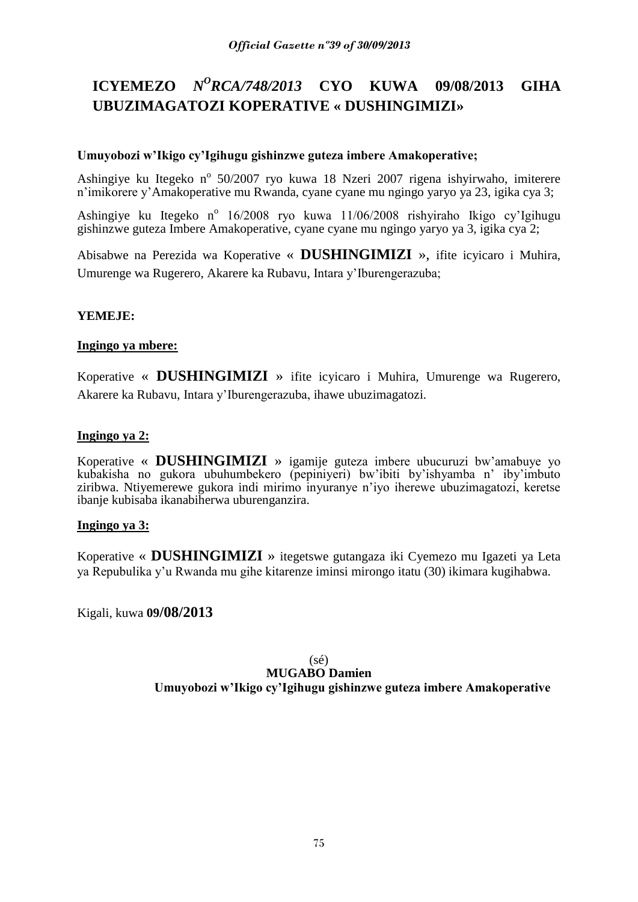# **ICYEMEZO** *N<sup>O</sup>RCA/748/2013* **CYO KUWA 09/08/2013 GIHA UBUZIMAGATOZI KOPERATIVE « DUSHINGIMIZI»**

# **Umuyobozi w'Ikigo cy'Igihugu gishinzwe guteza imbere Amakoperative;**

Ashingiye ku Itegeko nº 50/2007 ryo kuwa 18 Nzeri 2007 rigena ishyirwaho, imiterere n'imikorere y'Amakoperative mu Rwanda, cyane cyane mu ngingo yaryo ya 23, igika cya 3;

Ashingiye ku Itegeko nº 16/2008 ryo kuwa 11/06/2008 rishyiraho Ikigo cy'Igihugu gishinzwe guteza Imbere Amakoperative, cyane cyane mu ngingo yaryo ya 3, igika cya 2;

Abisabwe na Perezida wa Koperative « **DUSHINGIMIZI** », ifite icyicaro i Muhira, Umurenge wa Rugerero, Akarere ka Rubavu, Intara y'Iburengerazuba;

# **YEMEJE:**

### **Ingingo ya mbere:**

Koperative « **DUSHINGIMIZI** » ifite icyicaro i Muhira, Umurenge wa Rugerero, Akarere ka Rubavu, Intara y'Iburengerazuba, ihawe ubuzimagatozi.

# **Ingingo ya 2:**

Koperative « **DUSHINGIMIZI** » igamije guteza imbere ubucuruzi bw'amabuye yo kubakisha no gukora ubuhumbekero (pepiniyeri) bw'ibiti by'ishyamba n' iby'imbuto ziribwa. Ntiyemerewe gukora indi mirimo inyuranye n'iyo iherewe ubuzimagatozi, keretse ibanje kubisaba ikanabiherwa uburenganzira.

### **Ingingo ya 3:**

Koperative « **DUSHINGIMIZI** » itegetswe gutangaza iki Cyemezo mu Igazeti ya Leta ya Repubulika y'u Rwanda mu gihe kitarenze iminsi mirongo itatu (30) ikimara kugihabwa.

Kigali, kuwa **09/08/2013**